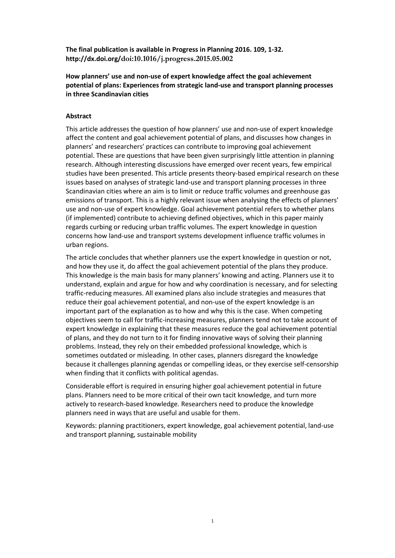**The final publication is available in Progress in Planning 2016. 109, 1-32. http://dx.doi.org/[doi:10.1016/j.progress.2015.05.002](http://dx.doi.org/10.1016/j.progress.2015.05.002)**

**How planners' use and non-use of expert knowledge affect the goal achievement potential of plans: Experiences from strategic land-use and transport planning processes in three Scandinavian cities**

## **Abstract**

This article addresses the question of how planners' use and non-use of expert knowledge affect the content and goal achievement potential of plans, and discusses how changes in planners' and researchers' practices can contribute to improving goal achievement potential. These are questions that have been given surprisingly little attention in planning research. Although interesting discussions have emerged over recent years, few empirical studies have been presented. This article presents theory-based empirical research on these issues based on analyses of strategic land-use and transport planning processes in three Scandinavian cities where an aim is to limit or reduce traffic volumes and greenhouse gas emissions of transport. This is a highly relevant issue when analysing the effects of planners' use and non-use of expert knowledge. Goal achievement potential refers to whether plans (if implemented) contribute to achieving defined objectives, which in this paper mainly regards curbing or reducing urban traffic volumes. The expert knowledge in question concerns how land-use and transport systems development influence traffic volumes in urban regions.

The article concludes that whether planners use the expert knowledge in question or not, and how they use it, do affect the goal achievement potential of the plans they produce. This knowledge is the main basis for many planners' knowing and acting. Planners use it to understand, explain and argue for how and why coordination is necessary, and for selecting traffic-reducing measures. All examined plans also include strategies and measures that reduce their goal achievement potential, and non-use of the expert knowledge is an important part of the explanation as to how and why this is the case. When competing objectives seem to call for traffic-increasing measures, planners tend not to take account of expert knowledge in explaining that these measures reduce the goal achievement potential of plans, and they do not turn to it for finding innovative ways of solving their planning problems. Instead, they rely on their embedded professional knowledge, which is sometimes outdated or misleading. In other cases, planners disregard the knowledge because it challenges planning agendas or compelling ideas, or they exercise self-censorship when finding that it conflicts with political agendas.

Considerable effort is required in ensuring higher goal achievement potential in future plans. Planners need to be more critical of their own tacit knowledge, and turn more actively to research-based knowledge. Researchers need to produce the knowledge planners need in ways that are useful and usable for them.

Keywords: planning practitioners, expert knowledge, goal achievement potential, land-use and transport planning, sustainable mobility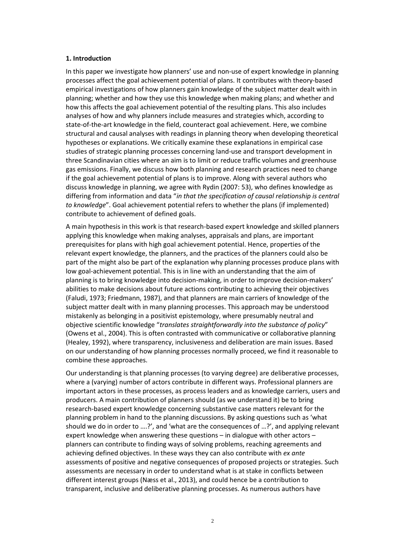#### **1. Introduction**

In this paper we investigate how planners' use and non-use of expert knowledge in planning processes affect the goal achievement potential of plans. It contributes with theory-based empirical investigations of how planners gain knowledge of the subject matter dealt with in planning; whether and how they use this knowledge when making plans; and whether and how this affects the goal achievement potential of the resulting plans. This also includes analyses of how and why planners include measures and strategies which, according to state-of-the-art knowledge in the field, counteract goal achievement. Here, we combine structural and causal analyses with readings in planning theory when developing theoretical hypotheses or explanations. We critically examine these explanations in empirical case studies of strategic planning processes concerning land-use and transport development in three Scandinavian cities where an aim is to limit or reduce traffic volumes and greenhouse gas emissions. Finally, we discuss how both planning and research practices need to change if the goal achievement potential of plans is to improve. Along with several authors who discuss knowledge in planning, we agree with Rydin (2007: 53), who defines knowledge as differing from information and data "*in that the specification of causal relationship is central to knowledge*". Goal achievement potential refers to whether the plans (if implemented) contribute to achievement of defined goals.

A main hypothesis in this work is that research-based expert knowledge and skilled planners applying this knowledge when making analyses, appraisals and plans, are important prerequisites for plans with high goal achievement potential. Hence, properties of the relevant expert knowledge, the planners, and the practices of the planners could also be part of the might also be part of the explanation why planning processes produce plans with low goal-achievement potential. This is in line with an understanding that the aim of planning is to bring knowledge into decision-making, in order to improve decision-makers' abilities to make decisions about future actions contributing to achieving their objectives (Faludi, 1973; Friedmann, 1987), and that planners are main carriers of knowledge of the subject matter dealt with in many planning processes. This approach may be understood mistakenly as belonging in a positivist epistemology, where presumably neutral and objective scientific knowledge "*translates straightforwardly into the substance of policy*" (Owens et al., 2004). This is often contrasted with communicative or collaborative planning (Healey, 1992), where transparency, inclusiveness and deliberation are main issues. Based on our understanding of how planning processes normally proceed, we find it reasonable to combine these approaches.

Our understanding is that planning processes (to varying degree) are deliberative processes, where a (varying) number of actors contribute in different ways. Professional planners are important actors in these processes, as process leaders and as knowledge carriers, users and producers. A main contribution of planners should (as we understand it) be to bring research-based expert knowledge concerning substantive case matters relevant for the planning problem in hand to the planning discussions. By asking questions such as 'what should we do in order to ….?', and 'what are the consequences of …?', and applying relevant expert knowledge when answering these questions – in dialogue with other actors – planners can contribute to finding ways of solving problems, reaching agreements and achieving defined objectives. In these ways they can also contribute with *ex ante* assessments of positive and negative consequences of proposed projects or strategies. Such assessments are necessary in order to understand what is at stake in conflicts between different interest groups (Næss et al., 2013), and could hence be a contribution to transparent, inclusive and deliberative planning processes. As numerous authors have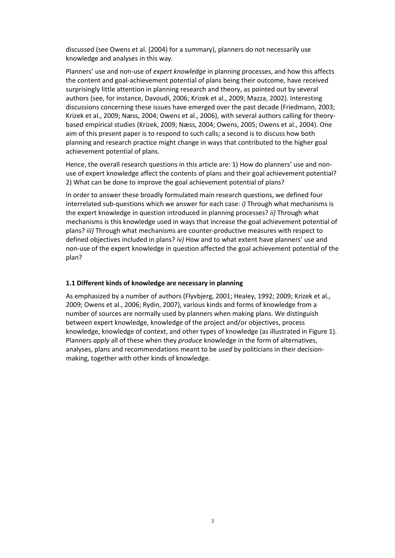discussed (see Owens et al. (2004) for a summary), planners do not necessarily use knowledge and analyses in this way.

Planners' use and non-use of *expert knowledge* in planning processes, and how this affects the content and goal-achievement potential of plans being their outcome, have received surprisingly little attention in planning research and theory, as pointed out by several authors (see, for instance, Davoudi, 2006; Krizek et al., 2009; Mazza, 2002). Interesting discussions concerning these issues have emerged over the past decade (Friedmann, 2003; Krizek et al., 2009; Næss, 2004; Owens et al., 2006), with several authors calling for theorybased empirical studies (Krizek, 2009; Næss, 2004; Owens, 2005; Owens et al., 2004). One aim of this present paper is to respond to such calls; a second is to discuss how both planning and research practice might change in ways that contributed to the higher goal achievement potential of plans.

Hence, the overall research questions in this article are: 1) How do planners' use and nonuse of expert knowledge affect the contents of plans and their goal achievement potential? 2) What can be done to improve the goal achievement potential of plans?

In order to answer these broadly formulated main research questions, we defined four interrelated sub-questions which we answer for each case: *i)* Through what mechanisms is the expert knowledge in question introduced in planning processes? *ii)* Through what mechanisms is this knowledge used in ways that increase the goal achievement potential of plans? *iii)* Through what mechanisms are counter-productive measures with respect to defined objectives included in plans? *iv)* How and to what extent have planners' use and non-use of the expert knowledge in question affected the goal achievement potential of the plan?

## **1.1 Different kinds of knowledge are necessary in planning**

As emphasized by a number of authors (Flyvbjerg, 2001; Healey, 1992; 2009; Krizek et al., 2009; Owens et al., 2006; Rydin, 2007), various kinds and forms of knowledge from a number of sources are normally used by planners when making plans. We distinguish between expert knowledge, knowledge of the project and/or objectives, process knowledge, knowledge of context, and other types of knowledge (as illustrated in Figure 1). Planners *apply* all of these when they *produce* knowledge in the form of alternatives, analyses, plans and recommendations meant to be *used* by politicians in their decisionmaking, together with other kinds of knowledge.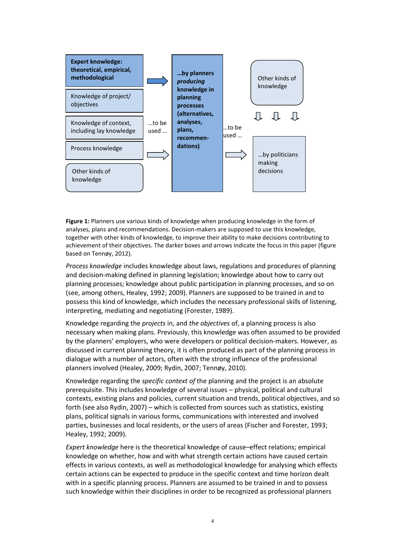

**Figure 1:** Planners use various kinds of knowledge when producing knowledge in the form of analyses, plans and recommendations. Decision-makers are supposed to use this knowledge, together with other kinds of knowledge, to improve their ability to make decisions contributing to achievement of their objectives. The darker boxes and arrows indicate the focus in this paper (figure based on Tennøy, 2012).

*Process knowledge* includes knowledge about laws, regulations and procedures of planning and decision-making defined in planning legislation; knowledge about how to carry out planning processes; knowledge about public participation in planning processes, and so on (see, among others, Healey, 1992; 2009). Planners are supposed to be trained in and to possess this kind of knowledge, which includes the necessary professional skills of listening, interpreting, mediating and negotiating (Forester, 1989).

Knowledge regarding the *projects* in, and *the objectives* of, a planning process is also necessary when making plans. Previously, this knowledge was often assumed to be provided by the planners' employers, who were developers or political decision-makers. However, as discussed in current planning theory, it is often produced as part of the planning process in dialogue with a number of actors, often with the strong influence of the professional planners involved (Healey, 2009; Rydin, 2007; Tennøy, 2010).

Knowledge regarding the *specific context of* the planning and the project is an absolute prerequisite. This includes knowledge of several issues – physical, political and cultural contexts, existing plans and policies, current situation and trends, political objectives, and so forth (see also Rydin, 2007) – which is collected from sources such as statistics, existing plans, political signals in various forms, communications with interested and involved parties, businesses and local residents, or the users of areas (Fischer and Forester, 1993; Healey, 1992; 2009).

*Expert knowledge* here is the theoretical knowledge of cause–effect relations; empirical knowledge on whether, how and with what strength certain actions have caused certain effects in various contexts, as well as methodological knowledge for analysing which effects certain actions can be expected to produce in the specific context and time horizon dealt with in a specific planning process. Planners are assumed to be trained in and to possess such knowledge within their disciplines in order to be recognized as professional planners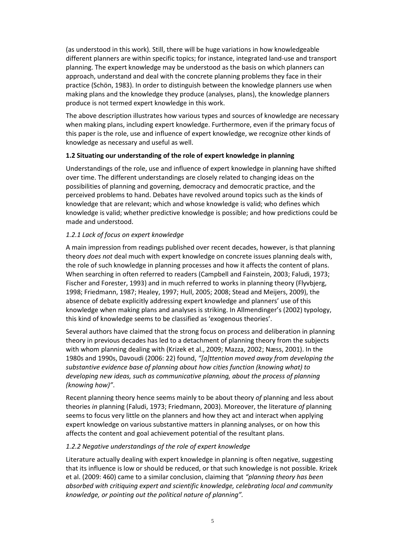(as understood in this work). Still, there will be huge variations in how knowledgeable different planners are within specific topics; for instance, integrated land-use and transport planning. The expert knowledge may be understood as the basis on which planners can approach, understand and deal with the concrete planning problems they face in their practice (Schön, 1983). In order to distinguish between the knowledge planners use when making plans and the knowledge they produce (analyses, plans), the knowledge planners produce is not termed expert knowledge in this work.

The above description illustrates how various types and sources of knowledge are necessary when making plans, including expert knowledge. Furthermore, even if the primary focus of this paper is the role, use and influence of expert knowledge, we recognize other kinds of knowledge as necessary and useful as well.

## **1.2 Situating our understanding of the role of expert knowledge in planning**

Understandings of the role, use and influence of expert knowledge in planning have shifted over time. The different understandings are closely related to changing ideas on the possibilities of planning and governing, democracy and democratic practice, and the perceived problems to hand. Debates have revolved around topics such as the kinds of knowledge that are relevant; which and whose knowledge is valid; who defines which knowledge is valid; whether predictive knowledge is possible; and how predictions could be made and understood.

## *1.2.1 Lack of focus on expert knowledge*

A main impression from readings published over recent decades, however, is that planning theory *does not* deal much with expert knowledge on concrete issues planning deals with, the role of such knowledge in planning processes and how it affects the content of plans. When searching in often referred to readers (Campbell and Fainstein, 2003; Faludi, 1973; Fischer and Forester, 1993) and in much referred to works in planning theory (Flyvbjerg, 1998; Friedmann, 1987; Healey, 1997; Hull, 2005; 2008; Stead and Meijers, 2009), the absence of debate explicitly addressing expert knowledge and planners' use of this knowledge when making plans and analyses is striking. In Allmendinger's (2002) typology, this kind of knowledge seems to be classified as 'exogenous theories'.

Several authors have claimed that the strong focus on process and deliberation in planning theory in previous decades has led to a detachment of planning theory from the subjects with whom planning dealing with (Krizek et al., 2009; Mazza, 2002; Næss, 2001). In the 1980s and 1990s, Davoudi (2006: 22) found, *"[a]ttention moved away from developing the substantive evidence base of planning about how cities function (knowing what) to developing new ideas, such as communicative planning, about the process of planning (knowing how)"*.

Recent planning theory hence seems mainly to be about theory *of* planning and less about theories *in* planning (Faludi, 1973; Friedmann, 2003). Moreover, the literature *of* planning seems to focus very little on the planners and how they act and interact when applying expert knowledge on various substantive matters in planning analyses, or on how this affects the content and goal achievement potential of the resultant plans.

### *1.2.2 Negative understandings of the role of expert knowledge*

Literature actually dealing with expert knowledge in planning is often negative, suggesting that its influence is low or should be reduced, or that such knowledge is not possible. Krizek et al. (2009: 460) came to a similar conclusion, claiming that *"planning theory has been absorbed with critiquing expert and scientific knowledge, celebrating local and community knowledge, or pointing out the political nature of planning".*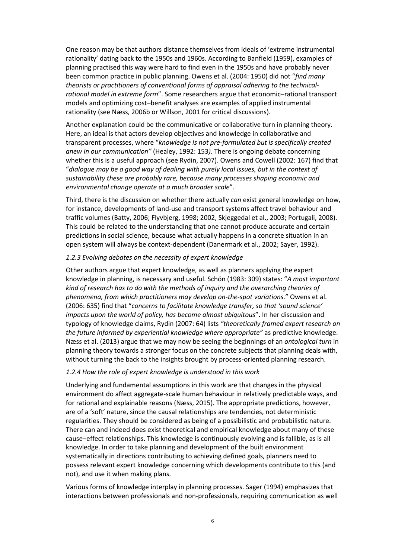One reason may be that authors distance themselves from ideals of 'extreme instrumental rationality' dating back to the 1950s and 1960s. According to Banfield (1959), examples of planning practised this way were hard to find even in the 1950s and have probably never been common practice in public planning. Owens et al. (2004: 1950) did not "*find many theorists or practitioners of conventional forms of appraisal adhering to the technicalrational model in extreme form*". Some researchers argue that economic–rational transport models and optimizing cost–benefit analyses are examples of applied instrumental rationality (see Næss, 2006b or Willson, 2001 for critical discussions).

Another explanation could be the communicative or collaborative turn in planning theory. Here, an ideal is that actors develop objectives and knowledge in collaborative and transparent processes, where "*knowledge is not pre-formulated but is specifically created anew in our communication"* (Healey, 1992: 153*).* There is ongoing debate concerning whether this is a useful approach (see Rydin, 2007). Owens and Cowell (2002: 167) find that "*dialogue may be a good way of dealing with purely local issues, but in the context of sustainability these are probably rare, because many processes shaping economic and environmental change operate at a much broader scale*".

Third, there is the discussion on whether there actually *can* exist general knowledge on how, for instance, developments of land-use and transport systems affect travel behaviour and traffic volumes (Batty, 2006; Flyvbjerg, 1998; 2002, Skjeggedal et al., 2003; Portugali, 2008). This could be related to the understanding that one cannot produce accurate and certain predictions in social science, because what actually happens in a concrete situation in an open system will always be context-dependent (Danermark et al., 2002; Sayer, 1992).

## *1.2.3 Evolving debates on the necessity of expert knowledge*

Other authors argue that expert knowledge, as well as planners applying the expert knowledge in planning, is necessary and useful. Schön (1983: 309) states: "*A most important kind of research has to do with the methods of inquiry and the overarching theories of phenomena, from which practitioners may develop on-the-spot variations.*" Owens et al. (2006: 635) find that "*concerns to facilitate knowledge transfer, so that 'sound science' impacts upon the world of policy, has become almost ubiquitous*". In her discussion and typology of knowledge claims, Rydin (2007: 64) lists *"theoretically framed expert research on the future informed by experiential knowledge where appropriate"* as predictive knowledge. Næss et al. (2013) argue that we may now be seeing the beginnings of an *ontological turn* in planning theory towards a stronger focus on the concrete subjects that planning deals with, without turning the back to the insights brought by process-oriented planning research.

### *1.2.4 How the role of expert knowledge is understood in this work*

Underlying and fundamental assumptions in this work are that changes in the physical environment do affect aggregate-scale human behaviour in relatively predictable ways, and for rational and explainable reasons (Næss, 2015). The appropriate predictions, however, are of a 'soft' nature, since the causal relationships are tendencies, not deterministic regularities. They should be considered as being of a possibilistic and probabilistic nature. There can and indeed does exist theoretical and empirical knowledge about many of these cause–effect relationships. This knowledge is continuously evolving and is fallible, as is all knowledge. In order to take planning and development of the built environment systematically in directions contributing to achieving defined goals, planners need to possess relevant expert knowledge concerning which developments contribute to this (and not), and use it when making plans.

Various forms of knowledge interplay in planning processes. Sager (1994) emphasizes that interactions between professionals and non-professionals, requiring communication as well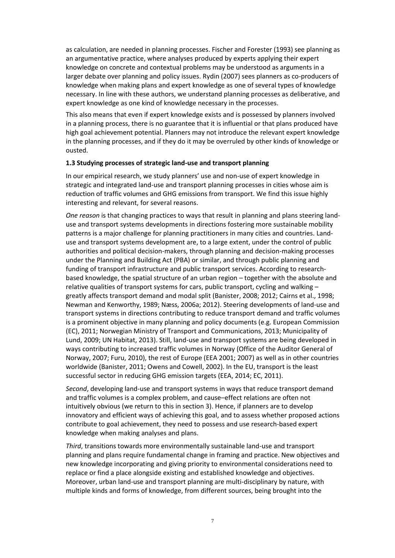as calculation, are needed in planning processes. Fischer and Forester (1993) see planning as an argumentative practice, where analyses produced by experts applying their expert knowledge on concrete and contextual problems may be understood as arguments in a larger debate over planning and policy issues. Rydin (2007) sees planners as co-producers of knowledge when making plans and expert knowledge as one of several types of knowledge necessary. In line with these authors, we understand planning processes as deliberative, and expert knowledge as one kind of knowledge necessary in the processes.

This also means that even if expert knowledge exists and is possessed by planners involved in a planning process, there is no guarantee that it is influential or that plans produced have high goal achievement potential. Planners may not introduce the relevant expert knowledge in the planning processes, and if they do it may be overruled by other kinds of knowledge or ousted.

### **1.3 Studying processes of strategic land-use and transport planning**

In our empirical research, we study planners' use and non-use of expert knowledge in strategic and integrated land-use and transport planning processes in cities whose aim is reduction of traffic volumes and GHG emissions from transport. We find this issue highly interesting and relevant, for several reasons.

*One reason* is that changing practices to ways that result in planning and plans steering landuse and transport systems developments in directions fostering more sustainable mobility patterns is a major challenge for planning practitioners in many cities and countries. Landuse and transport systems development are, to a large extent, under the control of public authorities and political decision-makers, through planning and decision-making processes under the Planning and Building Act (PBA) or similar, and through public planning and funding of transport infrastructure and public transport services. According to researchbased knowledge, the spatial structure of an urban region – together with the absolute and relative qualities of transport systems for cars, public transport, cycling and walking – greatly affects transport demand and modal split (Banister, 2008; 2012; Cairns et al., 1998; Newman and Kenworthy, 1989; Næss, 2006a; 2012). Steering developments of land-use and transport systems in directions contributing to reduce transport demand and traffic volumes is a prominent objective in many planning and policy documents (e.g. European Commission (EC), 2011; Norwegian Ministry of Transport and Communications, 2013; Municipality of Lund, 2009; UN Habitat, 2013). Still, land-use and transport systems are being developed in ways contributing to increased traffic volumes in Norway (Office of the Auditor General of Norway, 2007; Furu, 2010), the rest of Europe (EEA 2001; 2007) as well as in other countries worldwide (Banister, 2011; Owens and Cowell, 2002). In the EU, transport is the least successful sector in reducing GHG emission targets (EEA, 2014; EC, 2011).

*Second*, developing land-use and transport systems in ways that reduce transport demand and traffic volumes is a complex problem, and cause–effect relations are often not intuitively obvious (we return to this in section 3). Hence, if planners are to develop innovatory and efficient ways of achieving this goal, and to assess whether proposed actions contribute to goal achievement, they need to possess and use research-based expert knowledge when making analyses and plans.

*Third*, transitions towards more environmentally sustainable land-use and transport planning and plans require fundamental change in framing and practice. New objectives and new knowledge incorporating and giving priority to environmental considerations need to replace or find a place alongside existing and established knowledge and objectives. Moreover, urban land-use and transport planning are multi-disciplinary by nature, with multiple kinds and forms of knowledge, from different sources, being brought into the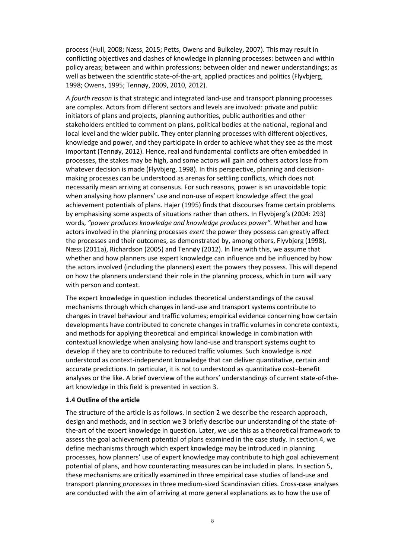process (Hull, 2008; Næss, 2015; Petts, Owens and Bulkeley, 2007). This may result in conflicting objectives and clashes of knowledge in planning processes: between and within policy areas; between and within professions; between older and newer understandings; as well as between the scientific state-of-the-art, applied practices and politics (Flyvbjerg, 1998; Owens, 1995; Tennøy, 2009, 2010, 2012).

*A fourth reason* is that strategic and integrated land-use and transport planning processes are complex. Actors from different sectors and levels are involved: private and public initiators of plans and projects, planning authorities, public authorities and other stakeholders entitled to comment on plans, political bodies at the national, regional and local level and the wider public. They enter planning processes with different objectives, knowledge and power, and they participate in order to achieve what they see as the most important (Tennøy, 2012). Hence, real and fundamental conflicts are often embedded in processes, the stakes may be high, and some actors will gain and others actors lose from whatever decision is made (Flyvbjerg, 1998). In this perspective, planning and decisionmaking processes can be understood as arenas for settling conflicts, which does not necessarily mean arriving at consensus. For such reasons, power is an unavoidable topic when analysing how planners' use and non-use of expert knowledge affect the goal achievement potentials of plans. Hajer (1995) finds that discourses frame certain problems by emphasising some aspects of situations rather than others. In Flyvbjerg's (2004: 293) words, *"power produces knowledge and knowledge produces power".* Whether and how actors involved in the planning processes *exert* the power they possess can greatly affect the processes and their outcomes, as demonstrated by, among others, Flyvbjerg (1998), Næss (2011a), Richardson (2005) and Tennøy (2012). In line with this, we assume that whether and how planners use expert knowledge can influence and be influenced by how the actors involved (including the planners) exert the powers they possess. This will depend on how the planners understand their role in the planning process, which in turn will vary with person and context.

The expert knowledge in question includes theoretical understandings of the causal mechanisms through which changes in land-use and transport systems contribute to changes in travel behaviour and traffic volumes; empirical evidence concerning how certain developments have contributed to concrete changes in traffic volumes in concrete contexts, and methods for applying theoretical and empirical knowledge in combination with contextual knowledge when analysing how land-use and transport systems ought to develop if they are to contribute to reduced traffic volumes. Such knowledge is *not* understood as context-independent knowledge that can deliver quantitative, certain and accurate predictions. In particular, it is not to understood as quantitative cost–benefit analyses or the like. A brief overview of the authors' understandings of current state-of-theart knowledge in this field is presented in section 3.

### **1.4 Outline of the article**

The structure of the article is as follows. In section 2 we describe the research approach, design and methods, and in section we 3 briefly describe our understanding of the state-ofthe-art of the expert knowledge in question. Later, we use this as a theoretical framework to assess the goal achievement potential of plans examined in the case study. In section 4, we define mechanisms through which expert knowledge may be introduced in planning processes, how planners' use of expert knowledge may contribute to high goal achievement potential of plans, and how counteracting measures can be included in plans. In section 5, these mechanisms are critically examined in three empirical case studies of land-use and transport planning *processes* in three medium-sized Scandinavian cities. Cross-case analyses are conducted with the aim of arriving at more general explanations as to how the use of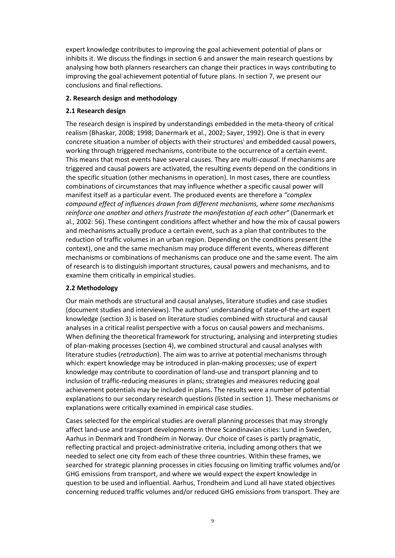expert knowledge contributes to improving the goal achievement potential of plans or inhibits it. We discuss the findings in section 6 and answer the main research questions by analysing how both planners researchers can change their practices in ways contributing to improving the goal achievement potential of future plans. In section 7, we present our conclusions and final reflections.

## **2. Research design and methodology**

## **2.1 Research design**

The research design is inspired by understandings embedded in the meta-theory of critical realism (Bhaskar, 2008; 1998; Danermark et al., 2002; Sayer, 1992). One is that in every concrete situation a number of objects with their structures<sup>i</sup> and embedded causal powers, working through triggered mechanisms, contribute to the occurrence of a certain event. This means that most events have several causes. They are *multi-causal*. If mechanisms are triggered and causal powers are activated, the resulting *events* depend on the conditions in the specific situation (other mechanisms in operation). In most cases, there are countless combinations of circumstances that may influence whether a specific causal power will manifest itself as a particular event. The produced events are therefore a *"complex compound effect of influences drawn from different mechanisms, where some mechanisms reinforce one another and others frustrate the manifestation of each other"* (Danermark et al., 2002: 56). These contingent conditions affect whether and how the mix of causal powers and mechanisms actually produce a certain event, such as a plan that contributes to the reduction of traffic volumes in an urban region. Depending on the conditions present (the context), one and the same mechanism may produce different events, whereas different mechanisms or combinations of mechanisms can produce one and the same event. The aim of research is to distinguish important structures, causal powers and mechanisms, and to examine them critically in empirical studies.

# **2.2 Methodology**

Our main methods are structural and causal analyses, literature studies and case studies (document studies and interviews). The authors' understanding of state-of-the-art expert knowledge (section 3) is based on literature studies combined with structural and causal analyses in a critical realist perspective with a focus on causal powers and mechanisms. When defining the theoretical framework for structuring, analysing and interpreting studies of plan-making processes (section 4), we combined structural and causal analyses with literature studies (*retroduction*). The aim was to arrive at potential mechanisms through which: expert knowledge may be introduced in plan-making processes; use of expert knowledge may contribute to coordination of land-use and transport planning and to inclusion of traffic-reducing measures in plans; strategies and measures reducing goal achievement potentials may be included in plans. The results were a number of potential explanations to our secondary research questions (listed in section 1). These mechanisms or explanations were critically examined in empirical case studies.

Cases selected for the empirical studies are overall planning processes that may strongly affect land-use and transport developments in three Scandinavian cities: Lund in Sweden, Aarhus in Denmark and Trondheim in Norway. Our choice of cases is partly pragmatic, reflecting practical and project-administrative criteria, including among others that we needed to select one city from each of these three countries. Within these frames, we searched for strategic planning processes in cities focusing on limiting traffic volumes and/or GHG emissions from transport, and where we would expect the expert knowledge in question to be used and influential. Aarhus, Trondheim and Lund all have stated objectives concerning reduced traffic volumes and/or reduced GHG emissions from transport. They are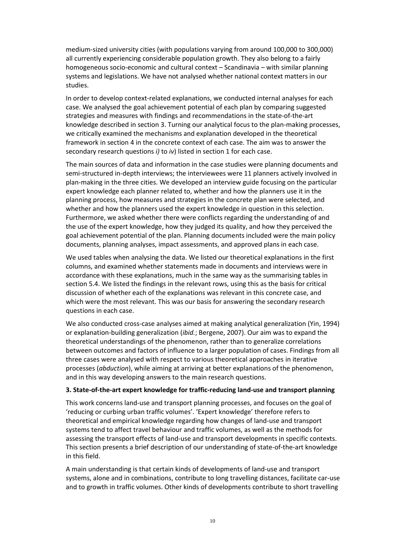medium-sized university cities (with populations varying from around 100,000 to 300,000) all currently experiencing considerable population growth. They also belong to a fairly homogeneous socio-economic and cultural context – Scandinavia – with similar planning systems and legislations. We have not analysed whether national context matters in our studies.

In order to develop context-related explanations, we conducted internal analyses for each case. We analysed the goal achievement potential of each plan by comparing suggested strategies and measures with findings and recommendations in the state-of-the-art knowledge described in section 3. Turning our analytical focus to the plan-making processes, we critically examined the mechanisms and explanation developed in the theoretical framework in section 4 in the concrete context of each case. The aim was to answer the secondary research questions *i)* to *iv*) listed in section 1 for each case.

The main sources of data and information in the case studies were planning documents and semi-structured in-depth interviews; the interviewees were 11 planners actively involved in plan-making in the three cities. We developed an interview guide focusing on the particular expert knowledge each planner related to, whether and how the planners use it in the planning process, how measures and strategies in the concrete plan were selected, and whether and how the planners used the expert knowledge in question in this selection. Furthermore, we asked whether there were conflicts regarding the understanding of and the use of the expert knowledge, how they judged its quality, and how they perceived the goal achievement potential of the plan. Planning documents included were the main policy documents, planning analyses, impact assessments, and approved plans in each case.

We used tables when analysing the data. We listed our theoretical explanations in the first columns, and examined whether statements made in documents and interviews were in accordance with these explanations, much in the same way as the summarising tables in section 5.4. We listed the findings in the relevant rows, using this as the basis for critical discussion of whether each of the explanations was relevant in this concrete case, and which were the most relevant. This was our basis for answering the secondary research questions in each case.

We also conducted cross-case analyses aimed at making analytical generalization (Yin, 1994) or explanation-building generalization (*ibid.*; Bergene, 2007). Our aim was to expand the theoretical understandings of the phenomenon, rather than to generalize correlations between outcomes and factors of influence to a larger population of cases. Findings from all three cases were analysed with respect to various theoretical approaches in iterative processes (*abduction*), while aiming at arriving at better explanations of the phenomenon, and in this way developing answers to the main research questions.

## **3. State-of-the-art expert knowledge for traffic-reducing land-use and transport planning**

This work concerns land-use and transport planning processes, and focuses on the goal of 'reducing or curbing urban traffic volumes'. 'Expert knowledge' therefore refers to theoretical and empirical knowledge regarding how changes of land-use and transport systems tend to affect travel behaviour and traffic volumes, as well as the methods for assessing the transport effects of land-use and transport developments in specific contexts. This section presents a brief description of our understanding of state-of-the-art knowledge in this field.

A main understanding is that certain kinds of developments of land-use and transport systems, alone and in combinations, contribute to long travelling distances, facilitate car-use and to growth in traffic volumes. Other kinds of developments contribute to short travelling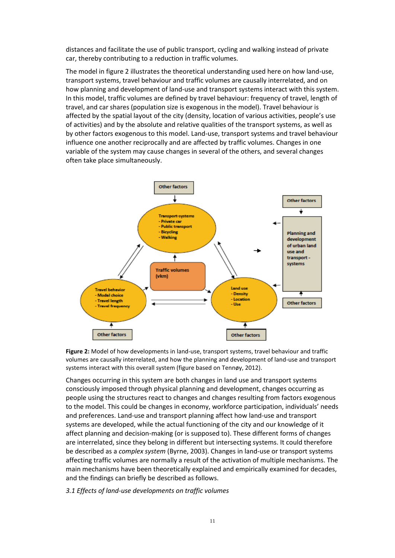distances and facilitate the use of public transport, cycling and walking instead of private car, thereby contributing to a reduction in traffic volumes.

The model in figure 2 illustrates the theoretical understanding used here on how land-use, transport systems, travel behaviour and traffic volumes are causally interrelated, and on how planning and development of land-use and transport systems interact with this system. In this model, traffic volumes are defined by travel behaviour: frequency of travel, length of travel, and car shares (population size is exogenous in the model). Travel behaviour is affected by the spatial layout of the city (density, location of various activities, people's use of activities) and by the absolute and relative qualities of the transport systems, as well as by other factors exogenous to this model. Land-use, transport systems and travel behaviour influence one another reciprocally and are affected by traffic volumes. Changes in one variable of the system may cause changes in several of the others, and several changes often take place simultaneously.



**Figure 2:** Model of how developments in land-use, transport systems, travel behaviour and traffic volumes are causally interrelated, and how the planning and development of land-use and transport systems interact with this overall system (figure based on Tennøy, 2012).

Changes occurring in this system are both changes in land use and transport systems consciously imposed through physical planning and development, changes occurring as people using the structures react to changes and changes resulting from factors exogenous to the model. This could be changes in economy, workforce participation, individuals' needs and preferences. Land-use and transport planning affect how land-use and transport systems are developed, while the actual functioning of the city and our knowledge of it affect planning and decision-making (or is supposed to). These different forms of changes are interrelated, since they belong in different but intersecting systems. It could therefore be described as a *complex system* (Byrne, 2003). Changes in land-use or transport systems affecting traffic volumes are normally a result of the activation of multiple mechanisms. The main mechanisms have been theoretically explained and empirically examined for decades, and the findings can briefly be described as follows.

*3.1 Effects of land-use developments on traffic volumes*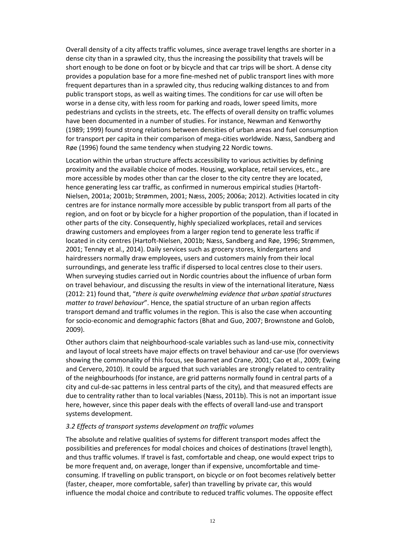Overall density of a city affects traffic volumes, since average travel lengths are shorter in a dense city than in a sprawled city, thus the increasing the possibility that travels will be short enough to be done on foot or by bicycle and that car trips will be short. A dense city provides a population base for a more fine-meshed net of public transport lines with more frequent departures than in a sprawled city, thus reducing walking distances to and from public transport stops, as well as waiting times. The conditions for car use will often be worse in a dense city, with less room for parking and roads, lower speed limits, more pedestrians and cyclists in the streets, etc. The effects of overall density on traffic volumes have been documented in a number of studies. For instance, Newman and Kenworthy (1989; 1999) found strong relations between densities of urban areas and fuel consumption for transport per capita in their comparison of mega-cities worldwide. Næss, Sandberg and Røe (1996) found the same tendency when studying 22 Nordic towns.

Location within the urban structure affects accessibility to various activities by defining proximity and the available choice of modes. Housing, workplace, retail services, etc., are more accessible by modes other than car the closer to the city centre they are located, hence generating less car traffic, as confirmed in numerous empirical studies (Hartoft-Nielsen, 2001a; 2001b; Strømmen, 2001; Næss, 2005; 2006a; 2012). Activities located in city centres are for instance normally more accessible by public transport from all parts of the region, and on foot or by bicycle for a higher proportion of the population, than if located in other parts of the city. Consequently, highly specialized workplaces, retail and services drawing customers and employees from a larger region tend to generate less traffic if located in city centres (Hartoft-Nielsen, 2001b; Næss, Sandberg and Røe, 1996; Strømmen, 2001; Tennøy et al., 2014). Daily services such as grocery stores, kindergartens and hairdressers normally draw employees, users and customers mainly from their local surroundings, and generate less traffic if dispersed to local centres close to their users. When surveying studies carried out in Nordic countries about the influence of urban form on travel behaviour, and discussing the results in view of the international literature, Næss (2012: 21) found that, "*there is quite overwhelming evidence that urban spatial structures matter to travel behaviour*". Hence, the spatial structure of an urban region affects transport demand and traffic volumes in the region. This is also the case when accounting for socio-economic and demographic factors (Bhat and Guo, 2007; Brownstone and Golob, 2009).

Other authors claim that neighbourhood-scale variables such as land-use mix, connectivity and layout of local streets have major effects on travel behaviour and car-use (for overviews showing the commonality of this focus, see Boarnet and Crane, 2001; Cao et al., 2009; Ewing and Cervero, 2010). It could be argued that such variables are strongly related to centrality of the neighbourhoods (for instance, are grid patterns normally found in central parts of a city and cul-de-sac patterns in less central parts of the city), and that measured effects are due to centrality rather than to local variables (Næss, 2011b). This is not an important issue here, however, since this paper deals with the effects of overall land-use and transport systems development.

### *3.2 Effects of transport systems development on traffic volumes*

The absolute and relative qualities of systems for different transport modes affect the possibilities and preferences for modal choices and choices of destinations (travel length), and thus traffic volumes. If travel is fast, comfortable and cheap, one would expect trips to be more frequent and, on average, longer than if expensive, uncomfortable and timeconsuming. If travelling on public transport, on bicycle or on foot becomes relatively better (faster, cheaper, more comfortable, safer) than travelling by private car, this would influence the modal choice and contribute to reduced traffic volumes. The opposite effect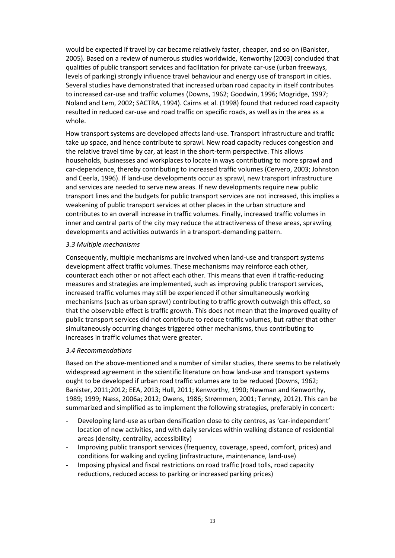would be expected if travel by car became relatively faster, cheaper, and so on (Banister, 2005). Based on a review of numerous studies worldwide, Kenworthy (2003) concluded that qualities of public transport services and facilitation for private car-use (urban freeways, levels of parking) strongly influence travel behaviour and energy use of transport in cities. Several studies have demonstrated that increased urban road capacity in itself contributes to increased car-use and traffic volumes (Downs, 1962; Goodwin, 1996; Mogridge, 1997; Noland and Lem, 2002; SACTRA, 1994). Cairns et al. (1998) found that reduced road capacity resulted in reduced car-use and road traffic on specific roads, as well as in the area as a whole.

How transport systems are developed affects land-use. Transport infrastructure and traffic take up space, and hence contribute to sprawl. New road capacity reduces congestion and the relative travel time by car, at least in the short-term perspective. This allows households, businesses and workplaces to locate in ways contributing to more sprawl and car-dependence, thereby contributing to increased traffic volumes (Cervero, 2003; Johnston and Ceerla, 1996). If land-use developments occur as sprawl, new transport infrastructure and services are needed to serve new areas. If new developments require new public transport lines and the budgets for public transport services are not increased, this implies a weakening of public transport services at other places in the urban structure and contributes to an overall increase in traffic volumes. Finally, increased traffic volumes in inner and central parts of the city may reduce the attractiveness of these areas, sprawling developments and activities outwards in a transport-demanding pattern.

## *3.3 Multiple mechanisms*

Consequently, multiple mechanisms are involved when land-use and transport systems development affect traffic volumes. These mechanisms may reinforce each other, counteract each other or not affect each other. This means that even if traffic-reducing measures and strategies are implemented, such as improving public transport services, increased traffic volumes may still be experienced if other simultaneously working mechanisms (such as urban sprawl) contributing to traffic growth outweigh this effect, so that the observable effect is traffic growth. This does not mean that the improved quality of public transport services did not contribute to reduce traffic volumes, but rather that other simultaneously occurring changes triggered other mechanisms, thus contributing to increases in traffic volumes that were greater.

## *3.4 Recommendations*

Based on the above-mentioned and a number of similar studies, there seems to be relatively widespread agreement in the scientific literature on how land-use and transport systems ought to be developed if urban road traffic volumes are to be reduced (Downs, 1962; Banister, 2011;2012; EEA, 2013; Hull, 2011; Kenworthy, 1990; Newman and Kenworthy, 1989; 1999; Næss, 2006a; 2012; Owens, 1986; Strømmen, 2001; Tennøy, 2012). This can be summarized and simplified as to implement the following strategies, preferably in concert:

- Developing land-use as urban densification close to city centres, as 'car-independent' location of new activities, and with daily services within walking distance of residential areas (density, centrality, accessibility)
- Improving public transport services (frequency, coverage, speed, comfort, prices) and conditions for walking and cycling (infrastructure, maintenance, land-use)
- Imposing physical and fiscal restrictions on road traffic (road tolls, road capacity reductions, reduced access to parking or increased parking prices)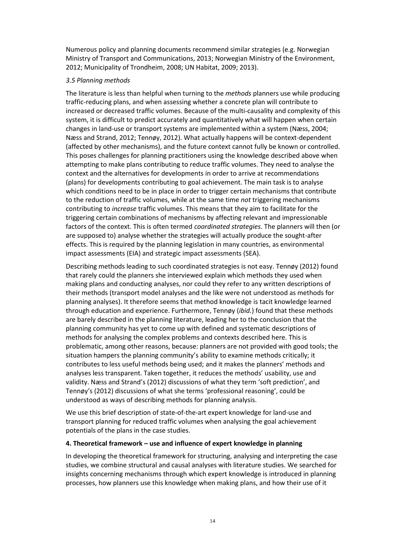Numerous policy and planning documents recommend similar strategies (e.g. Norwegian Ministry of Transport and Communications, 2013; Norwegian Ministry of the Environment, 2012; Municipality of Trondheim, 2008; UN Habitat, 2009; 2013).

## *3.5 Planning methods*

The literature is less than helpful when turning to the *methods* planners use while producing traffic-reducing plans, and when assessing whether a concrete plan will contribute to increased or decreased traffic volumes. Because of the multi-causality and complexity of this system, it is difficult to predict accurately and quantitatively what will happen when certain changes in land-use or transport systems are implemented within a system (Næss, 2004; Næss and Strand, 2012; Tennøy, 2012). What actually happens will be context-dependent (affected by other mechanisms), and the future context cannot fully be known or controlled. This poses challenges for planning practitioners using the knowledge described above when attempting to make plans contributing to reduce traffic volumes. They need to analyse the context and the alternatives for developments in order to arrive at recommendations (plans) for developments contributing to goal achievement. The main task is to analyse which conditions need to be in place in order to trigger certain mechanisms that contribute to the reduction of traffic volumes, while at the same time *not* triggering mechanisms contributing to *increase* traffic volumes. This means that they aim to facilitate for the triggering certain combinations of mechanisms by affecting relevant and impressionable factors of the context. This is often termed *coordinated strategies*. The planners will then (or are supposed to) analyse whether the strategies will actually produce the sought-after effects. This is required by the planning legislation in many countries, as environmental impact assessments (EIA) and strategic impact assessments (SEA).

Describing methods leading to such coordinated strategies is not easy. Tennøy (2012) found that rarely could the planners she interviewed explain which methods they used when making plans and conducting analyses, nor could they refer to any written descriptions of their methods (transport model analyses and the like were not understood as methods for planning analyses). It therefore seems that method knowledge is tacit knowledge learned through education and experience. Furthermore, Tennøy (*ibid.*) found that these methods are barely described in the planning literature, leading her to the conclusion that the planning community has yet to come up with defined and systematic descriptions of methods for analysing the complex problems and contexts described here. This is problematic, among other reasons, because: planners are not provided with good tools; the situation hampers the planning community's ability to examine methods critically; it contributes to less useful methods being used; and it makes the planners' methods and analyses less transparent. Taken together, it reduces the methods' usability, use and validity. Næss and Strand's (2012) discussions of what they term 'soft prediction', and Tennøy's (2012) discussions of what she terms 'professional reasoning', could be understood as ways of describing methods for planning analysis.

We use this brief description of state-of-the-art expert knowledge for land-use and transport planning for reduced traffic volumes when analysing the goal achievement potentials of the plans in the case studies.

## **4. Theoretical framework – use and influence of expert knowledge in planning**

In developing the theoretical framework for structuring, analysing and interpreting the case studies, we combine structural and causal analyses with literature studies. We searched for insights concerning mechanisms through which expert knowledge is introduced in planning processes, how planners use this knowledge when making plans, and how their use of it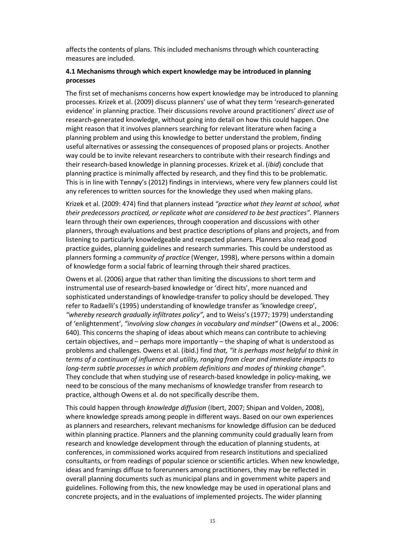affects the contents of plans. This included mechanisms through which counteracting measures are included.

## **4.1 Mechanisms through which expert knowledge may be introduced in planning processes**

The first set of mechanisms concerns how expert knowledge may be introduced to planning processes. Krizek et al. (2009) discuss planners' use of what they term 'research-generated evidence' in planning practice. Their discussions revolve around practitioners' *direct use* of research-generated knowledge, without going into detail on how this could happen. One might reason that it involves planners searching for relevant literature when facing a planning problem and using this knowledge to better understand the problem, finding useful alternatives or assessing the consequences of proposed plans or projects. Another way could be to invite relevant researchers to contribute with their research findings and their research-based knowledge in planning processes. Krizek et al. (*ibid*) conclude that planning practice is minimally affected by research, and they find this to be problematic. This is in line with Tennøy's (2012) findings in interviews, where very few planners could list any references to written sources for the knowledge they used when making plans.

Krizek et al. (2009: 474) find that planners instead *"practice what they learnt at school, what their predecessors practiced, or replicate what are considered to be best practices".* Planners learn through their own experiences, through cooperation and discussions with other planners, through evaluations and best practice descriptions of plans and projects, and from listening to particularly knowledgeable and respected planners. Planners also read good practice guides, planning guidelines and research summaries. This could be understood as planners forming a *community of practice* (Wenger, 1998), where persons within a domain of knowledge form a social fabric of learning through their shared practices.

Owens et al. (2006) argue that rather than limiting the discussions to short term and instrumental use of research-based knowledge or 'direct hits', more nuanced and sophisticated understandings of knowledge-transfer to policy should be developed. They refer to Radaelli's (1995) understanding of knowledge transfer as 'knowledge creep', *"whereby research gradually infiltrates policy",* and to Weiss's (1977; 1979) understanding of 'enlightenment', *"involving slow changes in vocabulary and mindset"* (Owens et al., 2006: 640). This concerns the shaping of ideas about which means can contribute to achieving certain objectives, and – perhaps more importantly – the shaping of what is understood as problems and challenges. Owens et al. (ibid.) find *that, "it is perhaps most helpful to think in terms of a continuum of influence and utility, ranging from clear and immediate impacts to long-term subtle processes in which problem definitions and modes of thinking change"*. They conclude that when studying use of research-based knowledge in policy-making, we need to be conscious of the many mechanisms of knowledge transfer from research to practice, although Owens et al. do not specifically describe them.

This could happen through *knowledge diffusion* (Ibert, 2007; Shipan and Volden, 2008), where knowledge spreads among people in different ways. Based on our own experiences as planners and researchers, relevant mechanisms for knowledge diffusion can be deduced within planning practice. Planners and the planning community could gradually learn from research and knowledge development through the education of planning students, at conferences, in commissioned works acquired from research institutions and specialized consultants, or from readings of popular science or scientific articles. When new knowledge, ideas and framings diffuse to forerunners among practitioners, they may be reflected in overall planning documents such as municipal plans and in government white papers and guidelines. Following from this, the new knowledge may be used in operational plans and concrete projects, and in the evaluations of implemented projects. The wider planning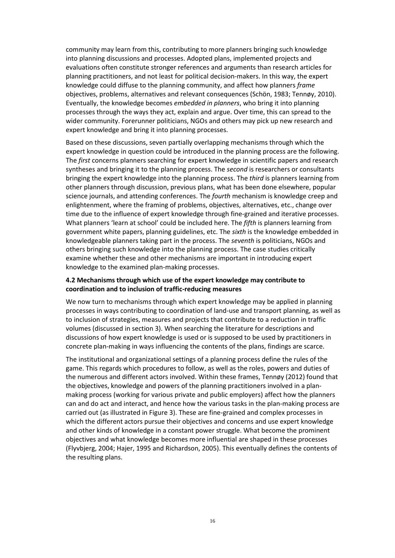community may learn from this, contributing to more planners bringing such knowledge into planning discussions and processes. Adopted plans, implemented projects and evaluations often constitute stronger references and arguments than research articles for planning practitioners, and not least for political decision-makers. In this way, the expert knowledge could diffuse to the planning community, and affect how planners *frame* objectives, problems, alternatives and relevant consequences (Schön, 1983; Tennøy, 2010). Eventually, the knowledge becomes *embedded in planners*, who bring it into planning processes through the ways they act, explain and argue. Over time, this can spread to the wider community. Forerunner politicians, NGOs and others may pick up new research and expert knowledge and bring it into planning processes.

Based on these discussions, seven partially overlapping mechanisms through which the expert knowledge in question could be introduced in the planning process are the following. The *first* concerns planners searching for expert knowledge in scientific papers and research syntheses and bringing it to the planning process. The *second* is researchers or consultants bringing the expert knowledge into the planning process. The *third* is planners learning from other planners through discussion, previous plans, what has been done elsewhere, popular science journals, and attending conferences. The *fourth* mechanism is knowledge creep and enlightenment, where the framing of problems, objectives, alternatives, etc., change over time due to the influence of expert knowledge through fine-grained and iterative processes. What planners 'learn at school' could be included here. The *fifth* is planners learning from government white papers, planning guidelines, etc. The *sixth* is the knowledge embedded in knowledgeable planners taking part in the process. The *seventh* is politicians, NGOs and others bringing such knowledge into the planning process. The case studies critically examine whether these and other mechanisms are important in introducing expert knowledge to the examined plan-making processes.

## **4.2 Mechanisms through which use of the expert knowledge may contribute to coordination and to inclusion of traffic-reducing measures**

We now turn to mechanisms through which expert knowledge may be applied in planning processes in ways contributing to coordination of land-use and transport planning, as well as to inclusion of strategies, measures and projects that contribute to a reduction in traffic volumes (discussed in section 3). When searching the literature for descriptions and discussions of how expert knowledge is used or is supposed to be used by practitioners in concrete plan-making in ways influencing the contents of the plans, findings are scarce.

The institutional and organizational settings of a planning process define the rules of the game. This regards which procedures to follow, as well as the roles, powers and duties of the numerous and different actors involved. Within these frames, Tennøy (2012) found that the objectives, knowledge and powers of the planning practitioners involved in a planmaking process (working for various private and public employers) affect how the planners can and do act and interact, and hence how the various tasks in the plan-making process are carried out (as illustrated in Figure 3). These are fine-grained and complex processes in which the different actors pursue their objectives and concerns and use expert knowledge and other kinds of knowledge in a constant power struggle. What become the prominent objectives and what knowledge becomes more influential are shaped in these processes (Flyvbjerg, 2004; Hajer, 1995 and Richardson, 2005). This eventually defines the contents of the resulting plans.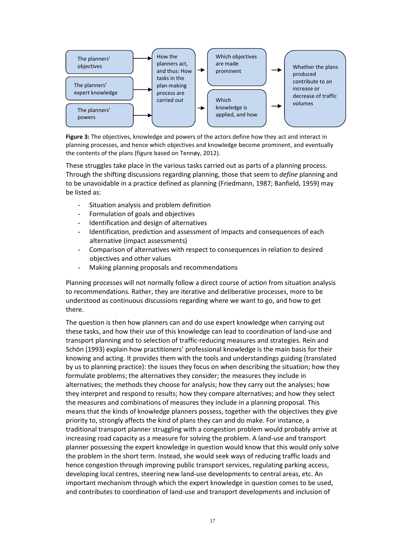

**Figure 3:** The objectives, knowledge and powers of the actors define how they act and interact in planning processes, and hence which objectives and knowledge become prominent, and eventually the contents of the plans (figure based on Tennøy, 2012).

These struggles take place in the various tasks carried out as parts of a planning process. Through the shifting discussions regarding planning, those that seem to *define* planning and to be unavoidable in a practice defined as planning (Friedmann, 1987; Banfield, 1959) may be listed as:

- Situation analysis and problem definition
- Formulation of goals and objectives
- Identification and design of alternatives
- Identification, prediction and assessment of impacts and consequences of each alternative (impact assessments)
- Comparison of alternatives with respect to consequences in relation to desired objectives and other values
- Making planning proposals and recommendations

Planning processes will not normally follow a direct course of action from situation analysis to recommendations. Rather, they are iterative and deliberative processes, more to be understood as continuous discussions regarding where we want to go, and how to get there.

The question is then how planners can and do use expert knowledge when carrying out these tasks, and how their use of this knowledge can lead to coordination of land-use and transport planning and to selection of traffic-reducing measures and strategies. Rein and Schön (1993) explain how practitioners' professional knowledge is the main basis for their knowing and acting. It provides them with the tools and understandings guiding (translated by us to planning practice): the issues they focus on when describing the situation; how they formulate problems; the alternatives they consider; the measures they include in alternatives; the methods they choose for analysis; how they carry out the analyses; how they interpret and respond to results; how they compare alternatives; and how they select the measures and combinations of measures they include in a planning proposal. This means that the kinds of knowledge planners possess, together with the objectives they give priority to, strongly affects the kind of plans they can and do make. For instance, a traditional transport planner struggling with a congestion problem would probably arrive at increasing road capacity as a measure for solving the problem. A land-use and transport planner possessing the expert knowledge in question would know that this would only solve the problem in the short term. Instead, she would seek ways of reducing traffic loads and hence congestion through improving public transport services, regulating parking access, developing local centres, steering new land-use developments to central areas, etc. An important mechanism through which the expert knowledge in question comes to be used, and contributes to coordination of land-use and transport developments and inclusion of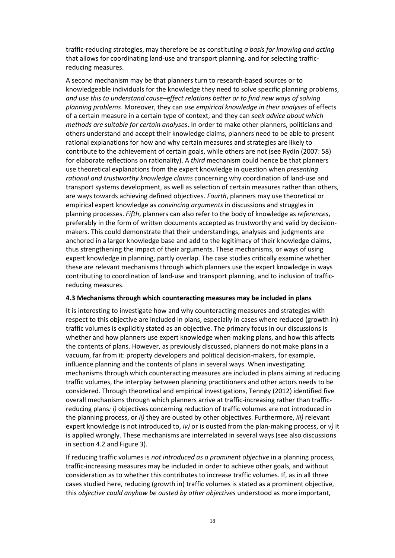traffic-reducing strategies, may therefore be as constituting *a basis for knowing and acting* that allows for coordinating land-use and transport planning, and for selecting trafficreducing measures.

A second mechanism may be that planners turn to research-based sources or to knowledgeable individuals for the knowledge they need to solve specific planning problems, *and use this to understand cause–effect relations better or to find new ways of solving planning problems*. Moreover, they can *use empirical knowledge in their analyses* of effects of a certain measure in a certain type of context, and they can *seek advice about which methods are suitable for certain analyses*. In order to make other planners, politicians and others understand and accept their knowledge claims, planners need to be able to present rational explanations for how and why certain measures and strategies are likely to contribute to the achievement of certain goals, while others are not (see Rydin (2007: 58) for elaborate reflections on rationality). A *third* mechanism could hence be that planners use theoretical explanations from the expert knowledge in question when *presenting rational and trustworthy knowledge claims* concerning why coordination of land-use and transport systems development, as well as selection of certain measures rather than others, are ways towards achieving defined objectives. *Fourth*, planners may use theoretical or empirical expert knowledge as *convincing arguments* in discussions and struggles in planning processes. *Fifth*, planners can also refer to the body of knowledge as *references*, preferably in the form of written documents accepted as trustworthy and valid by decisionmakers. This could demonstrate that their understandings, analyses and judgments are anchored in a larger knowledge base and add to the legitimacy of their knowledge claims, thus strengthening the impact of their arguments. These mechanisms, or ways of using expert knowledge in planning, partly overlap. The case studies critically examine whether these are relevant mechanisms through which planners use the expert knowledge in ways contributing to coordination of land-use and transport planning, and to inclusion of trafficreducing measures.

## **4.3 Mechanisms through which counteracting measures may be included in plans**

It is interesting to investigate how and why counteracting measures and strategies with respect to this objective are included in plans, especially in cases where reduced (growth in) traffic volumes is explicitly stated as an objective. The primary focus in our discussions is whether and how planners use expert knowledge when making plans, and how this affects the contents of plans. However, as previously discussed, planners do not make plans in a vacuum, far from it: property developers and political decision-makers, for example, influence planning and the contents of plans in several ways. When investigating mechanisms through which counteracting measures are included in plans aiming at reducing traffic volumes, the interplay between planning practitioners and other actors needs to be considered. Through theoretical and empirical investigations, Tennøy (2012) identified five overall mechanisms through which planners arrive at traffic-increasing rather than trafficreducing plans*: i)* objectives concerning reduction of traffic volumes are not introduced in the planning process, or *ii)* they are ousted by other objectives. Furthermore, *iii)* relevant expert knowledge is not introduced to, *iv)* or is ousted from the plan-making process, or *v)* it is applied wrongly. These mechanisms are interrelated in several ways (see also discussions in section 4.2 and Figure 3).

If reducing traffic volumes is *not introduced as a prominent objective* in a planning process, traffic-increasing measures may be included in order to achieve other goals, and without consideration as to whether this contributes to increase traffic volumes. If, as in all three cases studied here, reducing (growth in) traffic volumes is stated as a prominent objective, this *objective could anyhow be ousted by other objectives* understood as more important,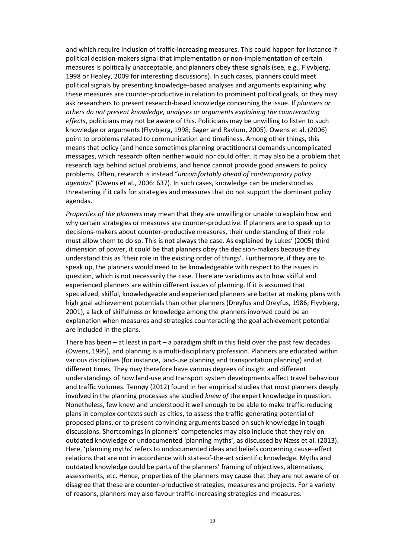and which require inclusion of traffic-increasing measures. This could happen for instance if political decision-makers signal that implementation or non-implementation of certain measures is politically unacceptable, and planners obey these signals (see, e.g., Flyvbjerg, 1998 or Healey, 2009 for interesting discussions). In such cases, planners could meet political signals by presenting knowledge-based analyses and arguments explaining why these measures are counter-productive in relation to prominent political goals, or they may ask researchers to present research-based knowledge concerning the issue. If *planners or others do not present knowledge, analyses or arguments explaining the counteracting effects*, politicians may not be aware of this. Politicians may be unwilling to listen to such knowledge or arguments (Flyvbjerg, 1998; Sager and Ravlum, 2005). Owens et al. (2006) point to problems related to communication and timeliness. Among other things, this means that policy (and hence sometimes planning practitioners) demands uncomplicated messages, which research often neither would nor could offer. It may also be a problem that research lags behind actual problems, and hence cannot provide good answers to policy problems. Often, research is instead "*uncomfortably ahead of contemporary policy agendas*" (Owens et al., 2006: 637). In such cases, knowledge can be understood as threatening if it calls for strategies and measures that do not support the dominant policy agendas.

*Properties of the planners* may mean that they are unwilling or unable to explain how and why certain strategies or measures are counter-productive. If planners are to speak up to decisions-makers about counter-productive measures, their understanding of their role must allow them to do so. This is not always the case. As explained by Lukes' (2005) third dimension of power, it could be that planners obey the decision-makers because they understand this as 'their role in the existing order of things'. Furthermore, if they are to speak up, the planners would need to be knowledgeable with respect to the issues in question, which is not necessarily the case. There are variations as to how skilful and experienced planners are within different issues of planning. If it is assumed that specialized, skilful, knowledgeable and experienced planners are better at making plans with high goal achievement potentials than other planners (Dreyfus and Dreyfus, 1986; Flyvbjerg, 2001), a lack of skilfulness or knowledge among the planners involved could be an explanation when measures and strategies counteracting the goal achievement potential are included in the plans.

There has been  $-$  at least in part  $-$  a paradigm shift in this field over the past few decades (Owens, 1995), and planning is a multi-disciplinary profession. Planners are educated within various disciplines (for instance, land-use planning and transportation planning) and at different times. They may therefore have various degrees of insight and different understandings of how land-use and transport system developments affect travel behaviour and traffic volumes. Tennøy (2012) found in her empirical studies that most planners deeply involved in the planning processes she studied *knew of* the expert knowledge in question. Nonetheless, few knew and understood it well enough to be able to make traffic-reducing plans in complex contexts such as cities, to assess the traffic-generating potential of proposed plans, or to present convincing arguments based on such knowledge in tough discussions. Shortcomings in planners' competencies may also include that they rely on outdated knowledge or undocumented 'planning myths', as discussed by Næss et al. (2013). Here, 'planning myths' refers to undocumented ideas and beliefs concerning cause–effect relations that are not in accordance with state-of-the-art scientific knowledge. Myths and outdated knowledge could be parts of the planners' framing of objectives, alternatives, assessments, etc. Hence, properties of the planners may cause that they are not aware of or disagree that these are counter-productive strategies, measures and projects. For a variety of reasons, planners may also favour traffic-increasing strategies and measures.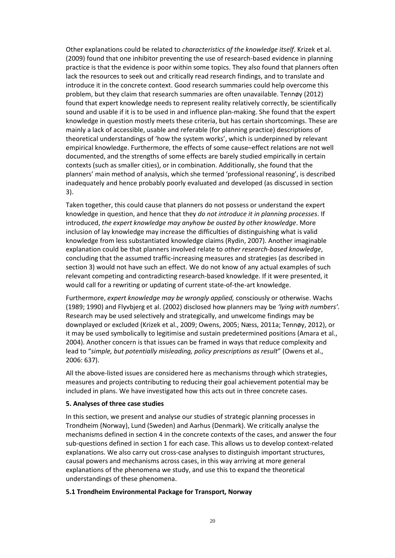Other explanations could be related to *characteristics of the knowledge itself*. Krizek et al. (2009) found that one inhibitor preventing the use of research-based evidence in planning practice is that the evidence is poor within some topics. They also found that planners often lack the resources to seek out and critically read research findings, and to translate and introduce it in the concrete context. Good research summaries could help overcome this problem, but they claim that research summaries are often unavailable. Tennøy (2012) found that expert knowledge needs to represent reality relatively correctly, be scientifically sound and usable if it is to be used in and influence plan-making. She found that the expert knowledge in question mostly meets these criteria, but has certain shortcomings. These are mainly a lack of accessible, usable and referable (for planning practice) descriptions of theoretical understandings of 'how the system works', which is underpinned by relevant empirical knowledge. Furthermore, the effects of some cause–effect relations are not well documented, and the strengths of some effects are barely studied empirically in certain contexts (such as smaller cities), or in combination. Additionally, she found that the planners' main method of analysis, which she termed 'professional reasoning', is described inadequately and hence probably poorly evaluated and developed (as discussed in section 3).

Taken together, this could cause that planners do not possess or understand the expert knowledge in question, and hence that they *do not introduce it in planning processes*. If introduced, *the expert knowledge may anyhow be ousted by other knowledge*. More inclusion of lay knowledge may increase the difficulties of distinguishing what is valid knowledge from less substantiated knowledge claims (Rydin, 2007). Another imaginable explanation could be that planners involved relate to *other research-based knowledge*, concluding that the assumed traffic-increasing measures and strategies (as described in section 3) would not have such an effect. We do not know of any actual examples of such relevant competing and contradicting research-based knowledge. If it were presented, it would call for a rewriting or updating of current state-of-the-art knowledge.

Furthermore, *expert knowledge may be wrongly applied,* consciously or otherwise. Wachs (1989; 1990) and Flyvbjerg et al. (2002) disclosed how planners may be *'lying with numbers'.*  Research may be used selectively and strategically, and unwelcome findings may be downplayed or excluded (Krizek et al., 2009; Owens, 2005; Næss, 2011a; Tennøy, 2012), or it may be used symbolically to legitimise and sustain predetermined positions (Amara et al., 2004). Another concern is that issues can be framed in ways that reduce complexity and lead to "*simple, but potentially misleading, policy prescriptions as result*" (Owens et al., 2006: 637).

All the above-listed issues are considered here as mechanisms through which strategies, measures and projects contributing to reducing their goal achievement potential may be included in plans. We have investigated how this acts out in three concrete cases.

## **5. Analyses of three case studies**

In this section, we present and analyse our studies of strategic planning processes in Trondheim (Norway), Lund (Sweden) and Aarhus (Denmark). We critically analyse the mechanisms defined in section 4 in the concrete contexts of the cases, and answer the four sub-questions defined in section 1 for each case. This allows us to develop context-related explanations. We also carry out cross-case analyses to distinguish important structures, causal powers and mechanisms across cases, in this way arriving at more general explanations of the phenomena we study, and use this to expand the theoretical understandings of these phenomena.

## **5.1 Trondheim Environmental Package for Transport, Norway**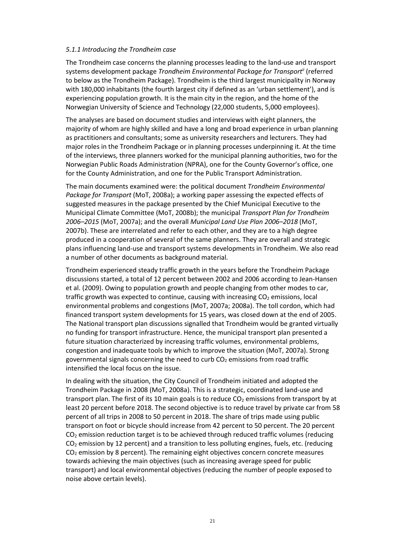#### *5.1.1 Introducing the Trondheim case*

The Trondheim case concerns the planning processes leading to the land-use and transport systems development package *Trondheim Environmental Package for Transportii* (referred to below as the Trondheim Package). Trondheim is the third largest municipality in Norway with 180,000 inhabitants (the fourth largest city if defined as an 'urban settlement'), and is experiencing population growth. It is the main city in the region, and the home of the Norwegian University of Science and Technology (22,000 students, 5,000 employees).

The analyses are based on document studies and interviews with eight planners, the majority of whom are highly skilled and have a long and broad experience in urban planning as practitioners and consultants; some as university researchers and lecturers. They had major roles in the Trondheim Package or in planning processes underpinning it. At the time of the interviews, three planners worked for the municipal planning authorities, two for the Norwegian Public Roads Administration (NPRA), one for the County Governor's office, one for the County Administration, and one for the Public Transport Administration.

The main documents examined were: the political document *Trondheim Environmental Package for Transport* (MoT, 2008a); a working paper assessing the expected effects of suggested measures in the package presented by the Chief Municipal Executive to the Municipal Climate Committee (MoT, 2008b); the municipal *Transport Plan for Trondheim 2006–2015* (MoT, 2007a); and the overall *Municipal Land Use Plan 2006–2018* (MoT, 2007b). These are interrelated and refer to each other, and they are to a high degree produced in a cooperation of several of the same planners. They are overall and strategic plans influencing land-use and transport systems developments in Trondheim. We also read a number of other documents as background material.

Trondheim experienced steady traffic growth in the years before the Trondheim Package discussions started, a total of 12 percent between 2002 and 2006 according to Jean-Hansen et al. (2009). Owing to population growth and people changing from other modes to car, traffic growth was expected to continue, causing with increasing  $CO<sub>2</sub>$  emissions, local environmental problems and congestions (MoT, 2007a; 2008a). The toll cordon, which had financed transport system developments for 15 years, was closed down at the end of 2005. The National transport plan discussions signalled that Trondheim would be granted virtually no funding for transport infrastructure. Hence, the municipal transport plan presented a future situation characterized by increasing traffic volumes, environmental problems, congestion and inadequate tools by which to improve the situation (MoT, 2007a). Strong governmental signals concerning the need to curb  $CO<sub>2</sub>$  emissions from road traffic intensified the local focus on the issue.

In dealing with the situation, the City Council of Trondheim initiated and adopted the Trondheim Package in 2008 (MoT, 2008a). This is a strategic, coordinated land-use and transport plan. The first of its 10 main goals is to reduce  $CO<sub>2</sub>$  emissions from transport by at least 20 percent before 2018. The second objective is to reduce travel by private car from 58 percent of all trips in 2008 to 50 percent in 2018. The share of trips made using public transport on foot or bicycle should increase from 42 percent to 50 percent. The 20 percent  $CO<sub>2</sub>$  emission reduction target is to be achieved through reduced traffic volumes (reducing  $CO<sub>2</sub>$  emission by 12 percent) and a transition to less polluting engines, fuels, etc. (reducing  $CO<sub>2</sub>$  emission by 8 percent). The remaining eight objectives concern concrete measures towards achieving the main objectives (such as increasing average speed for public transport) and local environmental objectives (reducing the number of people exposed to noise above certain levels).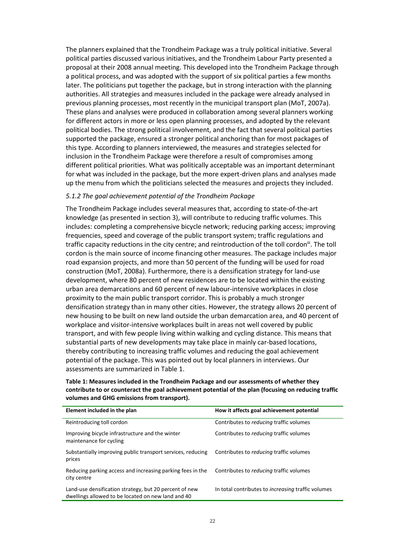The planners explained that the Trondheim Package was a truly political initiative. Several political parties discussed various initiatives, and the Trondheim Labour Party presented a proposal at their 2008 annual meeting. This developed into the Trondheim Package through a political process, and was adopted with the support of six political parties a few months later. The politicians put together the package, but in strong interaction with the planning authorities. All strategies and measures included in the package were already analysed in previous planning processes, most recently in the municipal transport plan (MoT, 2007a). These plans and analyses were produced in collaboration among several planners working for different actors in more or less open planning processes, and adopted by the relevant political bodies. The strong political involvement, and the fact that several political parties supported the package, ensured a stronger political anchoring than for most packages of this type. According to planners interviewed, the measures and strategies selected for inclusion in the Trondheim Package were therefore a result of compromises among different political priorities. What was politically acceptable was an important determinant for what was included in the package, but the more expert-driven plans and analyses made up the menu from which the politicians selected the measures and projects they included.

## *5.1.2 The goal achievement potential of the Trondheim Package*

The Trondheim Package includes several measures that, according to state-of-the-art knowledge (as presented in section 3), will contribute to reducing traffic volumes. This includes: completing a comprehensive bicycle network; reducing parking access; improving frequencies, speed and coverage of the public transport system; traffic regulations and traffic capacity reductions in the city centre; and reintroduction of the toll cordon<sup>ii</sup>. The toll cordon is the main source of income financing other measures. The package includes major road expansion projects, and more than 50 percent of the funding will be used for road construction (MoT, 2008a). Furthermore, there is a densification strategy for land-use development, where 80 percent of new residences are to be located within the existing urban area demarcations and 60 percent of new labour-intensive workplaces in close proximity to the main public transport corridor. This is probably a much stronger densification strategy than in many other cities. However, the strategy allows 20 percent of new housing to be built on new land outside the urban demarcation area, and 40 percent of workplace and visitor-intensive workplaces built in areas not well covered by public transport, and with few people living within walking and cycling distance. This means that substantial parts of new developments may take place in mainly car-based locations, thereby contributing to increasing traffic volumes and reducing the goal achievement potential of the package. This was pointed out by local planners in interviews. Our assessments are summarized in Table 1.

**Table 1: Measures included in the Trondheim Package and our assessments of whether they contribute to or counteract the goal achievement potential of the plan (focusing on reducing traffic volumes and GHG emissions from transport).**

| Element included in the plan                                                                                 | How it affects goal achievement potential                 |
|--------------------------------------------------------------------------------------------------------------|-----------------------------------------------------------|
| Reintroducing toll cordon                                                                                    | Contributes to reducing traffic volumes                   |
| Improving bicycle infrastructure and the winter<br>maintenance for cycling                                   | Contributes to reducing traffic volumes                   |
| Substantially improving public transport services, reducing<br>prices                                        | Contributes to reducing traffic volumes                   |
| Reducing parking access and increasing parking fees in the<br>city centre                                    | Contributes to reducing traffic volumes                   |
| Land-use densification strategy, but 20 percent of new<br>dwellings allowed to be located on new land and 40 | In total contributes to <i>increasing</i> traffic volumes |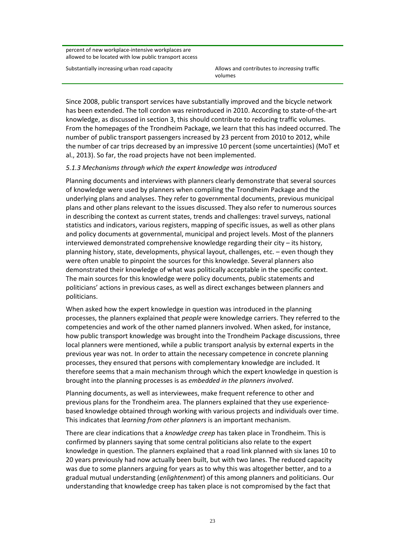percent of new workplace-intensive workplaces are allowed to be located with low public transport access

Substantially increasing urban road capacity Allows and contributes to *increasing* traffic volumes

Since 2008, public transport services have substantially improved and the bicycle network has been extended. The toll cordon was reintroduced in 2010. According to state-of-the-art knowledge, as discussed in section 3, this should contribute to reducing traffic volumes. From the homepages of the Trondheim Package, we learn that this has indeed occurred. The number of public transport passengers increased by 23 percent from 2010 to 2012, while the number of car trips decreased by an impressive 10 percent (some uncertainties) (MoT et al., 2013). So far, the road projects have not been implemented.

### *5.1.3 Mechanisms through which the expert knowledge was introduced*

Planning documents and interviews with planners clearly demonstrate that several sources of knowledge were used by planners when compiling the Trondheim Package and the underlying plans and analyses. They refer to governmental documents, previous municipal plans and other plans relevant to the issues discussed. They also refer to numerous sources in describing the context as current states, trends and challenges: travel surveys, national statistics and indicators, various registers, mapping of specific issues, as well as other plans and policy documents at governmental, municipal and project levels. Most of the planners interviewed demonstrated comprehensive knowledge regarding their city – its history, planning history, state, developments, physical layout, challenges, etc. – even though they were often unable to pinpoint the sources for this knowledge. Several planners also demonstrated their knowledge of what was politically acceptable in the specific context. The main sources for this knowledge were policy documents, public statements and politicians' actions in previous cases, as well as direct exchanges between planners and politicians.

When asked how the expert knowledge in question was introduced in the planning processes, the planners explained that *people* were knowledge carriers. They referred to the competencies and work of the other named planners involved. When asked, for instance, how public transport knowledge was brought into the Trondheim Package discussions, three local planners were mentioned, while a public transport analysis by external experts in the previous year was not. In order to attain the necessary competence in concrete planning processes, they ensured that persons with complementary knowledge are included. It therefore seems that a main mechanism through which the expert knowledge in question is brought into the planning processes is as *embedded in the planners involved*.

Planning documents, as well as interviewees, make frequent reference to other and previous plans for the Trondheim area. The planners explained that they use experiencebased knowledge obtained through working with various projects and individuals over time. This indicates that *learning from other planners* is an important mechanism.

There are clear indications that a *knowledge creep* has taken place in Trondheim. This is confirmed by planners saying that some central politicians also relate to the expert knowledge in question. The planners explained that a road link planned with six lanes 10 to 20 years previously had now actually been built, but with two lanes. The reduced capacity was due to some planners arguing for years as to why this was altogether better, and to a gradual mutual understanding (*enlightenment*) of this among planners and politicians. Our understanding that knowledge creep has taken place is not compromised by the fact that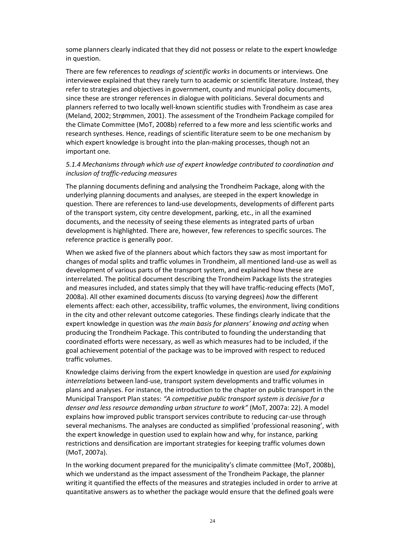some planners clearly indicated that they did not possess or relate to the expert knowledge in question.

There are few references to *readings of scientific works* in documents or interviews. One interviewee explained that they rarely turn to academic or scientific literature. Instead, they refer to strategies and objectives in government, county and municipal policy documents, since these are stronger references in dialogue with politicians. Several documents and planners referred to two locally well-known scientific studies with Trondheim as case area (Meland, 2002; Strømmen, 2001). The assessment of the Trondheim Package compiled for the Climate Committee (MoT, 2008b) referred to a few more and less scientific works and research syntheses. Hence, readings of scientific literature seem to be one mechanism by which expert knowledge is brought into the plan-making processes, though not an important one.

## *5.1.4 Mechanisms through which use of expert knowledge contributed to coordination and inclusion of traffic-reducing measures*

The planning documents defining and analysing the Trondheim Package, along with the underlying planning documents and analyses, are steeped in the expert knowledge in question. There are references to land-use developments, developments of different parts of the transport system, city centre development, parking, etc., in all the examined documents, and the necessity of seeing these elements as integrated parts of urban development is highlighted. There are, however, few references to specific sources. The reference practice is generally poor.

When we asked five of the planners about which factors they saw as most important for changes of modal splits and traffic volumes in Trondheim, all mentioned land-use as well as development of various parts of the transport system, and explained how these are interrelated. The political document describing the Trondheim Package lists the strategies and measures included, and states simply that they will have traffic-reducing effects (MoT, 2008a). All other examined documents discuss (to varying degrees) *how* the different elements affect: each other, accessibility, traffic volumes, the environment, living conditions in the city and other relevant outcome categories. These findings clearly indicate that the expert knowledge in question was *the main basis for planners' knowing and acting* when producing the Trondheim Package. This contributed to founding the understanding that coordinated efforts were necessary, as well as which measures had to be included, if the goal achievement potential of the package was to be improved with respect to reduced traffic volumes.

Knowledge claims deriving from the expert knowledge in question are used *for explaining interrelations* between land-use, transport system developments and traffic volumes in plans and analyses. For instance, the introduction to the chapter on public transport in the Municipal Transport Plan states: *"A competitive public transport system is decisive for a denser and less resource demanding urban structure to work"* (MoT, 2007a: 22). A model explains how improved public transport services contribute to reducing car-use through several mechanisms. The analyses are conducted as simplified 'professional reasoning', with the expert knowledge in question used to explain how and why, for instance, parking restrictions and densification are important strategies for keeping traffic volumes down (MoT, 2007a).

In the working document prepared for the municipality's climate committee (MoT, 2008b), which we understand as the impact assessment of the Trondheim Package, the planner writing it quantified the effects of the measures and strategies included in order to arrive at quantitative answers as to whether the package would ensure that the defined goals were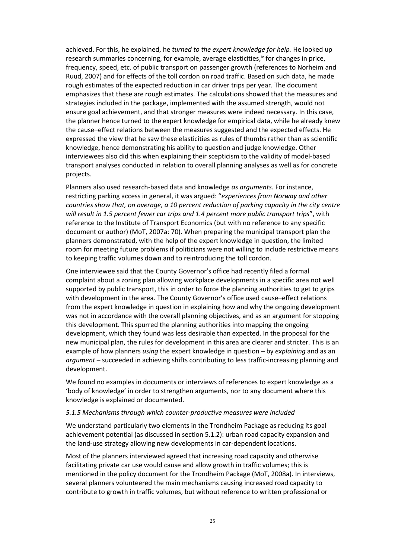achieved. For this, he explained, he *turned to the expert knowledge for help.* He looked up research summaries concerning, for example, average elasticities,<sup>iv</sup> for changes in price, frequency, speed, etc. of public transport on passenger growth (references to Norheim and Ruud, 2007) and for effects of the toll cordon on road traffic. Based on such data, he made rough estimates of the expected reduction in car driver trips per year. The document emphasizes that these are rough estimates. The calculations showed that the measures and strategies included in the package, implemented with the assumed strength, would not ensure goal achievement, and that stronger measures were indeed necessary. In this case, the planner hence turned to the expert knowledge for empirical data, while he already knew the cause–effect relations between the measures suggested and the expected effects. He expressed the view that he saw these elasticities as rules of thumbs rather than as scientific knowledge, hence demonstrating his ability to question and judge knowledge. Other interviewees also did this when explaining their scepticism to the validity of model-based transport analyses conducted in relation to overall planning analyses as well as for concrete projects.

Planners also used research-based data and knowledge *as arguments.* For instance, restricting parking access in general, it was argued: "*experiences from Norway and other countries show that, on average, a 10 percent reduction of parking capacity in the city centre will result in 1.5 percent fewer car trips and 1.4 percent more public transport trips*", with reference to the Institute of Transport Economics (but with no reference to any specific document or author) (MoT, 2007a: 70). When preparing the municipal transport plan the planners demonstrated, with the help of the expert knowledge in question, the limited room for meeting future problems if politicians were not willing to include restrictive means to keeping traffic volumes down and to reintroducing the toll cordon.

One interviewee said that the County Governor's office had recently filed a formal complaint about a zoning plan allowing workplace developments in a specific area not well supported by public transport, this in order to force the planning authorities to get to grips with development in the area. The County Governor's office used cause–effect relations from the expert knowledge in question in explaining how and why the ongoing development was not in accordance with the overall planning objectives, and as an argument for stopping this development. This spurred the planning authorities into mapping the ongoing development, which they found was less desirable than expected. In the proposal for the new municipal plan, the rules for development in this area are clearer and stricter. This is an example of how planners *using* the expert knowledge in question – by *explaining* and as an *argument* – succeeded in achieving shifts contributing to less traffic-increasing planning and development.

We found no examples in documents or interviews of references to expert knowledge as a 'body of knowledge' in order to strengthen arguments, nor to any document where this knowledge is explained or documented.

### *5.1.5 Mechanisms through which counter-productive measures were included*

We understand particularly two elements in the Trondheim Package as reducing its goal achievement potential (as discussed in section 5.1.2): urban road capacity expansion and the land-use strategy allowing new developments in car-dependent locations.

Most of the planners interviewed agreed that increasing road capacity and otherwise facilitating private car use would cause and allow growth in traffic volumes; this is mentioned in the policy document for the Trondheim Package (MoT, 2008a). In interviews, several planners volunteered the main mechanisms causing increased road capacity to contribute to growth in traffic volumes, but without reference to written professional or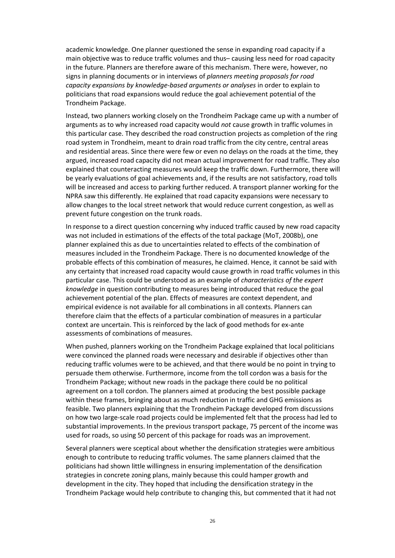academic knowledge. One planner questioned the sense in expanding road capacity if a main objective was to reduce traffic volumes and thus– causing less need for road capacity in the future. Planners are therefore aware of this mechanism. There were, however, no signs in planning documents or in interviews of *planners meeting proposals for road capacity expansions by knowledge-based arguments or analyses* in order to explain to politicians that road expansions would reduce the goal achievement potential of the Trondheim Package.

Instead, two planners working closely on the Trondheim Package came up with a number of arguments as to why increased road capacity would *not* cause growth in traffic volumes in this particular case. They described the road construction projects as completion of the ring road system in Trondheim, meant to drain road traffic from the city centre, central areas and residential areas. Since there were few or even no delays on the roads at the time, they argued, increased road capacity did not mean actual improvement for road traffic. They also explained that counteracting measures would keep the traffic down. Furthermore, there will be yearly evaluations of goal achievements and, if the results are not satisfactory, road tolls will be increased and access to parking further reduced. A transport planner working for the NPRA saw this differently. He explained that road capacity expansions were necessary to allow changes to the local street network that would reduce current congestion, as well as prevent future congestion on the trunk roads.

In response to a direct question concerning why induced traffic caused by new road capacity was not included in estimations of the effects of the total package (MoT, 2008b), one planner explained this as due to uncertainties related to effects of the combination of measures included in the Trondheim Package. There is no documented knowledge of the probable effects of this combination of measures, he claimed. Hence, it cannot be said with any certainty that increased road capacity would cause growth in road traffic volumes in this particular case. This could be understood as an example of *characteristics of the expert knowledge* in question contributing to measures being introduced that reduce the goal achievement potential of the plan. Effects of measures are context dependent, and empirical evidence is not available for all combinations in all contexts. Planners can therefore claim that the effects of a particular combination of measures in a particular context are uncertain. This is reinforced by the lack of good methods for ex-ante assessments of combinations of measures.

When pushed, planners working on the Trondheim Package explained that local politicians were convinced the planned roads were necessary and desirable if objectives other than reducing traffic volumes were to be achieved, and that there would be no point in trying to persuade them otherwise. Furthermore, income from the toll cordon was a basis for the Trondheim Package; without new roads in the package there could be no political agreement on a toll cordon. The planners aimed at producing the best possible package within these frames, bringing about as much reduction in traffic and GHG emissions as feasible. Two planners explaining that the Trondheim Package developed from discussions on how two large-scale road projects could be implemented felt that the process had led to substantial improvements. In the previous transport package, 75 percent of the income was used for roads, so using 50 percent of this package for roads was an improvement.

Several planners were sceptical about whether the densification strategies were ambitious enough to contribute to reducing traffic volumes. The same planners claimed that the politicians had shown little willingness in ensuring implementation of the densification strategies in concrete zoning plans, mainly because this could hamper growth and development in the city. They hoped that including the densification strategy in the Trondheim Package would help contribute to changing this, but commented that it had not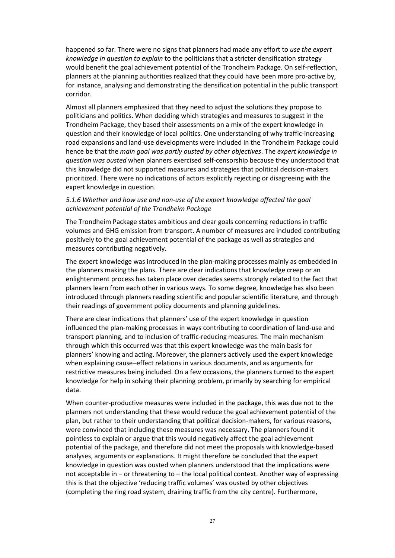happened so far. There were no signs that planners had made any effort to *use the expert knowledge in question to explain* to the politicians that a stricter densification strategy would benefit the goal achievement potential of the Trondheim Package. On self-reflection, planners at the planning authorities realized that they could have been more pro-active by, for instance, analysing and demonstrating the densification potential in the public transport corridor.

Almost all planners emphasized that they need to adjust the solutions they propose to politicians and politics. When deciding which strategies and measures to suggest in the Trondheim Package, they based their assessments on a mix of the expert knowledge in question and their knowledge of local politics. One understanding of why traffic-increasing road expansions and land-use developments were included in the Trondheim Package could hence be that the *main goal was partly ousted by other objectives*. The *expert knowledge in question was ousted* when planners exercised self-censorship because they understood that this knowledge did not supported measures and strategies that political decision-makers prioritized. There were no indications of actors explicitly rejecting or disagreeing with the expert knowledge in question.

## *5.1.6 Whether and how use and non-use of the expert knowledge affected the goal achievement potential of the Trondheim Package*

The Trondheim Package states ambitious and clear goals concerning reductions in traffic volumes and GHG emission from transport. A number of measures are included contributing positively to the goal achievement potential of the package as well as strategies and measures contributing negatively.

The expert knowledge was introduced in the plan-making processes mainly as embedded in the planners making the plans. There are clear indications that knowledge creep or an enlightenment process has taken place over decades seems strongly related to the fact that planners learn from each other in various ways. To some degree, knowledge has also been introduced through planners reading scientific and popular scientific literature, and through their readings of government policy documents and planning guidelines.

There are clear indications that planners' use of the expert knowledge in question influenced the plan-making processes in ways contributing to coordination of land-use and transport planning, and to inclusion of traffic-reducing measures. The main mechanism through which this occurred was that this expert knowledge was the main basis for planners' knowing and acting. Moreover, the planners actively used the expert knowledge when explaining cause–effect relations in various documents, and as arguments for restrictive measures being included. On a few occasions, the planners turned to the expert knowledge for help in solving their planning problem, primarily by searching for empirical data.

When counter-productive measures were included in the package, this was due not to the planners not understanding that these would reduce the goal achievement potential of the plan, but rather to their understanding that political decision-makers, for various reasons, were convinced that including these measures was necessary. The planners found it pointless to explain or argue that this would negatively affect the goal achievement potential of the package, and therefore did not meet the proposals with knowledge-based analyses, arguments or explanations. It might therefore be concluded that the expert knowledge in question was ousted when planners understood that the implications were not acceptable in – or threatening to – the local political context. Another way of expressing this is that the objective 'reducing traffic volumes' was ousted by other objectives (completing the ring road system, draining traffic from the city centre). Furthermore,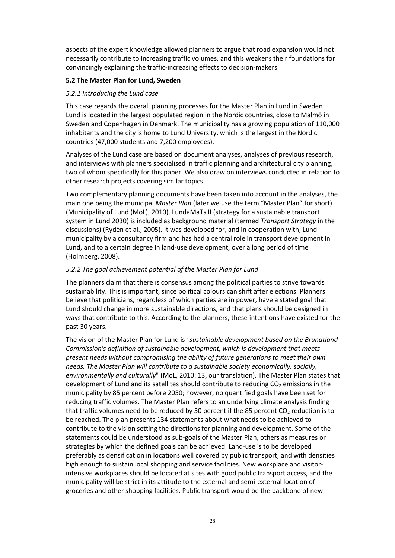aspects of the expert knowledge allowed planners to argue that road expansion would not necessarily contribute to increasing traffic volumes, and this weakens their foundations for convincingly explaining the traffic-increasing effects to decision-makers.

## **5.2 The Master Plan for Lund, Sweden**

## *5.2.1 Introducing the Lund case*

This case regards the overall planning processes for the Master Plan in Lund in Sweden. Lund is located in the largest populated region in the Nordic countries, close to Malmö in Sweden and Copenhagen in Denmark. The municipality has a growing population of 110,000 inhabitants and the city is home to Lund University, which is the largest in the Nordic countries (47,000 students and 7,200 employees).

Analyses of the Lund case are based on document analyses, analyses of previous research, and interviews with planners specialised in traffic planning and architectural city planning, two of whom specifically for this paper. We also draw on interviews conducted in relation to other research projects covering similar topics.

Two complementary planning documents have been taken into account in the analyses, the main one being the municipal *Master Plan* (later we use the term "Master Plan" for short) (Municipality of Lund (MoL), 2010). LundaMaTs II (strategy for a sustainable transport system in Lund 2030) is included as background material (termed *Transport Strategy* in the discussions) (Rydèn et al., 2005). It was developed for, and in cooperation with, Lund municipality by a consultancy firm and has had a central role in transport development in Lund, and to a certain degree in land-use development, over a long period of time (Holmberg, 2008).

## *5.2.2 The goal achievement potential of the Master Plan for Lund*

The planners claim that there is consensus among the political parties to strive towards sustainability. This is important, since political colours can shift after elections. Planners believe that politicians, regardless of which parties are in power, have a stated goal that Lund should change in more sustainable directions, and that plans should be designed in ways that contribute to this. According to the planners, these intentions have existed for the past 30 years.

The vision of the Master Plan for Lund is *"sustainable development based on the Brundtland Commission's definition of sustainable development, which is development that meets present needs without compromising the ability of future generations to meet their own needs. The Master Plan will contribute to a sustainable society economically, socially, environmentally and culturally*" (MoL, 2010: 13, our translation). The Master Plan states that development of Lund and its satellites should contribute to reducing  $CO<sub>2</sub>$  emissions in the municipality by 85 percent before 2050; however, no quantified goals have been set for reducing traffic volumes. The Master Plan refers to an underlying climate analysis finding that traffic volumes need to be reduced by 50 percent if the 85 percent  $CO<sub>2</sub>$  reduction is to be reached. The plan presents 134 statements about what needs to be achieved to contribute to the vision setting the directions for planning and development. Some of the statements could be understood as sub-goals of the Master Plan, others as measures or strategies by which the defined goals can be achieved. Land-use is to be developed preferably as densification in locations well covered by public transport, and with densities high enough to sustain local shopping and service facilities. New workplace and visitorintensive workplaces should be located at sites with good public transport access, and the municipality will be strict in its attitude to the external and semi-external location of groceries and other shopping facilities. Public transport would be the backbone of new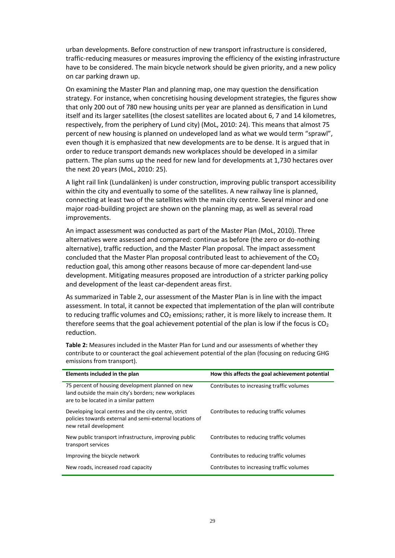urban developments. Before construction of new transport infrastructure is considered, traffic-reducing measures or measures improving the efficiency of the existing infrastructure have to be considered. The main bicycle network should be given priority, and a new policy on car parking drawn up.

On examining the Master Plan and planning map, one may question the densification strategy. For instance, when concretising housing development strategies, the figures show that only 200 out of 780 new housing units per year are planned as densification in Lund itself and its larger satellites (the closest satellites are located about 6, 7 and 14 kilometres, respectively, from the periphery of Lund city) (MoL, 2010: 24). This means that almost 75 percent of new housing is planned on undeveloped land as what we would term "sprawl", even though it is emphasized that new developments are to be dense. It is argued that in order to reduce transport demands new workplaces should be developed in a similar pattern. The plan sums up the need for new land for developments at 1,730 hectares over the next 20 years (MoL, 2010: 25).

A light rail link (Lundalänken) is under construction, improving public transport accessibility within the city and eventually to some of the satellites. A new railway line is planned, connecting at least two of the satellites with the main city centre. Several minor and one major road-building project are shown on the planning map, as well as several road improvements.

An impact assessment was conducted as part of the Master Plan (MoL, 2010). Three alternatives were assessed and compared: continue as before (the zero or do-nothing alternative), traffic reduction, and the Master Plan proposal. The impact assessment concluded that the Master Plan proposal contributed least to achievement of the  $CO<sub>2</sub>$ reduction goal, this among other reasons because of more car-dependent land-use development. Mitigating measures proposed are introduction of a stricter parking policy and development of the least car-dependent areas first.

As summarized in Table 2, our assessment of the Master Plan is in line with the impact assessment. In total, it cannot be expected that implementation of the plan will contribute to reducing traffic volumes and  $CO<sub>2</sub>$  emissions; rather, it is more likely to increase them. It therefore seems that the goal achievement potential of the plan is low if the focus is  $CO<sub>2</sub>$ reduction.

| Elements included in the plan                                                                                                                      | How this affects the goal achievement potential |
|----------------------------------------------------------------------------------------------------------------------------------------------------|-------------------------------------------------|
| 75 percent of housing development planned on new<br>land outside the main city's borders; new workplaces<br>are to be located in a similar pattern | Contributes to increasing traffic volumes       |
| Developing local centres and the city centre, strict<br>policies towards external and semi-external locations of<br>new retail development         | Contributes to reducing traffic volumes         |
| New public transport infrastructure, improving public<br>transport services                                                                        | Contributes to reducing traffic volumes         |
| Improving the bicycle network                                                                                                                      | Contributes to reducing traffic volumes         |
| New roads, increased road capacity                                                                                                                 | Contributes to increasing traffic volumes       |

**Table 2:** Measures included in the Master Plan for Lund and our assessments of whether they contribute to or counteract the goal achievement potential of the plan (focusing on reducing GHG emissions from transport).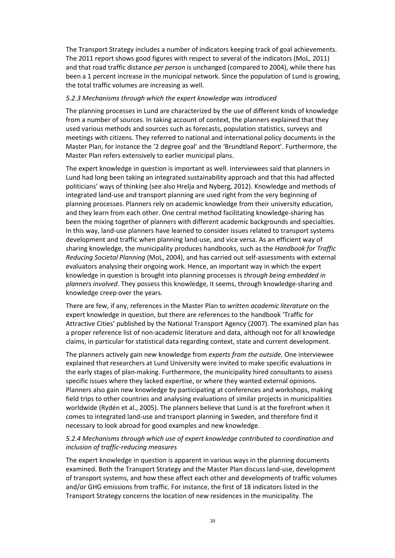The Transport Strategy includes a number of indicators keeping track of goal achievements. The 2011 report shows good figures with respect to several of the indicators (MoL, 2011) and that road traffic distance *per person* is unchanged (compared to 2004), while there has been a 1 percent increase in the municipal network. Since the population of Lund is growing, the total traffic volumes are increasing as well.

### *5.2.3 Mechanisms through which the expert knowledge was introduced*

The planning processes in Lund are characterized by the use of different kinds of knowledge from a number of sources. In taking account of context, the planners explained that they used various methods and sources such as forecasts, population statistics, surveys and meetings with citizens. They referred to national and international policy documents in the Master Plan, for instance the '2 degree goal' and the 'Brundtland Report'. Furthermore, the Master Plan refers extensively to earlier municipal plans.

The expert knowledge in question is important as well. Interviewees said that planners in Lund had long been taking an integrated sustainability approach and that this had affected politicians' ways of thinking (see also Hrelja and Nyberg, 2012). Knowledge and methods of integrated land-use and transport planning are used right from the very beginning of planning processes. Planners rely on academic knowledge from their university education, and they learn from each other. One central method facilitating knowledge-sharing has been the mixing together of planners with different academic backgrounds and specialties. In this way, land-use planners have learned to consider issues related to transport systems development and traffic when planning land-use, and vice versa. As an efficient way of sharing knowledge, the municipality produces handbooks, such as the *Handbook for Traffic Reducing Societal Planning* (MoL, 2004), and has carried out self-assessments with external evaluators analysing their ongoing work. Hence, an important way in which the expert knowledge in question is brought into planning processes is *through being embedded in planners involved*. They possess this knowledge, it seems, through knowledge-sharing and knowledge creep over the years.

There are few, if any, references in the Master Plan to *written academic literature* on the expert knowledge in question, but there are references to the handbook 'Traffic for Attractive Cities' published by the National Transport Agency (2007). The examined plan has a proper reference list of non-academic literature and data, although not for all knowledge claims, in particular for statistical data regarding context, state and current development.

The planners actively gain new knowledge from *experts from the outside.* One interviewee explained that researchers at Lund University were invited to make specific evaluations in the early stages of plan-making. Furthermore, the municipality hired consultants to assess specific issues where they lacked expertise, or where they wanted external opinions. Planners also gain new knowledge by participating at conferences and workshops, making field trips to other countries and analysing evaluations of similar projects in municipalities worldwide (Rydén et al., 2005). The planners believe that Lund is at the forefront when it comes to integrated land-use and transport planning in Sweden, and therefore find it necessary to look abroad for good examples and new knowledge.

## *5.2.4 Mechanisms through which use of expert knowledge contributed to coordination and inclusion of traffic-reducing measures*

The expert knowledge in question is apparent in various ways in the planning documents examined. Both the Transport Strategy and the Master Plan discuss land-use, development of transport systems, and how these affect each other and developments of traffic volumes and/or GHG emissions from traffic. For instance, the first of 18 indicators listed in the Transport Strategy concerns the location of new residences in the municipality. The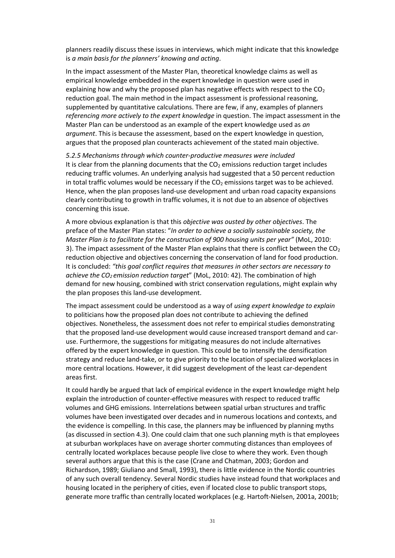planners readily discuss these issues in interviews, which might indicate that this knowledge is *a main basis for the planners' knowing and acting*.

In the impact assessment of the Master Plan, theoretical knowledge claims as well as empirical knowledge embedded in the expert knowledge in question were used in explaining how and why the proposed plan has negative effects with respect to the  $CO<sub>2</sub>$ reduction goal. The main method in the impact assessment is professional reasoning, supplemented by quantitative calculations. There are few, if any, examples of planners *referencing more actively to the expert knowledge* in question. The impact assessment in the Master Plan can be understood as an example of the expert knowledge used as *an argument*. This is because the assessment, based on the expert knowledge in question, argues that the proposed plan counteracts achievement of the stated main objective.

*5.2.5 Mechanisms through which counter-productive measures were included*  It is clear from the planning documents that the  $CO<sub>2</sub>$  emissions reduction target includes reducing traffic volumes. An underlying analysis had suggested that a 50 percent reduction in total traffic volumes would be necessary if the  $CO<sub>2</sub>$  emissions target was to be achieved. Hence, when the plan proposes land-use development and urban road capacity expansions clearly contributing to growth in traffic volumes, it is not due to an absence of objectives concerning this issue.

A more obvious explanation is that this *objective was ousted by other objectives*. The preface of the Master Plan states: "*In order to achieve a socially sustainable society, the Master Plan is to facilitate for the construction of 900 housing units per year"* (MoL, 2010: 3). The impact assessment of the Master Plan explains that there is conflict between the  $CO<sub>2</sub>$ reduction objective and objectives concerning the conservation of land for food production. It is concluded: *"this goal conflict requires that measures in other sectors are necessary to achieve the CO2 emission reduction target*" (MoL, 2010: 42). The combination of high demand for new housing, combined with strict conservation regulations, might explain why the plan proposes this land-use development.

The impact assessment could be understood as a way of *using expert knowledge to explain* to politicians how the proposed plan does not contribute to achieving the defined objectives. Nonetheless, the assessment does not refer to empirical studies demonstrating that the proposed land-use development would cause increased transport demand and caruse. Furthermore, the suggestions for mitigating measures do not include alternatives offered by the expert knowledge in question. This could be to intensify the densification strategy and reduce land-take, or to give priority to the location of specialized workplaces in more central locations. However, it did suggest development of the least car-dependent areas first.

It could hardly be argued that lack of empirical evidence in the expert knowledge might help explain the introduction of counter-effective measures with respect to reduced traffic volumes and GHG emissions. Interrelations between spatial urban structures and traffic volumes have been investigated over decades and in numerous locations and contexts, and the evidence is compelling. In this case, the planners may be influenced by planning myths (as discussed in section 4.3). One could claim that one such planning myth is that employees at suburban workplaces have on average shorter commuting distances than employees of centrally located workplaces because people live close to where they work. Even though several authors argue that this is the case (Crane and Chatman, 2003; Gordon and Richardson, 1989; Giuliano and Small, 1993), there is little evidence in the Nordic countries of any such overall tendency. Several Nordic studies have instead found that workplaces and housing located in the periphery of cities, even if located close to public transport stops, generate more traffic than centrally located workplaces (e.g. Hartoft-Nielsen, 2001a, 2001b;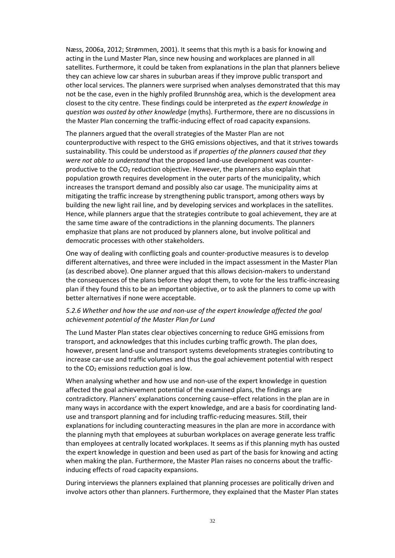Næss, 2006a, 2012; Strømmen, 2001). It seems that this myth is a basis for knowing and acting in the Lund Master Plan, since new housing and workplaces are planned in all satellites. Furthermore, it could be taken from explanations in the plan that planners believe they can achieve low car shares in suburban areas if they improve public transport and other local services. The planners were surprised when analyses demonstrated that this may not be the case, even in the highly profiled Brunnshög area, which is the development area closest to the city centre. These findings could be interpreted as *the expert knowledge in question was ousted by other knowledge* (myths). Furthermore, there are no discussions in the Master Plan concerning the traffic-inducing effect of road capacity expansions.

The planners argued that the overall strategies of the Master Plan are not counterproductive with respect to the GHG emissions objectives, and that it strives towards sustainability. This could be understood as if *properties of the planners caused that they were not able to understand* that the proposed land-use development was counterproductive to the  $CO<sub>2</sub>$  reduction objective. However, the planners also explain that population growth requires development in the outer parts of the municipality, which increases the transport demand and possibly also car usage. The municipality aims at mitigating the traffic increase by strengthening public transport, among others ways by building the new light rail line, and by developing services and workplaces in the satellites. Hence, while planners argue that the strategies contribute to goal achievement, they are at the same time aware of the contradictions in the planning documents. The planners emphasize that plans are not produced by planners alone, but involve political and democratic processes with other stakeholders.

One way of dealing with conflicting goals and counter-productive measures is to develop different alternatives, and three were included in the impact assessment in the Master Plan (as described above). One planner argued that this allows decision-makers to understand the consequences of the plans before they adopt them, to vote for the less traffic-increasing plan if they found this to be an important objective, or to ask the planners to come up with better alternatives if none were acceptable.

## *5.2.6 Whether and how the use and non-use of the expert knowledge affected the goal achievement potential of the Master Plan for Lund*

The Lund Master Plan states clear objectives concerning to reduce GHG emissions from transport, and acknowledges that this includes curbing traffic growth. The plan does, however, present land-use and transport systems developments strategies contributing to increase car-use and traffic volumes and thus the goal achievement potential with respect to the  $CO<sub>2</sub>$  emissions reduction goal is low.

When analysing whether and how use and non-use of the expert knowledge in question affected the goal achievement potential of the examined plans, the findings are contradictory. Planners' explanations concerning cause–effect relations in the plan are in many ways in accordance with the expert knowledge, and are a basis for coordinating landuse and transport planning and for including traffic-reducing measures. Still, their explanations for including counteracting measures in the plan are more in accordance with the planning myth that employees at suburban workplaces on average generate less traffic than employees at centrally located workplaces. It seems as if this planning myth has ousted the expert knowledge in question and been used as part of the basis for knowing and acting when making the plan. Furthermore, the Master Plan raises no concerns about the trafficinducing effects of road capacity expansions.

During interviews the planners explained that planning processes are politically driven and involve actors other than planners. Furthermore, they explained that the Master Plan states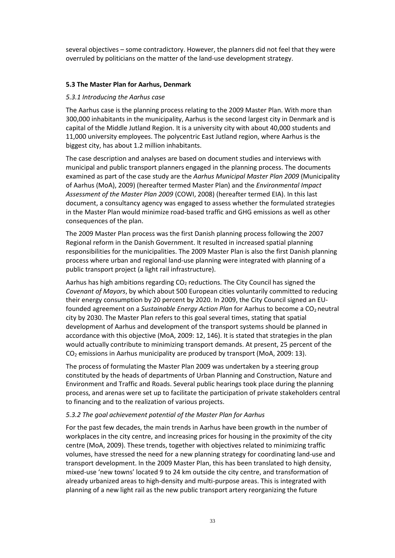several objectives – some contradictory. However, the planners did not feel that they were overruled by politicians on the matter of the land-use development strategy.

## **5.3 The Master Plan for Aarhus, Denmark**

## *5.3.1 Introducing the Aarhus case*

The Aarhus case is the planning process relating to the 2009 Master Plan. With more than 300,000 inhabitants in the municipality, Aarhus is the second largest city in Denmark and is capital of the Middle Jutland Region. It is a university city with about 40,000 students and 11,000 university employees. The polycentric East Jutland region, where Aarhus is the biggest city, has about 1.2 million inhabitants.

The case description and analyses are based on document studies and interviews with municipal and public transport planners engaged in the planning process. The documents examined as part of the case study are the *Aarhus Municipal Master Plan 2009* (Municipality of Aarhus (MoA), 2009) (hereafter termed Master Plan) and the *Environmental Impact Assessment of the Master Plan 2009* (COWI, 2008) (hereafter termed EIA). In this last document, a consultancy agency was engaged to assess whether the formulated strategies in the Master Plan would minimize road-based traffic and GHG emissions as well as other consequences of the plan.

The 2009 Master Plan process was the first Danish planning process following the 2007 Regional reform in the Danish Government. It resulted in increased spatial planning responsibilities for the municipalities. The 2009 Master Plan is also the first Danish planning process where urban and regional land-use planning were integrated with planning of a public transport project (a light rail infrastructure).

Aarhus has high ambitions regarding  $CO<sub>2</sub>$  reductions. The City Council has signed the *Covenant of Mayors*, by which about 500 European cities voluntarily committed to reducing their energy consumption by 20 percent by 2020. In 2009, the City Council signed an EUfounded agreement on a *Sustainable Energy Action Plan* for Aarhus to become a CO<sub>2</sub> neutral city by 2030. The Master Plan refers to this goal several times, stating that spatial development of Aarhus and development of the transport systems should be planned in accordance with this objective (MoA, 2009: 12, 146). It is stated that strategies in the plan would actually contribute to minimizing transport demands. At present, 25 percent of the CO<sup>2</sup> emissions in Aarhus municipality are produced by transport (MoA, 2009: 13).

The process of formulating the Master Plan 2009 was undertaken by a steering group constituted by the heads of departments of Urban Planning and Construction, Nature and Environment and Traffic and Roads. Several public hearings took place during the planning process, and arenas were set up to facilitate the participation of private stakeholders central to financing and to the realization of various projects.

# *5.3.2 The goal achievement potential of the Master Plan for Aarhus*

For the past few decades, the main trends in Aarhus have been growth in the number of workplaces in the city centre, and increasing prices for housing in the proximity of the city centre (MoA, 2009). These trends, together with objectives related to minimizing traffic volumes, have stressed the need for a new planning strategy for coordinating land-use and transport development. In the 2009 Master Plan, this has been translated to high density, mixed-use 'new towns' located 9 to 24 km outside the city centre, and transformation of already urbanized areas to high-density and multi-purpose areas. This is integrated with planning of a new light rail as the new public transport artery reorganizing the future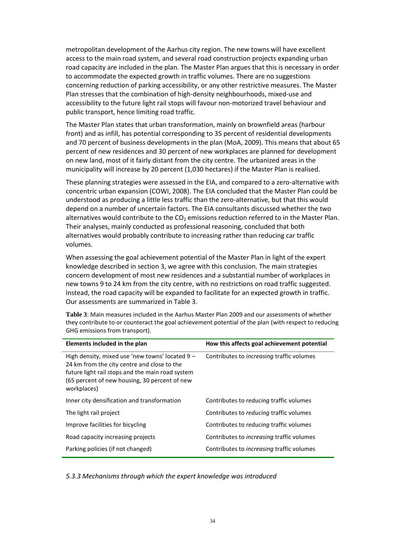metropolitan development of the Aarhus city region. The new towns will have excellent access to the main road system, and several road construction projects expanding urban road capacity are included in the plan. The Master Plan argues that this is necessary in order to accommodate the expected growth in traffic volumes. There are no suggestions concerning reduction of parking accessibility, or any other restrictive measures. The Master Plan stresses that the combination of high-density neighbourhoods, mixed-use and accessibility to the future light rail stops will favour non-motorized travel behaviour and public transport, hence limiting road traffic.

The Master Plan states that urban transformation, mainly on brownfield areas (harbour front) and as infill, has potential corresponding to 35 percent of residential developments and 70 percent of business developments in the plan (MoA, 2009). This means that about 65 percent of new residences and 30 percent of new workplaces are planned for development on new land, most of it fairly distant from the city centre. The urbanized areas in the municipality will increase by 20 percent (1,030 hectares) if the Master Plan is realised.

These planning strategies were assessed in the EIA, and compared to a zero-alternative with concentric urban expansion (COWI, 2008). The EIA concluded that the Master Plan could be understood as producing a little less traffic than the zero-alternative, but that this would depend on a number of uncertain factors. The EIA consultants discussed whether the two alternatives would contribute to the  $CO<sub>2</sub>$  emissions reduction referred to in the Master Plan. Their analyses, mainly conducted as professional reasoning, concluded that both alternatives would probably contribute to increasing rather than reducing car traffic volumes.

When assessing the goal achievement potential of the Master Plan in light of the expert knowledge described in section 3, we agree with this conclusion. The main strategies concern development of most new residences and a substantial number of workplaces in new towns 9 to 24 km from the city centre, with no restrictions on road traffic suggested. Instead, the road capacity will be expanded to facilitate for an expected growth in traffic. Our assessments are summarized in Table 3.

**Table 3**: Main measures included in the Aarhus Master Plan 2009 and our assessments of whether they contribute to or counteract the goal achievement potential of the plan (with respect to reducing GHG emissions from transport).

| Elements included in the plan                                                                                                                                                                                        | How this affects goal achievement potential      |
|----------------------------------------------------------------------------------------------------------------------------------------------------------------------------------------------------------------------|--------------------------------------------------|
| High density, mixed use 'new towns' located $9 -$<br>24 km from the city centre and close to the<br>future light rail stops and the main road system<br>(65 percent of new housing, 30 percent of new<br>workplaces) | Contributes to <i>increasing</i> traffic volumes |
| Inner city densification and transformation                                                                                                                                                                          | Contributes to reducing traffic volumes          |
| The light rail project                                                                                                                                                                                               | Contributes to reducing traffic volumes          |
| Improve facilities for bicycling                                                                                                                                                                                     | Contributes to reducing traffic volumes          |
| Road capacity increasing projects                                                                                                                                                                                    | Contributes to <i>increasing</i> traffic volumes |
| Parking policies (if not changed)                                                                                                                                                                                    | Contributes to <i>increasing</i> traffic volumes |

*5.3.3 Mechanisms through which the expert knowledge was introduced*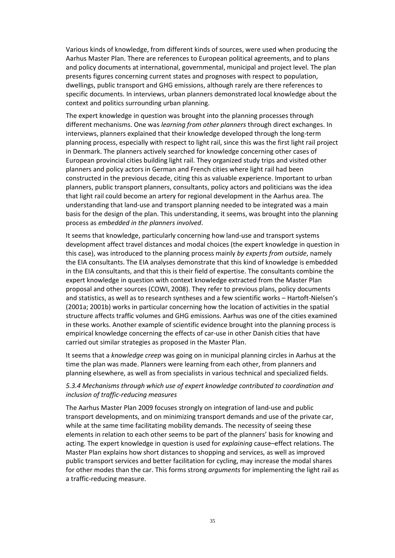Various kinds of knowledge, from different kinds of sources, were used when producing the Aarhus Master Plan. There are references to European political agreements, and to plans and policy documents at international, governmental, municipal and project level. The plan presents figures concerning current states and prognoses with respect to population, dwellings, public transport and GHG emissions, although rarely are there references to specific documents. In interviews, urban planners demonstrated local knowledge about the context and politics surrounding urban planning.

The expert knowledge in question was brought into the planning processes through different mechanisms. One was *learning from other planners* through direct exchanges. In interviews, planners explained that their knowledge developed through the long-term planning process, especially with respect to light rail, since this was the first light rail project in Denmark. The planners actively searched for knowledge concerning other cases of European provincial cities building light rail. They organized study trips and visited other planners and policy actors in German and French cities where light rail had been constructed in the previous decade, citing this as valuable experience. Important to urban planners, public transport planners, consultants, policy actors and politicians was the idea that light rail could become an artery for regional development in the Aarhus area. The understanding that land-use and transport planning needed to be integrated was a main basis for the design of the plan. This understanding, it seems, was brought into the planning process as *embedded in the planners involved*.

It seems that knowledge, particularly concerning how land-use and transport systems development affect travel distances and modal choices (the expert knowledge in question in this case), was introduced to the planning process mainly *by experts from outside*, namely the EIA consultants. The EIA analyses demonstrate that this kind of knowledge is embedded in the EIA consultants, and that this is their field of expertise. The consultants combine the expert knowledge in question with context knowledge extracted from the Master Plan proposal and other sources (COWI, 2008). They refer to previous plans, policy documents and statistics, as well as to research syntheses and a few scientific works – Hartoft-Nielsen's (2001a; 2001b) works in particular concerning how the location of activities in the spatial structure affects traffic volumes and GHG emissions. Aarhus was one of the cities examined in these works. Another example of scientific evidence brought into the planning process is empirical knowledge concerning the effects of car-use in other Danish cities that have carried out similar strategies as proposed in the Master Plan.

It seems that a *knowledge creep* was going on in municipal planning circles in Aarhus at the time the plan was made. Planners were learning from each other, from planners and planning elsewhere, as well as from specialists in various technical and specialized fields.

## *5.3.4 Mechanisms through which use of expert knowledge contributed to coordination and inclusion of traffic-reducing measures*

The Aarhus Master Plan 2009 focuses strongly on integration of land-use and public transport developments, and on minimizing transport demands and use of the private car, while at the same time facilitating mobility demands. The necessity of seeing these elements in relation to each other seems to be part of the planners' basis for knowing and acting. The expert knowledge in question is used for *explaining* cause–effect relations. The Master Plan explains how short distances to shopping and services, as well as improved public transport services and better facilitation for cycling, may increase the modal shares for other modes than the car. This forms strong *arguments* for implementing the light rail as a traffic-reducing measure.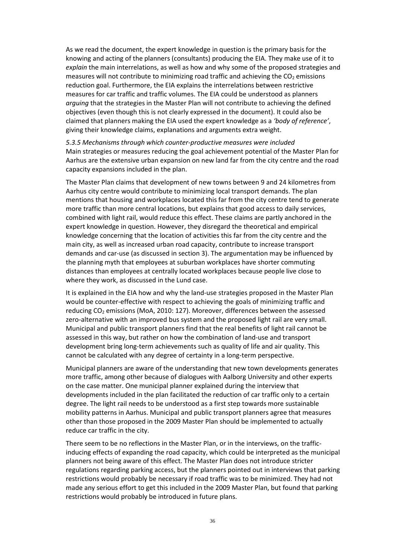As we read the document, the expert knowledge in question is the primary basis for the knowing and acting of the planners (consultants) producing the EIA. They make use of it to *explain* the main interrelations, as well as how and why some of the proposed strategies and measures will not contribute to minimizing road traffic and achieving the  $CO<sub>2</sub>$  emissions reduction goal. Furthermore, the EIA explains the interrelations between restrictive measures for car traffic and traffic volumes. The EIA could be understood as planners *arguing* that the strategies in the Master Plan will not contribute to achieving the defined objectives (even though this is not clearly expressed in the document). It could also be claimed that planners making the EIA used the expert knowledge as a *'body of reference'*, giving their knowledge claims, explanations and arguments extra weight.

*5.3.5 Mechanisms through which counter-productive measures were included*  Main strategies or measures reducing the goal achievement potential of the Master Plan for Aarhus are the extensive urban expansion on new land far from the city centre and the road capacity expansions included in the plan.

The Master Plan claims that development of new towns between 9 and 24 kilometres from Aarhus city centre would contribute to minimizing local transport demands. The plan mentions that housing and workplaces located this far from the city centre tend to generate more traffic than more central locations, but explains that good access to daily services, combined with light rail, would reduce this effect. These claims are partly anchored in the expert knowledge in question. However, they disregard the theoretical and empirical knowledge concerning that the location of activities this far from the city centre and the main city, as well as increased urban road capacity, contribute to increase transport demands and car-use (as discussed in section 3). The argumentation may be influenced by the planning myth that employees at suburban workplaces have shorter commuting distances than employees at centrally located workplaces because people live close to where they work, as discussed in the Lund case.

It is explained in the EIA how and why the land-use strategies proposed in the Master Plan would be counter-effective with respect to achieving the goals of minimizing traffic and reducing  $CO<sub>2</sub>$  emissions (MoA, 2010: 127). Moreover, differences between the assessed zero-alternative with an improved bus system and the proposed light rail are very small. Municipal and public transport planners find that the real benefits of light rail cannot be assessed in this way, but rather on how the combination of land-use and transport development bring long-term achievements such as quality of life and air quality. This cannot be calculated with any degree of certainty in a long-term perspective.

Municipal planners are aware of the understanding that new town developments generates more traffic, among other because of dialogues with Aalborg University and other experts on the case matter. One municipal planner explained during the interview that developments included in the plan facilitated the reduction of car traffic only to a certain degree. The light rail needs to be understood as a first step towards more sustainable mobility patterns in Aarhus. Municipal and public transport planners agree that measures other than those proposed in the 2009 Master Plan should be implemented to actually reduce car traffic in the city.

There seem to be no reflections in the Master Plan, or in the interviews, on the trafficinducing effects of expanding the road capacity, which could be interpreted as the municipal planners not being aware of this effect. The Master Plan does not introduce stricter regulations regarding parking access, but the planners pointed out in interviews that parking restrictions would probably be necessary if road traffic was to be minimized. They had not made any serious effort to get this included in the 2009 Master Plan, but found that parking restrictions would probably be introduced in future plans.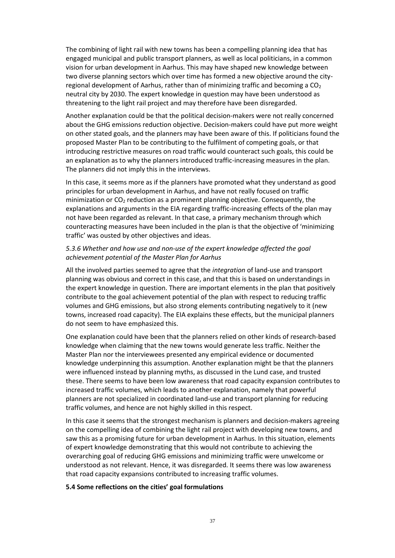The combining of light rail with new towns has been a compelling planning idea that has engaged municipal and public transport planners, as well as local politicians, in a common vision for urban development in Aarhus. This may have shaped new knowledge between two diverse planning sectors which over time has formed a new objective around the cityregional development of Aarhus, rather than of minimizing traffic and becoming a  $CO<sub>2</sub>$ neutral city by 2030. The expert knowledge in question may have been understood as threatening to the light rail project and may therefore have been disregarded.

Another explanation could be that the political decision-makers were not really concerned about the GHG emissions reduction objective. Decision-makers could have put more weight on other stated goals, and the planners may have been aware of this. If politicians found the proposed Master Plan to be contributing to the fulfilment of competing goals, or that introducing restrictive measures on road traffic would counteract such goals, this could be an explanation as to why the planners introduced traffic-increasing measures in the plan. The planners did not imply this in the interviews.

In this case, it seems more as if the planners have promoted what they understand as good principles for urban development in Aarhus, and have not really focused on traffic minimization or  $CO<sub>2</sub>$  reduction as a prominent planning objective. Consequently, the explanations and arguments in the EIA regarding traffic-increasing effects of the plan may not have been regarded as relevant. In that case, a primary mechanism through which counteracting measures have been included in the plan is that the objective of 'minimizing traffic' was ousted by other objectives and ideas.

## *5.3.6 Whether and how use and non-use of the expert knowledge affected the goal achievement potential of the Master Plan for Aarhus*

All the involved parties seemed to agree that the *integration* of land-use and transport planning was obvious and correct in this case, and that this is based on understandings in the expert knowledge in question. There are important elements in the plan that positively contribute to the goal achievement potential of the plan with respect to reducing traffic volumes and GHG emissions, but also strong elements contributing negatively to it (new towns, increased road capacity). The EIA explains these effects, but the municipal planners do not seem to have emphasized this.

One explanation could have been that the planners relied on other kinds of research-based knowledge when claiming that the new towns would generate less traffic. Neither the Master Plan nor the interviewees presented any empirical evidence or documented knowledge underpinning this assumption. Another explanation might be that the planners were influenced instead by planning myths, as discussed in the Lund case, and trusted these. There seems to have been low awareness that road capacity expansion contributes to increased traffic volumes, which leads to another explanation, namely that powerful planners are not specialized in coordinated land-use and transport planning for reducing traffic volumes, and hence are not highly skilled in this respect.

In this case it seems that the strongest mechanism is planners and decision-makers agreeing on the compelling idea of combining the light rail project with developing new towns, and saw this as a promising future for urban development in Aarhus. In this situation, elements of expert knowledge demonstrating that this would not contribute to achieving the overarching goal of reducing GHG emissions and minimizing traffic were unwelcome or understood as not relevant. Hence, it was disregarded. It seems there was low awareness that road capacity expansions contributed to increasing traffic volumes.

### **5.4 Some reflections on the cities' goal formulations**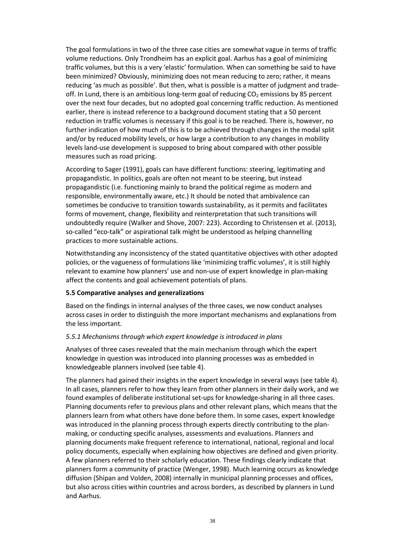The goal formulations in two of the three case cities are somewhat vague in terms of traffic volume reductions. Only Trondheim has an explicit goal. Aarhus has a goal of minimizing traffic volumes, but this is a very 'elastic' formulation. When can something be said to have been minimized? Obviously, minimizing does not mean reducing to zero; rather, it means reducing 'as much as possible'. But then, what is possible is a matter of judgment and tradeoff. In Lund, there is an ambitious long-term goal of reducing  $CO<sub>2</sub>$  emissions by 85 percent over the next four decades, but no adopted goal concerning traffic reduction. As mentioned earlier, there is instead reference to a background document stating that a 50 percent reduction in traffic volumes is necessary if this goal is to be reached. There is, however, no further indication of how much of this is to be achieved through changes in the modal split and/or by reduced mobility levels, or how large a contribution to any changes in mobility levels land-use development is supposed to bring about compared with other possible measures such as road pricing.

According to Sager (1991), goals can have different functions: steering, legitimating and propagandistic. In politics, goals are often not meant to be steering, but instead propagandistic (i.e. functioning mainly to brand the political regime as modern and responsible, environmentally aware, etc.) It should be noted that ambivalence can sometimes be conducive to transition towards sustainability, as it permits and facilitates forms of movement, change, flexibility and reinterpretation that such transitions will undoubtedly require (Walker and Shove, 2007: 223). According to Christensen et al. (2013), so-called "eco-talk" or aspirational talk might be understood as helping channelling practices to more sustainable actions.

Notwithstanding any inconsistency of the stated quantitative objectives with other adopted policies, or the vagueness of formulations like 'minimizing traffic volumes', it is still highly relevant to examine how planners' use and non-use of expert knowledge in plan-making affect the contents and goal achievement potentials of plans.

## **5.5 Comparative analyses and generalizations**

Based on the findings in internal analyses of the three cases, we now conduct analyses across cases in order to distinguish the more important mechanisms and explanations from the less important.

## *5.5.1 Mechanisms through which expert knowledge is introduced in plans*

Analyses of three cases revealed that the main mechanism through which the expert knowledge in question was introduced into planning processes was as embedded in knowledgeable planners involved (see table 4).

The planners had gained their insights in the expert knowledge in several ways (see table 4). In all cases, planners refer to how they learn from other planners in their daily work, and we found examples of deliberate institutional set-ups for knowledge-sharing in all three cases. Planning documents refer to previous plans and other relevant plans, which means that the planners learn from what others have done before them. In some cases, expert knowledge was introduced in the planning process through experts directly contributing to the planmaking, or conducting specific analyses, assessments and evaluations. Planners and planning documents make frequent reference to international, national, regional and local policy documents, especially when explaining how objectives are defined and given priority. A few planners referred to their scholarly education. These findings clearly indicate that planners form a community of practice (Wenger, 1998). Much learning occurs as knowledge diffusion (Shipan and Volden, 2008) internally in municipal planning processes and offices, but also across cities within countries and across borders, as described by planners in Lund and Aarhus.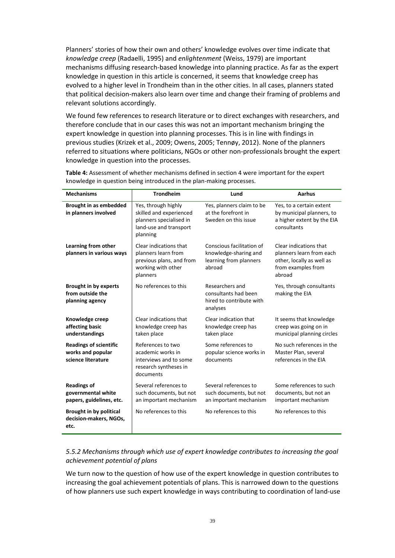Planners' stories of how their own and others' knowledge evolves over time indicate that *knowledge creep* (Radaelli, 1995) and *enlightenment* (Weiss, 1979) are important mechanisms diffusing research-based knowledge into planning practice. As far as the expert knowledge in question in this article is concerned, it seems that knowledge creep has evolved to a higher level in Trondheim than in the other cities. In all cases, planners stated that political decision-makers also learn over time and change their framing of problems and relevant solutions accordingly.

We found few references to research literature or to direct exchanges with researchers, and therefore conclude that in our cases this was not an important mechanism bringing the expert knowledge in question into planning processes. This is in line with findings in previous studies (Krizek et al., 2009; Owens, 2005; Tennøy, 2012). None of the planners referred to situations where politicians, NGOs or other non-professionals brought the expert knowledge in question into the processes.

| <b>Mechanisms</b>                                                        | <b>Trondheim</b>                                                                                                | Lund                                                                                   | <b>Aarhus</b>                                                                                                   |
|--------------------------------------------------------------------------|-----------------------------------------------------------------------------------------------------------------|----------------------------------------------------------------------------------------|-----------------------------------------------------------------------------------------------------------------|
| <b>Brought in as embedded</b><br>in planners involved                    | Yes, through highly<br>skilled and experienced<br>planners specialised in<br>land-use and transport<br>planning | Yes, planners claim to be<br>at the forefront in<br>Sweden on this issue               | Yes, to a certain extent<br>by municipal planners, to<br>a higher extent by the EIA<br>consultants              |
| Learning from other<br>planners in various ways                          | Clear indications that<br>planners learn from<br>previous plans, and from<br>working with other<br>planners     | Conscious facilitation of<br>knowledge-sharing and<br>learning from planners<br>abroad | Clear indications that<br>planners learn from each<br>other, locally as well as<br>from examples from<br>abroad |
| <b>Brought in by experts</b><br>from outside the<br>planning agency      | No references to this                                                                                           | Researchers and<br>consultants had been<br>hired to contribute with<br>analyses        | Yes, through consultants<br>making the EIA                                                                      |
| Knowledge creep<br>affecting basic<br>understandings                     | Clear indications that<br>knowledge creep has<br>taken place                                                    | Clear indication that<br>knowledge creep has<br>taken place                            | It seems that knowledge<br>creep was going on in<br>municipal planning circles                                  |
| <b>Readings of scientific</b><br>works and popular<br>science literature | References to two<br>academic works in<br>interviews and to some<br>research syntheses in<br>documents          | Some references to<br>popular science works in<br>documents                            | No such references in the<br>Master Plan, several<br>references in the EIA                                      |
| <b>Readings of</b><br>governmental white<br>papers, guidelines, etc.     | Several references to<br>such documents, but not<br>an important mechanism                                      | Several references to<br>such documents, but not<br>an important mechanism             | Some references to such<br>documents, but not an<br>important mechanism                                         |
| <b>Brought in by political</b><br>decision-makers, NGOs,<br>etc.         | No references to this                                                                                           | No references to this                                                                  | No references to this                                                                                           |

**Table 4:** Assessment of whether mechanisms defined in section 4 were important for the expert knowledge in question being introduced in the plan-making processes.

# *5.5.2 Mechanisms through which use of expert knowledge contributes to increasing the goal achievement potential of plans*

We turn now to the question of how use of the expert knowledge in question contributes to increasing the goal achievement potentials of plans. This is narrowed down to the questions of how planners use such expert knowledge in ways contributing to coordination of land-use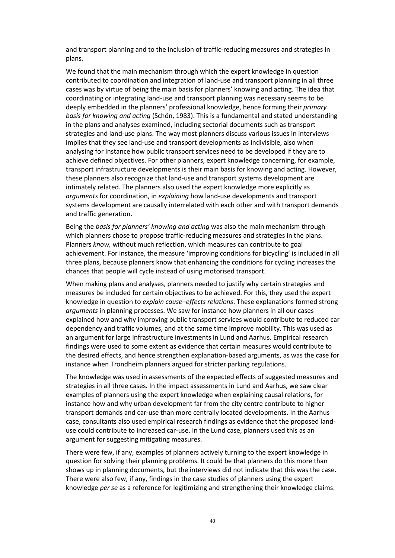and transport planning and to the inclusion of traffic-reducing measures and strategies in plans.

We found that the main mechanism through which the expert knowledge in question contributed to coordination and integration of land-use and transport planning in all three cases was by virtue of being the main basis for planners' knowing and acting. The idea that coordinating or integrating land-use and transport planning was necessary seems to be deeply embedded in the planners' professional knowledge, hence forming their *primary basis for knowing and acting* (Schön, 1983). This is a fundamental and stated understanding in the plans and analyses examined, including sectorial documents such as transport strategies and land-use plans. The way most planners discuss various issues in interviews implies that they see land-use and transport developments as indivisible, also when analysing for instance how public transport services need to be developed if they are to achieve defined objectives. For other planners, expert knowledge concerning, for example, transport infrastructure developments is their main basis for knowing and acting. However, these planners also recognize that land-use and transport systems development are intimately related. The planners also used the expert knowledge more explicitly as *arguments* for coordination, in *explaining* how land-use developments and transport systems development are causally interrelated with each other and with transport demands and traffic generation.

Being the *basis for planners' knowing and acting* was also the main mechanism through which planners chose to propose traffic-reducing measures and strategies in the plans. Planners *know,* without much reflection, which measures can contribute to goal achievement. For instance, the measure 'improving conditions for bicycling' is included in all three plans, because planners know that enhancing the conditions for cycling increases the chances that people will cycle instead of using motorised transport.

When making plans and analyses, planners needed to justify why certain strategies and measures be included for certain objectives to be achieved. For this, they used the expert knowledge in question to *explain cause–effects relations*. These explanations formed strong *arguments* in planning processes. We saw for instance how planners in all our cases explained how and why improving public transport services would contribute to reduced car dependency and traffic volumes, and at the same time improve mobility. This was used as an argument for large infrastructure investments in Lund and Aarhus. Empirical research findings were used to some extent as evidence that certain measures would contribute to the desired effects, and hence strengthen explanation-based arguments, as was the case for instance when Trondheim planners argued for stricter parking regulations.

The knowledge was used in assessments of the expected effects of suggested measures and strategies in all three cases. In the impact assessments in Lund and Aarhus, we saw clear examples of planners using the expert knowledge when explaining causal relations, for instance how and why urban development far from the city centre contribute to higher transport demands and car-use than more centrally located developments. In the Aarhus case, consultants also used empirical research findings as evidence that the proposed landuse could contribute to increased car-use. In the Lund case, planners used this as an argument for suggesting mitigating measures.

There were few, if any, examples of planners actively turning to the expert knowledge in question for solving their planning problems. It could be that planners do this more than shows up in planning documents, but the interviews did not indicate that this was the case. There were also few, if any, findings in the case studies of planners using the expert knowledge *per se* as a reference for legitimizing and strengthening their knowledge claims.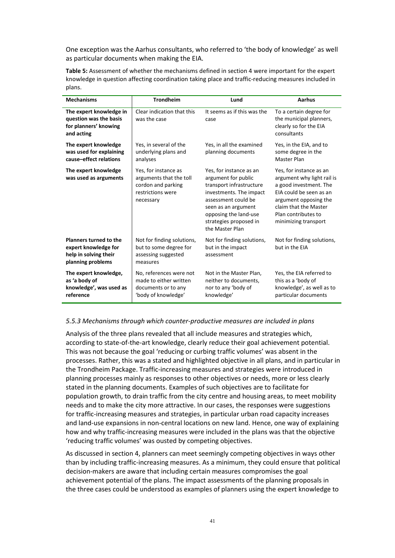One exception was the Aarhus consultants, who referred to 'the body of knowledge' as well as particular documents when making the EIA.

**Table 5:** Assessment of whether the mechanisms defined in section 4 were important for the expert knowledge in question affecting coordination taking place and traffic-reducing measures included in plans.

| <b>Mechanisms</b>                                                                                   | <b>Trondheim</b>                                                                                        | Lund                                                                                                                                                                                                                      | Aarhus                                                                                                                                                                                                      |
|-----------------------------------------------------------------------------------------------------|---------------------------------------------------------------------------------------------------------|---------------------------------------------------------------------------------------------------------------------------------------------------------------------------------------------------------------------------|-------------------------------------------------------------------------------------------------------------------------------------------------------------------------------------------------------------|
| The expert knowledge in<br>question was the basis<br>for planners' knowing<br>and acting            | Clear indication that this<br>was the case                                                              | It seems as if this was the<br>case                                                                                                                                                                                       | To a certain degree for<br>the municipal planners,<br>clearly so for the EIA<br>consultants                                                                                                                 |
| The expert knowledge<br>was used for explaining<br>cause-effect relations                           | Yes, in several of the<br>underlying plans and<br>analyses                                              | Yes, in all the examined<br>planning documents                                                                                                                                                                            | Yes, in the EIA, and to<br>some degree in the<br>Master Plan                                                                                                                                                |
| The expert knowledge<br>was used as arguments                                                       | Yes, for instance as<br>arguments that the toll<br>cordon and parking<br>restrictions were<br>necessary | Yes, for instance as an<br>argument for public<br>transport infrastructure<br>investments. The impact<br>assessment could be<br>seen as an argument<br>opposing the land-use<br>strategies proposed in<br>the Master Plan | Yes, for instance as an<br>argument why light rail is<br>a good investment. The<br>EIA could be seen as an<br>argument opposing the<br>claim that the Master<br>Plan contributes to<br>minimizing transport |
| <b>Planners turned to the</b><br>expert knowledge for<br>help in solving their<br>planning problems | Not for finding solutions,<br>but to some degree for<br>assessing suggested<br>measures                 | Not for finding solutions,<br>but in the impact<br>assessment                                                                                                                                                             | Not for finding solutions,<br>but in the EIA                                                                                                                                                                |
| The expert knowledge,<br>as 'a body of<br>knowledge', was used as<br>reference                      | No, references were not<br>made to either written<br>documents or to any<br>'body of knowledge'         | Not in the Master Plan,<br>neither to documents,<br>nor to any 'body of<br>knowledge'                                                                                                                                     | Yes, the EIA referred to<br>this as a 'body of<br>knowledge', as well as to<br>particular documents                                                                                                         |

## *5.5.3 Mechanisms through which counter-productive measures are included in plans*

Analysis of the three plans revealed that all include measures and strategies which, according to state-of-the-art knowledge, clearly reduce their goal achievement potential. This was not because the goal 'reducing or curbing traffic volumes' was absent in the processes. Rather, this was a stated and highlighted objective in all plans, and in particular in the Trondheim Package. Traffic-increasing measures and strategies were introduced in planning processes mainly as responses to other objectives or needs, more or less clearly stated in the planning documents. Examples of such objectives are to facilitate for population growth, to drain traffic from the city centre and housing areas, to meet mobility needs and to make the city more attractive. In our cases, the responses were suggestions for traffic-increasing measures and strategies, in particular urban road capacity increases and land-use expansions in non-central locations on new land. Hence, one way of explaining how and why traffic-increasing measures were included in the plans was that the objective 'reducing traffic volumes' was ousted by competing objectives.

As discussed in section 4, planners can meet seemingly competing objectives in ways other than by including traffic-increasing measures. As a minimum, they could ensure that political decision-makers are aware that including certain measures compromises the goal achievement potential of the plans. The impact assessments of the planning proposals in the three cases could be understood as examples of planners using the expert knowledge to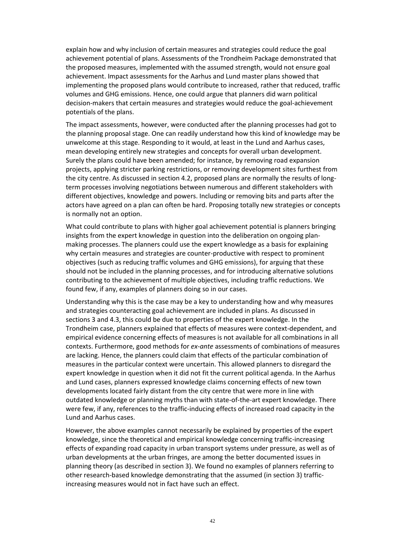explain how and why inclusion of certain measures and strategies could reduce the goal achievement potential of plans. Assessments of the Trondheim Package demonstrated that the proposed measures, implemented with the assumed strength, would not ensure goal achievement. Impact assessments for the Aarhus and Lund master plans showed that implementing the proposed plans would contribute to increased, rather that reduced, traffic volumes and GHG emissions. Hence, one could argue that planners did warn political decision-makers that certain measures and strategies would reduce the goal-achievement potentials of the plans.

The impact assessments, however, were conducted after the planning processes had got to the planning proposal stage. One can readily understand how this kind of knowledge may be unwelcome at this stage. Responding to it would, at least in the Lund and Aarhus cases, mean developing entirely new strategies and concepts for overall urban development. Surely the plans could have been amended; for instance, by removing road expansion projects, applying stricter parking restrictions, or removing development sites furthest from the city centre. As discussed in section 4.2, proposed plans are normally the results of longterm processes involving negotiations between numerous and different stakeholders with different objectives, knowledge and powers. Including or removing bits and parts after the actors have agreed on a plan can often be hard. Proposing totally new strategies or concepts is normally not an option.

What could contribute to plans with higher goal achievement potential is planners bringing insights from the expert knowledge in question into the deliberation on ongoing planmaking processes. The planners could use the expert knowledge as a basis for explaining why certain measures and strategies are counter-productive with respect to prominent objectives (such as reducing traffic volumes and GHG emissions), for arguing that these should not be included in the planning processes, and for introducing alternative solutions contributing to the achievement of multiple objectives, including traffic reductions. We found few, if any, examples of planners doing so in our cases.

Understanding why this is the case may be a key to understanding how and why measures and strategies counteracting goal achievement are included in plans. As discussed in sections 3 and 4.3, this could be due to properties of the expert knowledge. In the Trondheim case, planners explained that effects of measures were context-dependent, and empirical evidence concerning effects of measures is not available for all combinations in all contexts. Furthermore, good methods for *ex-ante* assessments of combinations of measures are lacking. Hence, the planners could claim that effects of the particular combination of measures in the particular context were uncertain. This allowed planners to disregard the expert knowledge in question when it did not fit the current political agenda. In the Aarhus and Lund cases, planners expressed knowledge claims concerning effects of new town developments located fairly distant from the city centre that were more in line with outdated knowledge or planning myths than with state-of-the-art expert knowledge. There were few, if any, references to the traffic-inducing effects of increased road capacity in the Lund and Aarhus cases.

However, the above examples cannot necessarily be explained by properties of the expert knowledge, since the theoretical and empirical knowledge concerning traffic-increasing effects of expanding road capacity in urban transport systems under pressure, as well as of urban developments at the urban fringes, are among the better documented issues in planning theory (as described in section 3). We found no examples of planners referring to other research-based knowledge demonstrating that the assumed (in section 3) trafficincreasing measures would not in fact have such an effect.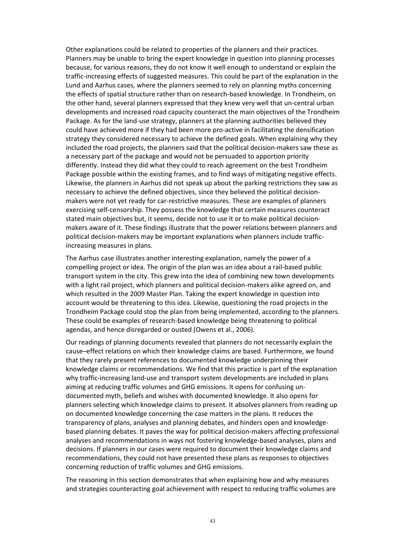Other explanations could be related to properties of the planners and their practices. Planners may be unable to bring the expert knowledge in question into planning processes because, for various reasons, they do not know it well enough to understand or explain the traffic-increasing effects of suggested measures. This could be part of the explanation in the Lund and Aarhus cases, where the planners seemed to rely on planning myths concerning the effects of spatial structure rather than on research-based knowledge. In Trondheim, on the other hand, several planners expressed that they knew very well that un-central urban developments and increased road capacity counteract the main objectives of the Trondheim Package. As for the land-use strategy, planners at the planning authorities believed they could have achieved more if they had been more pro-active in facilitating the densification strategy they considered necessary to achieve the defined goals. When explaining why they included the road projects, the planners said that the political decision-makers saw these as a necessary part of the package and would not be persuaded to apportion priority differently. Instead they did what they could to reach agreement on the best Trondheim Package possible within the existing frames, and to find ways of mitigating negative effects. Likewise, the planners in Aarhus did not speak up about the parking restrictions they saw as necessary to achieve the defined objectives, since they believed the political decisionmakers were not yet ready for car-restrictive measures. These are examples of planners exercising self-censorship. They possess the knowledge that certain measures counteract stated main objectives but, it seems, decide not to use it or to make political decisionmakers aware of it. These findings illustrate that the power relations between planners and political decision-makers may be important explanations when planners include trafficincreasing measures in plans.

The Aarhus case illustrates another interesting explanation, namely the power of a compelling project or idea. The origin of the plan was an idea about a rail-based public transport system in the city. This grew into the idea of combining new town developments with a light rail project, which planners and political decision-makers alike agreed on, and which resulted in the 2009 Master Plan. Taking the expert knowledge in question into account would be threatening to this idea. Likewise, questioning the road projects in the Trondheim Package could stop the plan from being implemented, according to the planners. These could be examples of research-based knowledge being threatening to political agendas, and hence disregarded or ousted (Owens et al., 2006).

Our readings of planning documents revealed that planners do not necessarily explain the cause–effect relations on which their knowledge claims are based. Furthermore, we found that they rarely present references to documented knowledge underpinning their knowledge claims or recommendations. We find that this practice is part of the explanation why traffic-increasing land-use and transport system developments are included in plans aiming at reducing traffic volumes and GHG emissions. It opens for confusing undocumented myth, beliefs and wishes with documented knowledge. It also opens for planners selecting which knowledge claims to present. It absolves planners from reading up on documented knowledge concerning the case matters in the plans. It reduces the transparency of plans, analyses and planning debates, and hinders open and knowledgebased planning debates. It paves the way for political decision-makers affecting professional analyses and recommendations in ways not fostering knowledge-based analyses, plans and decisions. If planners in our cases were required to document their knowledge claims and recommendations, they could not have presented these plans as responses to objectives concerning reduction of traffic volumes and GHG emissions.

The reasoning in this section demonstrates that when explaining how and why measures and strategies counteracting goal achievement with respect to reducing traffic volumes are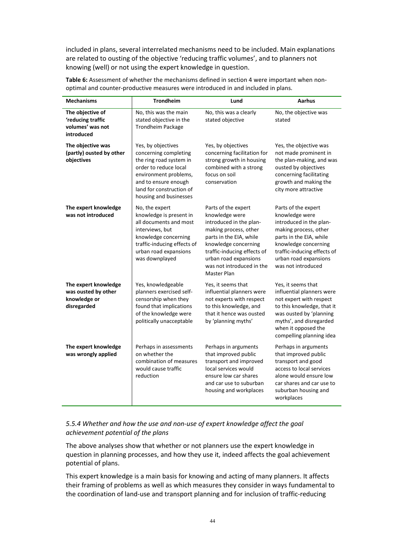included in plans, several interrelated mechanisms need to be included. Main explanations are related to ousting of the objective 'reducing traffic volumes', and to planners not knowing (well) or not using the expert knowledge in question.

| <b>Mechanisms</b>                                                          | Trondheim                                                                                                                                                                                              | Lund                                                                                                                                                                                                                                             | <b>Aarhus</b>                                                                                                                                                                                                              |
|----------------------------------------------------------------------------|--------------------------------------------------------------------------------------------------------------------------------------------------------------------------------------------------------|--------------------------------------------------------------------------------------------------------------------------------------------------------------------------------------------------------------------------------------------------|----------------------------------------------------------------------------------------------------------------------------------------------------------------------------------------------------------------------------|
| The objective of<br>'reducing traffic<br>volumes' was not<br>introduced    | No, this was the main<br>stated objective in the<br>Trondheim Package                                                                                                                                  | No, this was a clearly<br>stated objective                                                                                                                                                                                                       | No, the objective was<br>stated                                                                                                                                                                                            |
| The objective was<br>(partly) ousted by other<br>objectives                | Yes, by objectives<br>concerning completing<br>the ring road system in<br>order to reduce local<br>environment problems,<br>and to ensure enough<br>land for construction of<br>housing and businesses | Yes, by objectives<br>concerning facilitation for<br>strong growth in housing<br>combined with a strong<br>focus on soil<br>conservation                                                                                                         | Yes, the objective was<br>not made prominent in<br>the plan-making, and was<br>ousted by objectives<br>concerning facilitating<br>growth and making the<br>city more attractive                                            |
| The expert knowledge<br>was not introduced                                 | No, the expert<br>knowledge is present in<br>all documents and most<br>interviews, but<br>knowledge concerning<br>traffic-inducing effects of<br>urban road expansions<br>was downplayed               | Parts of the expert<br>knowledge were<br>introduced in the plan-<br>making process, other<br>parts in the EIA, while<br>knowledge concerning<br>traffic-inducing effects of<br>urban road expansions<br>was not introduced in the<br>Master Plan | Parts of the expert<br>knowledge were<br>introduced in the plan-<br>making process, other<br>parts in the EIA, while<br>knowledge concerning<br>traffic-inducing effects of<br>urban road expansions<br>was not introduced |
| The expert knowledge<br>was ousted by other<br>knowledge or<br>disregarded | Yes, knowledgeable<br>planners exercised self-<br>censorship when they<br>found that implications<br>of the knowledge were<br>politically unacceptable                                                 | Yes, it seems that<br>influential planners were<br>not experts with respect<br>to this knowledge, and<br>that it hence was ousted<br>by 'planning myths'                                                                                         | Yes, it seems that<br>influential planners were<br>not expert with respect<br>to this knowledge, that it<br>was ousted by 'planning<br>myths', and disregarded<br>when it opposed the<br>compelling planning idea          |
| The expert knowledge<br>was wrongly applied                                | Perhaps in assessments<br>on whether the<br>combination of measures<br>would cause traffic<br>reduction                                                                                                | Perhaps in arguments<br>that improved public<br>transport and improved<br>local services would<br>ensure low car shares<br>and car use to suburban<br>housing and workplaces                                                                     | Perhaps in arguments<br>that improved public<br>transport and good<br>access to local services<br>alone would ensure low<br>car shares and car use to<br>suburban housing and<br>workplaces                                |

Table 6: Assessment of whether the mechanisms defined in section 4 were important when nonoptimal and counter-productive measures were introduced in and included in plans.

# *5.5.4 Whether and how the use and non-use of expert knowledge affect the goal achievement potential of the plans*

The above analyses show that whether or not planners use the expert knowledge in question in planning processes, and how they use it, indeed affects the goal achievement potential of plans.

This expert knowledge is a main basis for knowing and acting of many planners. It affects their framing of problems as well as which measures they consider in ways fundamental to the coordination of land-use and transport planning and for inclusion of traffic-reducing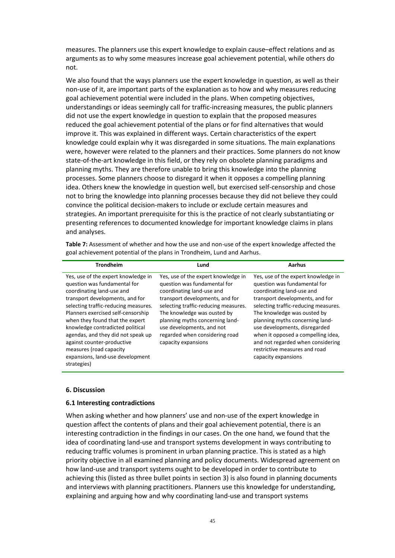measures. The planners use this expert knowledge to explain cause–effect relations and as arguments as to why some measures increase goal achievement potential, while others do not.

We also found that the ways planners use the expert knowledge in question, as well as their non-use of it, are important parts of the explanation as to how and why measures reducing goal achievement potential were included in the plans. When competing objectives, understandings or ideas seemingly call for traffic-increasing measures, the public planners did not use the expert knowledge in question to explain that the proposed measures reduced the goal achievement potential of the plans or for find alternatives that would improve it. This was explained in different ways. Certain characteristics of the expert knowledge could explain why it was disregarded in some situations. The main explanations were, however were related to the planners and their practices. Some planners do not know state-of-the-art knowledge in this field, or they rely on obsolete planning paradigms and planning myths. They are therefore unable to bring this knowledge into the planning processes. Some planners choose to disregard it when it opposes a compelling planning idea. Others knew the knowledge in question well, but exercised self-censorship and chose not to bring the knowledge into planning processes because they did not believe they could convince the political decision-makers to include or exclude certain measures and strategies. An important prerequisite for this is the practice of not clearly substantiating or presenting references to documented knowledge for important knowledge claims in plans and analyses.

**Table 7:** Assessment of whether and how the use and non-use of the expert knowledge affected the goal achievement potential of the plans in Trondheim, Lund and Aarhus.

| <b>Trondheim</b>                                                                                                                                                                                                                                                                                                                                                                                                                           | Lund                                                                                                                                                                                                                                                                                                                                | Aarhus                                                                                                                                                                                                                                                                                                                                                                                                            |
|--------------------------------------------------------------------------------------------------------------------------------------------------------------------------------------------------------------------------------------------------------------------------------------------------------------------------------------------------------------------------------------------------------------------------------------------|-------------------------------------------------------------------------------------------------------------------------------------------------------------------------------------------------------------------------------------------------------------------------------------------------------------------------------------|-------------------------------------------------------------------------------------------------------------------------------------------------------------------------------------------------------------------------------------------------------------------------------------------------------------------------------------------------------------------------------------------------------------------|
| Yes, use of the expert knowledge in<br>question was fundamental for<br>coordinating land-use and<br>transport developments, and for<br>selecting traffic-reducing measures.<br>Planners exercised self-censorship<br>when they found that the expert<br>knowledge contradicted political<br>agendas, and they did not speak up<br>against counter-productive<br>measures (road capacity<br>expansions, land-use development<br>strategies) | Yes, use of the expert knowledge in<br>question was fundamental for<br>coordinating land-use and<br>transport developments, and for<br>selecting traffic-reducing measures.<br>The knowledge was ousted by<br>planning myths concerning land-<br>use developments, and not<br>regarded when considering road<br>capacity expansions | Yes, use of the expert knowledge in<br>question was fundamental for<br>coordinating land-use and<br>transport developments, and for<br>selecting traffic-reducing measures.<br>The knowledge was ousted by<br>planning myths concerning land-<br>use developments, disregarded<br>when it opposed a compelling idea,<br>and not regarded when considering<br>restrictive measures and road<br>capacity expansions |

### **6. Discussion**

### **6.1 Interesting contradictions**

When asking whether and how planners' use and non-use of the expert knowledge in question affect the contents of plans and their goal achievement potential, there is an interesting contradiction in the findings in our cases. On the one hand, we found that the idea of coordinating land-use and transport systems development in ways contributing to reducing traffic volumes is prominent in urban planning practice. This is stated as a high priority objective in all examined planning and policy documents. Widespread agreement on how land-use and transport systems ought to be developed in order to contribute to achieving this (listed as three bullet points in section 3) is also found in planning documents and interviews with planning practitioners. Planners use this knowledge for understanding, explaining and arguing how and why coordinating land-use and transport systems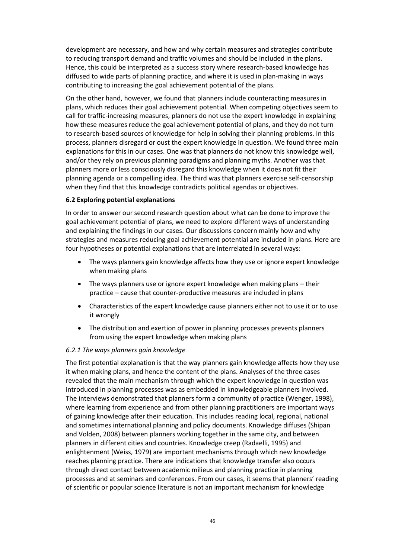development are necessary, and how and why certain measures and strategies contribute to reducing transport demand and traffic volumes and should be included in the plans. Hence, this could be interpreted as a success story where research-based knowledge has diffused to wide parts of planning practice, and where it is used in plan-making in ways contributing to increasing the goal achievement potential of the plans.

On the other hand, however, we found that planners include counteracting measures in plans, which reduces their goal achievement potential. When competing objectives seem to call for traffic-increasing measures, planners do not use the expert knowledge in explaining how these measures reduce the goal achievement potential of plans, and they do not turn to research-based sources of knowledge for help in solving their planning problems. In this process, planners disregard or oust the expert knowledge in question. We found three main explanations for this in our cases. One was that planners do not know this knowledge well, and/or they rely on previous planning paradigms and planning myths. Another was that planners more or less consciously disregard this knowledge when it does not fit their planning agenda or a compelling idea. The third was that planners exercise self-censorship when they find that this knowledge contradicts political agendas or objectives.

## **6.2 Exploring potential explanations**

In order to answer our second research question about what can be done to improve the goal achievement potential of plans, we need to explore different ways of understanding and explaining the findings in our cases. Our discussions concern mainly how and why strategies and measures reducing goal achievement potential are included in plans. Here are four hypotheses or potential explanations that are interrelated in several ways:

- The ways planners gain knowledge affects how they use or ignore expert knowledge when making plans
- The ways planners use or ignore expert knowledge when making plans their practice – cause that counter-productive measures are included in plans
- Characteristics of the expert knowledge cause planners either not to use it or to use it wrongly
- The distribution and exertion of power in planning processes prevents planners from using the expert knowledge when making plans

## *6.2.1 The ways planners gain knowledge*

The first potential explanation is that the way planners gain knowledge affects how they use it when making plans, and hence the content of the plans. Analyses of the three cases revealed that the main mechanism through which the expert knowledge in question was introduced in planning processes was as embedded in knowledgeable planners involved. The interviews demonstrated that planners form a community of practice (Wenger, 1998), where learning from experience and from other planning practitioners are important ways of gaining knowledge after their education. This includes reading local, regional, national and sometimes international planning and policy documents. Knowledge diffuses (Shipan and Volden, 2008) between planners working together in the same city, and between planners in different cities and countries. Knowledge creep (Radaelli, 1995) and enlightenment (Weiss, 1979) are important mechanisms through which new knowledge reaches planning practice. There are indications that knowledge transfer also occurs through direct contact between academic milieus and planning practice in planning processes and at seminars and conferences. From our cases, it seems that planners' reading of scientific or popular science literature is not an important mechanism for knowledge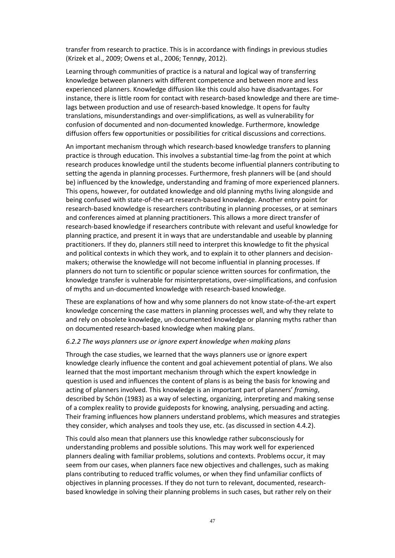transfer from research to practice. This is in accordance with findings in previous studies (Krizek et al., 2009; Owens et al., 2006; Tennøy, 2012).

Learning through communities of practice is a natural and logical way of transferring knowledge between planners with different competence and between more and less experienced planners. Knowledge diffusion like this could also have disadvantages. For instance, there is little room for contact with research-based knowledge and there are timelags between production and use of research-based knowledge. It opens for faulty translations, misunderstandings and over-simplifications, as well as vulnerability for confusion of documented and non-documented knowledge. Furthermore, knowledge diffusion offers few opportunities or possibilities for critical discussions and corrections.

An important mechanism through which research-based knowledge transfers to planning practice is through education. This involves a substantial time-lag from the point at which research produces knowledge until the students become influential planners contributing to setting the agenda in planning processes. Furthermore, fresh planners will be (and should be) influenced by the knowledge, understanding and framing of more experienced planners. This opens, however, for outdated knowledge and old planning myths living alongside and being confused with state-of-the-art research-based knowledge. Another entry point for research-based knowledge is researchers contributing in planning processes, or at seminars and conferences aimed at planning practitioners. This allows a more direct transfer of research-based knowledge if researchers contribute with relevant and useful knowledge for planning practice, and present it in ways that are understandable and useable by planning practitioners. If they do, planners still need to interpret this knowledge to fit the physical and political contexts in which they work, and to explain it to other planners and decisionmakers; otherwise the knowledge will not become influential in planning processes. If planners do not turn to scientific or popular science written sources for confirmation, the knowledge transfer is vulnerable for misinterpretations, over-simplifications, and confusion of myths and un-documented knowledge with research-based knowledge.

These are explanations of how and why some planners do not know state-of-the-art expert knowledge concerning the case matters in planning processes well, and why they relate to and rely on obsolete knowledge, un-documented knowledge or planning myths rather than on documented research-based knowledge when making plans.

### *6.2.2 The ways planners use or ignore expert knowledge when making plans*

Through the case studies, we learned that the ways planners use or ignore expert knowledge clearly influence the content and goal achievement potential of plans. We also learned that the most important mechanism through which the expert knowledge in question is used and influences the content of plans is as being the basis for knowing and acting of planners involved. This knowledge is an important part of planners' *framing*, described by Schön (1983) as a way of selecting, organizing, interpreting and making sense of a complex reality to provide guideposts for knowing, analysing, persuading and acting. Their framing influences how planners understand problems, which measures and strategies they consider, which analyses and tools they use, etc. (as discussed in section 4.4.2).

This could also mean that planners use this knowledge rather subconsciously for understanding problems and possible solutions. This may work well for experienced planners dealing with familiar problems, solutions and contexts. Problems occur, it may seem from our cases, when planners face new objectives and challenges, such as making plans contributing to reduced traffic volumes, or when they find unfamiliar conflicts of objectives in planning processes. If they do not turn to relevant, documented, researchbased knowledge in solving their planning problems in such cases, but rather rely on their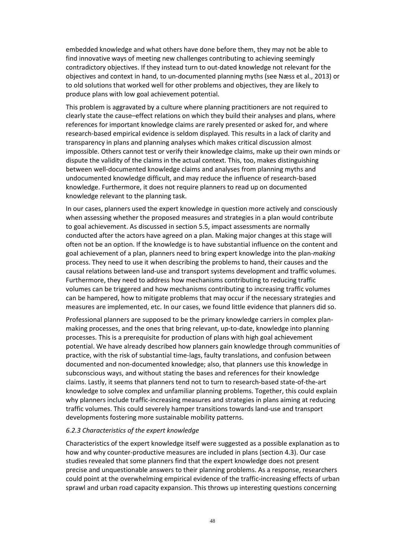embedded knowledge and what others have done before them, they may not be able to find innovative ways of meeting new challenges contributing to achieving seemingly contradictory objectives. If they instead turn to out-dated knowledge not relevant for the objectives and context in hand, to un-documented planning myths (see Næss et al., 2013) or to old solutions that worked well for other problems and objectives, they are likely to produce plans with low goal achievement potential.

This problem is aggravated by a culture where planning practitioners are not required to clearly state the cause–effect relations on which they build their analyses and plans, where references for important knowledge claims are rarely presented or asked for, and where research-based empirical evidence is seldom displayed. This results in a lack of clarity and transparency in plans and planning analyses which makes critical discussion almost impossible. Others cannot test or verify their knowledge claims, make up their own minds or dispute the validity of the claims in the actual context. This, too, makes distinguishing between well-documented knowledge claims and analyses from planning myths and undocumented knowledge difficult, and may reduce the influence of research-based knowledge. Furthermore, it does not require planners to read up on documented knowledge relevant to the planning task.

In our cases, planners used the expert knowledge in question more actively and consciously when assessing whether the proposed measures and strategies in a plan would contribute to goal achievement. As discussed in section 5.5, impact assessments are normally conducted after the actors have agreed on a plan. Making major changes at this stage will often not be an option. If the knowledge is to have substantial influence on the content and goal achievement of a plan, planners need to bring expert knowledge into the plan-*making* process. They need to use it when describing the problems to hand, their causes and the causal relations between land-use and transport systems development and traffic volumes. Furthermore, they need to address how mechanisms contributing to reducing traffic volumes can be triggered and how mechanisms contributing to increasing traffic volumes can be hampered, how to mitigate problems that may occur if the necessary strategies and measures are implemented, etc. In our cases, we found little evidence that planners did so.

Professional planners are supposed to be the primary knowledge carriers in complex planmaking processes, and the ones that bring relevant, up-to-date, knowledge into planning processes. This is a prerequisite for production of plans with high goal achievement potential. We have already described how planners gain knowledge through communities of practice, with the risk of substantial time-lags, faulty translations, and confusion between documented and non-documented knowledge; also, that planners use this knowledge in subconscious ways, and without stating the bases and references for their knowledge claims. Lastly, it seems that planners tend not to turn to research-based state-of-the-art knowledge to solve complex and unfamiliar planning problems. Together, this could explain why planners include traffic-increasing measures and strategies in plans aiming at reducing traffic volumes. This could severely hamper transitions towards land-use and transport developments fostering more sustainable mobility patterns.

## *6.2.3 Characteristics of the expert knowledge*

Characteristics of the expert knowledge itself were suggested as a possible explanation as to how and why counter-productive measures are included in plans (section 4.3). Our case studies revealed that some planners find that the expert knowledge does not present precise and unquestionable answers to their planning problems. As a response, researchers could point at the overwhelming empirical evidence of the traffic-increasing effects of urban sprawl and urban road capacity expansion. This throws up interesting questions concerning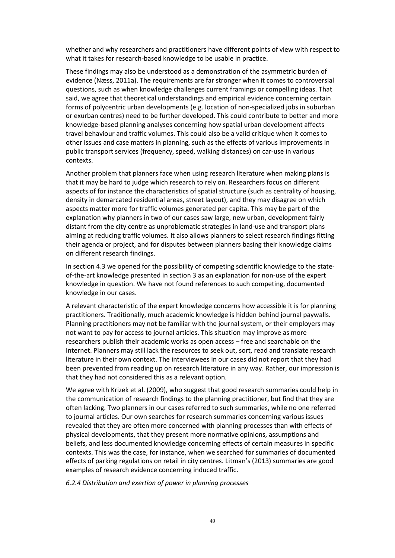whether and why researchers and practitioners have different points of view with respect to what it takes for research-based knowledge to be usable in practice.

These findings may also be understood as a demonstration of the asymmetric burden of evidence (Næss, 2011a). The requirements are far stronger when it comes to controversial questions, such as when knowledge challenges current framings or compelling ideas. That said, we agree that theoretical understandings and empirical evidence concerning certain forms of polycentric urban developments (e.g. location of non-specialized jobs in suburban or exurban centres) need to be further developed. This could contribute to better and more knowledge-based planning analyses concerning how spatial urban development affects travel behaviour and traffic volumes. This could also be a valid critique when it comes to other issues and case matters in planning, such as the effects of various improvements in public transport services (frequency, speed, walking distances) on car-use in various contexts.

Another problem that planners face when using research literature when making plans is that it may be hard to judge which research to rely on. Researchers focus on different aspects of for instance the characteristics of spatial structure (such as centrality of housing, density in demarcated residential areas, street layout), and they may disagree on which aspects matter more for traffic volumes generated per capita. This may be part of the explanation why planners in two of our cases saw large, new urban, development fairly distant from the city centre as unproblematic strategies in land-use and transport plans aiming at reducing traffic volumes. It also allows planners to select research findings fitting their agenda or project, and for disputes between planners basing their knowledge claims on different research findings.

In section 4.3 we opened for the possibility of competing scientific knowledge to the stateof-the-art knowledge presented in section 3 as an explanation for non-use of the expert knowledge in question. We have not found references to such competing, documented knowledge in our cases.

A relevant characteristic of the expert knowledge concerns how accessible it is for planning practitioners. Traditionally, much academic knowledge is hidden behind journal paywalls. Planning practitioners may not be familiar with the journal system, or their employers may not want to pay for access to journal articles. This situation may improve as more researchers publish their academic works as open access – free and searchable on the Internet. Planners may still lack the resources to seek out, sort, read and translate research literature in their own context. The interviewees in our cases did not report that they had been prevented from reading up on research literature in any way. Rather, our impression is that they had not considered this as a relevant option.

We agree with Krizek et al. (2009), who suggest that good research summaries could help in the communication of research findings to the planning practitioner, but find that they are often lacking. Two planners in our cases referred to such summaries, while no one referred to journal articles. Our own searches for research summaries concerning various issues revealed that they are often more concerned with planning processes than with effects of physical developments, that they present more normative opinions, assumptions and beliefs, and less documented knowledge concerning effects of certain measures in specific contexts. This was the case, for instance, when we searched for summaries of documented effects of parking regulations on retail in city centres. Litman's (2013) summaries are good examples of research evidence concerning induced traffic.

*6.2.4 Distribution and exertion of power in planning processes*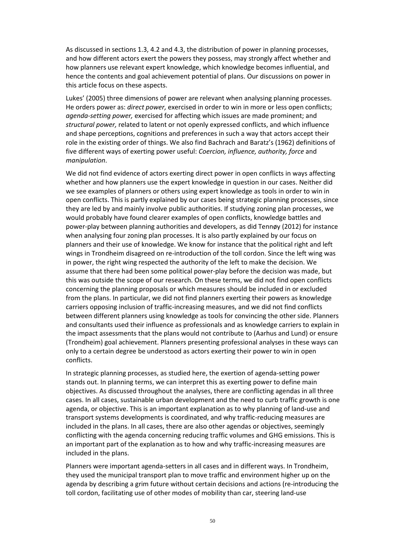As discussed in sections 1.3, 4.2 and 4.3, the distribution of power in planning processes, and how different actors exert the powers they possess, may strongly affect whether and how planners use relevant expert knowledge, which knowledge becomes influential, and hence the contents and goal achievement potential of plans. Our discussions on power in this article focus on these aspects.

Lukes' (2005) three dimensions of power are relevant when analysing planning processes. He orders power as: *direct power,* exercised in order to win in more or less open conflicts; *agenda-setting power,* exercised for affecting which issues are made prominent; and *structural power,* related to latent or not openly expressed conflicts, and which influence and shape perceptions, cognitions and preferences in such a way that actors accept their role in the existing order of things. We also find Bachrach and Baratz's (1962) definitions of five different ways of exerting power useful: *Coercion, influence, authority, force* and *manipulation*.

We did not find evidence of actors exerting direct power in open conflicts in ways affecting whether and how planners use the expert knowledge in question in our cases. Neither did we see examples of planners or others using expert knowledge as tools in order to win in open conflicts. This is partly explained by our cases being strategic planning processes, since they are led by and mainly involve public authorities. If studying zoning plan processes, we would probably have found clearer examples of open conflicts, knowledge battles and power-play between planning authorities and developers, as did Tennøy (2012) for instance when analysing four zoning plan processes. It is also partly explained by our focus on planners and their use of knowledge. We know for instance that the political right and left wings in Trondheim disagreed on re-introduction of the toll cordon. Since the left wing was in power, the right wing respected the authority of the left to make the decision. We assume that there had been some political power-play before the decision was made, but this was outside the scope of our research. On these terms, we did not find open conflicts concerning the planning proposals or which measures should be included in or excluded from the plans. In particular, we did not find planners exerting their powers as knowledge carriers opposing inclusion of traffic-increasing measures, and we did not find conflicts between different planners using knowledge as tools for convincing the other side. Planners and consultants used their influence as professionals and as knowledge carriers to explain in the impact assessments that the plans would not contribute to (Aarhus and Lund) or ensure (Trondheim) goal achievement. Planners presenting professional analyses in these ways can only to a certain degree be understood as actors exerting their power to win in open conflicts.

In strategic planning processes, as studied here, the exertion of agenda-setting power stands out. In planning terms, we can interpret this as exerting power to define main objectives. As discussed throughout the analyses, there are conflicting agendas in all three cases. In all cases, sustainable urban development and the need to curb traffic growth is one agenda, or objective. This is an important explanation as to why planning of land-use and transport systems developments is coordinated, and why traffic-reducing measures are included in the plans. In all cases, there are also other agendas or objectives, seemingly conflicting with the agenda concerning reducing traffic volumes and GHG emissions. This is an important part of the explanation as to how and why traffic-increasing measures are included in the plans.

Planners were important agenda-setters in all cases and in different ways. In Trondheim, they used the municipal transport plan to move traffic and environment higher up on the agenda by describing a grim future without certain decisions and actions (re-introducing the toll cordon, facilitating use of other modes of mobility than car, steering land-use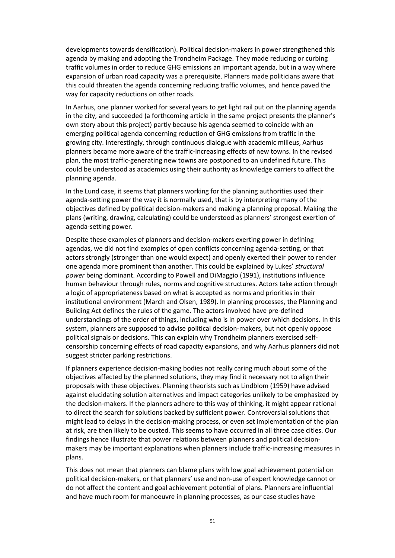developments towards densification). Political decision-makers in power strengthened this agenda by making and adopting the Trondheim Package. They made reducing or curbing traffic volumes in order to reduce GHG emissions an important agenda, but in a way where expansion of urban road capacity was a prerequisite. Planners made politicians aware that this could threaten the agenda concerning reducing traffic volumes, and hence paved the way for capacity reductions on other roads.

In Aarhus, one planner worked for several years to get light rail put on the planning agenda in the city, and succeeded (a forthcoming article in the same project presents the planner's own story about this project) partly because his agenda seemed to coincide with an emerging political agenda concerning reduction of GHG emissions from traffic in the growing city. Interestingly, through continuous dialogue with academic milieus, Aarhus planners became more aware of the traffic-increasing effects of new towns. In the revised plan, the most traffic-generating new towns are postponed to an undefined future. This could be understood as academics using their authority as knowledge carriers to affect the planning agenda.

In the Lund case, it seems that planners working for the planning authorities used their agenda-setting power the way it is normally used, that is by interpreting many of the objectives defined by political decision-makers and making a planning proposal. Making the plans (writing, drawing, calculating) could be understood as planners' strongest exertion of agenda-setting power.

Despite these examples of planners and decision-makers exerting power in defining agendas, we did not find examples of open conflicts concerning agenda-setting, or that actors strongly (stronger than one would expect) and openly exerted their power to render one agenda more prominent than another. This could be explained by Lukes' *structural power* being dominant. According to Powell and DiMaggio (1991), institutions influence human behaviour through rules, norms and cognitive structures. Actors take action through a logic of appropriateness based on what is accepted as norms and priorities in their institutional environment (March and Olsen, 1989). In planning processes, the Planning and Building Act defines the rules of the game. The actors involved have pre-defined understandings of the order of things, including who is in power over which decisions. In this system, planners are supposed to advise political decision-makers, but not openly oppose political signals or decisions. This can explain why Trondheim planners exercised selfcensorship concerning effects of road capacity expansions, and why Aarhus planners did not suggest stricter parking restrictions.

If planners experience decision-making bodies not really caring much about some of the objectives affected by the planned solutions, they may find it necessary not to align their proposals with these objectives. Planning theorists such as Lindblom (1959) have advised against elucidating solution alternatives and impact categories unlikely to be emphasized by the decision-makers. If the planners adhere to this way of thinking, it might appear rational to direct the search for solutions backed by sufficient power. Controversial solutions that might lead to delays in the decision-making process, or even set implementation of the plan at risk, are then likely to be ousted. This seems to have occurred in all three case cities. Our findings hence illustrate that power relations between planners and political decisionmakers may be important explanations when planners include traffic-increasing measures in plans.

This does not mean that planners can blame plans with low goal achievement potential on political decision-makers, or that planners' use and non-use of expert knowledge cannot or do not affect the content and goal achievement potential of plans. Planners are influential and have much room for manoeuvre in planning processes, as our case studies have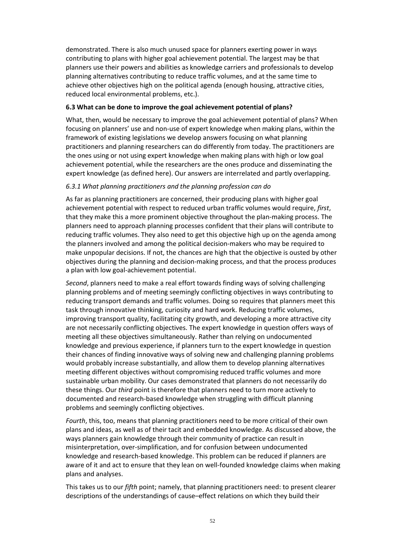demonstrated. There is also much unused space for planners exerting power in ways contributing to plans with higher goal achievement potential. The largest may be that planners use their powers and abilities as knowledge carriers and professionals to develop planning alternatives contributing to reduce traffic volumes, and at the same time to achieve other objectives high on the political agenda (enough housing, attractive cities, reduced local environmental problems, etc.).

## **6.3 What can be done to improve the goal achievement potential of plans?**

What, then, would be necessary to improve the goal achievement potential of plans? When focusing on planners' use and non-use of expert knowledge when making plans, within the framework of existing legislations we develop answers focusing on what planning practitioners and planning researchers can do differently from today. The practitioners are the ones using or not using expert knowledge when making plans with high or low goal achievement potential, while the researchers are the ones produce and disseminating the expert knowledge (as defined here). Our answers are interrelated and partly overlapping.

## *6.3.1 What planning practitioners and the planning profession can do*

As far as planning practitioners are concerned, their producing plans with higher goal achievement potential with respect to reduced urban traffic volumes would require, *first*, that they make this a more prominent objective throughout the plan-making process. The planners need to approach planning processes confident that their plans will contribute to reducing traffic volumes. They also need to get this objective high up on the agenda among the planners involved and among the political decision-makers who may be required to make unpopular decisions. If not, the chances are high that the objective is ousted by other objectives during the planning and decision-making process, and that the process produces a plan with low goal-achievement potential.

*Second*, planners need to make a real effort towards finding ways of solving challenging planning problems and of meeting seemingly conflicting objectives in ways contributing to reducing transport demands and traffic volumes. Doing so requires that planners meet this task through innovative thinking, curiosity and hard work. Reducing traffic volumes, improving transport quality, facilitating city growth, and developing a more attractive city are not necessarily conflicting objectives. The expert knowledge in question offers ways of meeting all these objectives simultaneously. Rather than relying on undocumented knowledge and previous experience, if planners turn to the expert knowledge in question their chances of finding innovative ways of solving new and challenging planning problems would probably increase substantially, and allow them to develop planning alternatives meeting different objectives without compromising reduced traffic volumes and more sustainable urban mobility. Our cases demonstrated that planners do not necessarily do these things. Our *third* point is therefore that planners need to turn more actively to documented and research-based knowledge when struggling with difficult planning problems and seemingly conflicting objectives.

*Fourth*, this, too, means that planning practitioners need to be more critical of their own plans and ideas, as well as of their tacit and embedded knowledge. As discussed above, the ways planners gain knowledge through their community of practice can result in misinterpretation, over-simplification, and for confusion between undocumented knowledge and research-based knowledge. This problem can be reduced if planners are aware of it and act to ensure that they lean on well-founded knowledge claims when making plans and analyses.

This takes us to our *fifth* point; namely, that planning practitioners need: to present clearer descriptions of the understandings of cause–effect relations on which they build their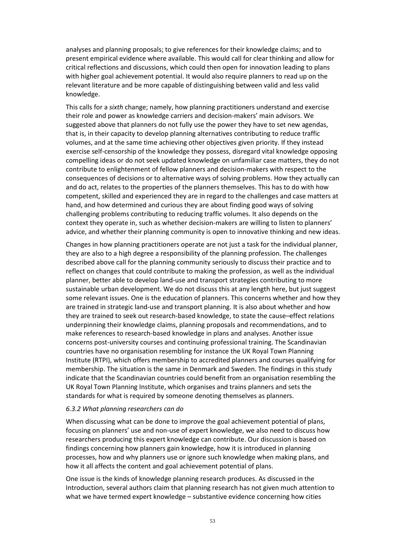analyses and planning proposals; to give references for their knowledge claims; and to present empirical evidence where available. This would call for clear thinking and allow for critical reflections and discussions, which could then open for innovation leading to plans with higher goal achievement potential. It would also require planners to read up on the relevant literature and be more capable of distinguishing between valid and less valid knowledge.

This calls for a *sixth* change; namely, how planning practitioners understand and exercise their role and power as knowledge carriers and decision-makers' main advisors. We suggested above that planners do not fully use the power they have to set new agendas, that is, in their capacity to develop planning alternatives contributing to reduce traffic volumes, and at the same time achieving other objectives given priority. If they instead exercise self-censorship of the knowledge they possess, disregard vital knowledge opposing compelling ideas or do not seek updated knowledge on unfamiliar case matters, they do not contribute to enlightenment of fellow planners and decision-makers with respect to the consequences of decisions or to alternative ways of solving problems. How they actually can and do act, relates to the properties of the planners themselves. This has to do with how competent, skilled and experienced they are in regard to the challenges and case matters at hand, and how determined and curious they are about finding good ways of solving challenging problems contributing to reducing traffic volumes. It also depends on the context they operate in, such as whether decision-makers are willing to listen to planners' advice, and whether their planning community is open to innovative thinking and new ideas.

Changes in how planning practitioners operate are not just a task for the individual planner, they are also to a high degree a responsibility of the planning profession. The challenges described above call for the planning community seriously to discuss their practice and to reflect on changes that could contribute to making the profession, as well as the individual planner, better able to develop land-use and transport strategies contributing to more sustainable urban development. We do not discuss this at any length here, but just suggest some relevant issues. One is the education of planners. This concerns whether and how they are trained in strategic land-use and transport planning. It is also about whether and how they are trained to seek out research-based knowledge, to state the cause–effect relations underpinning their knowledge claims, planning proposals and recommendations, and to make references to research-based knowledge in plans and analyses. Another issue concerns post-university courses and continuing professional training. The Scandinavian countries have no organisation resembling for instance the UK Royal Town Planning Institute (RTPI), which offers membership to accredited planners and courses qualifying for membership. The situation is the same in Denmark and Sweden. The findings in this study indicate that the Scandinavian countries could benefit from an organisation resembling the UK Royal Town Planning Institute, which organises and trains planners and sets the standards for what is required by someone denoting themselves as planners.

## *6.3.2 What planning researchers can do*

When discussing what can be done to improve the goal achievement potential of plans, focusing on planners' use and non-use of expert knowledge, we also need to discuss how researchers producing this expert knowledge can contribute. Our discussion is based on findings concerning how planners gain knowledge, how it is introduced in planning processes, how and why planners use or ignore such knowledge when making plans, and how it all affects the content and goal achievement potential of plans.

One issue is the kinds of knowledge planning research produces. As discussed in the Introduction, several authors claim that planning research has not given much attention to what we have termed expert knowledge – substantive evidence concerning how cities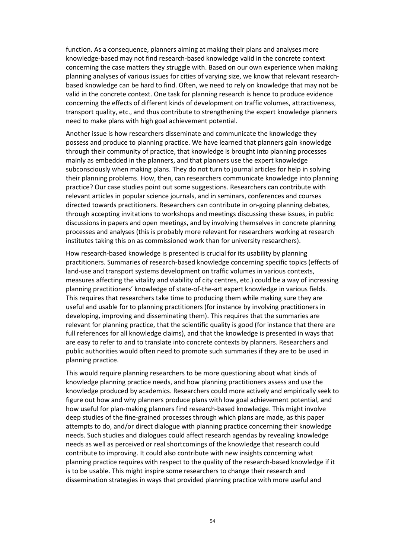function. As a consequence, planners aiming at making their plans and analyses more knowledge-based may not find research-based knowledge valid in the concrete context concerning the case matters they struggle with. Based on our own experience when making planning analyses of various issues for cities of varying size, we know that relevant researchbased knowledge can be hard to find. Often, we need to rely on knowledge that may not be valid in the concrete context. One task for planning research is hence to produce evidence concerning the effects of different kinds of development on traffic volumes, attractiveness, transport quality, etc., and thus contribute to strengthening the expert knowledge planners need to make plans with high goal achievement potential.

Another issue is how researchers disseminate and communicate the knowledge they possess and produce to planning practice. We have learned that planners gain knowledge through their community of practice, that knowledge is brought into planning processes mainly as embedded in the planners, and that planners use the expert knowledge subconsciously when making plans. They do not turn to journal articles for help in solving their planning problems. How, then, can researchers communicate knowledge into planning practice? Our case studies point out some suggestions. Researchers can contribute with relevant articles in popular science journals, and in seminars, conferences and courses directed towards practitioners. Researchers can contribute in on-going planning debates, through accepting invitations to workshops and meetings discussing these issues, in public discussions in papers and open meetings, and by involving themselves in concrete planning processes and analyses (this is probably more relevant for researchers working at research institutes taking this on as commissioned work than for university researchers).

How research-based knowledge is presented is crucial for its usability by planning practitioners. Summaries of research-based knowledge concerning specific topics (effects of land-use and transport systems development on traffic volumes in various contexts, measures affecting the vitality and viability of city centres, etc.) could be a way of increasing planning practitioners' knowledge of state-of-the-art expert knowledge in various fields. This requires that researchers take time to producing them while making sure they are useful and usable for to planning practitioners (for instance by involving practitioners in developing, improving and disseminating them). This requires that the summaries are relevant for planning practice, that the scientific quality is good (for instance that there are full references for all knowledge claims), and that the knowledge is presented in ways that are easy to refer to and to translate into concrete contexts by planners. Researchers and public authorities would often need to promote such summaries if they are to be used in planning practice.

This would require planning researchers to be more questioning about what kinds of knowledge planning practice needs, and how planning practitioners assess and use the knowledge produced by academics. Researchers could more actively and empirically seek to figure out how and why planners produce plans with low goal achievement potential, and how useful for plan-making planners find research-based knowledge. This might involve deep studies of the fine-grained processes through which plans are made, as this paper attempts to do, and/or direct dialogue with planning practice concerning their knowledge needs. Such studies and dialogues could affect research agendas by revealing knowledge needs as well as perceived or real shortcomings of the knowledge that research could contribute to improving. It could also contribute with new insights concerning what planning practice requires with respect to the quality of the research-based knowledge if it is to be usable. This might inspire some researchers to change their research and dissemination strategies in ways that provided planning practice with more useful and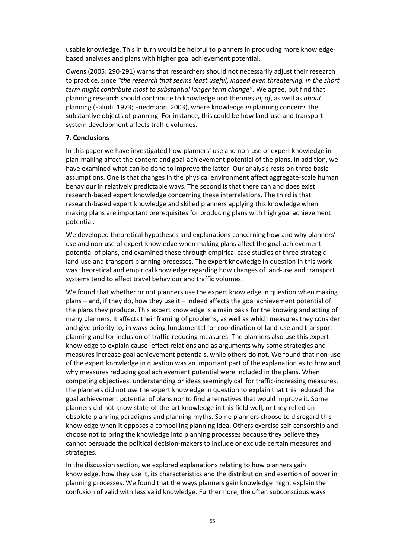usable knowledge. This in turn would be helpful to planners in producing more knowledgebased analyses and plans with higher goal achievement potential.

Owens (2005: 290-291) warns that researchers should not necessarily adjust their research to practice, since *"the research that seems least useful, indeed even threatening, in the short term might contribute most to substantial longer term change"*. We agree, but find that planning research should contribute to knowledge and theories *in*, *of*, as well as *about* planning (Faludi, 1973; Friedmann, 2003), where knowledge *in* planning concerns the substantive objects of planning. For instance, this could be how land-use and transport system development affects traffic volumes.

## **7. Conclusions**

In this paper we have investigated how planners' use and non-use of expert knowledge in plan-making affect the content and goal-achievement potential of the plans. In addition, we have examined what can be done to improve the latter. Our analysis rests on three basic assumptions. One is that changes in the physical environment affect aggregate-scale human behaviour in relatively predictable ways. The second is that there can and does exist research-based expert knowledge concerning these interrelations. The third is that research-based expert knowledge and skilled planners applying this knowledge when making plans are important prerequisites for producing plans with high goal achievement potential.

We developed theoretical hypotheses and explanations concerning how and why planners' use and non-use of expert knowledge when making plans affect the goal-achievement potential of plans, and examined these through empirical case studies of three strategic land-use and transport planning processes. The expert knowledge in question in this work was theoretical and empirical knowledge regarding how changes of land-use and transport systems tend to affect travel behaviour and traffic volumes.

We found that whether or not planners use the expert knowledge in question when making plans – and, if they do, how they use it – indeed affects the goal achievement potential of the plans they produce. This expert knowledge is a main basis for the knowing and acting of many planners. It affects their framing of problems, as well as which measures they consider and give priority to, in ways being fundamental for coordination of land-use and transport planning and for inclusion of traffic-reducing measures. The planners also use this expert knowledge to explain cause–effect relations and as arguments why some strategies and measures increase goal achievement potentials, while others do not. We found that non-use of the expert knowledge in question was an important part of the explanation as to how and why measures reducing goal achievement potential were included in the plans. When competing objectives, understanding or ideas seemingly call for traffic-increasing measures, the planners did not use the expert knowledge in question to explain that this reduced the goal achievement potential of plans nor to find alternatives that would improve it. Some planners did not know state-of-the-art knowledge in this field well, or they relied on obsolete planning paradigms and planning myths. Some planners choose to disregard this knowledge when it opposes a compelling planning idea. Others exercise self-censorship and choose not to bring the knowledge into planning processes because they believe they cannot persuade the political decision-makers to include or exclude certain measures and strategies.

In the discussion section, we explored explanations relating to how planners gain knowledge, how they use it, its characteristics and the distribution and exertion of power in planning processes. We found that the ways planners gain knowledge might explain the confusion of valid with less valid knowledge. Furthermore, the often subconscious ways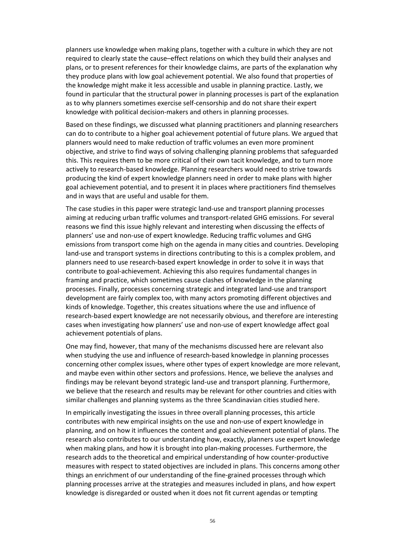planners use knowledge when making plans, together with a culture in which they are not required to clearly state the cause–effect relations on which they build their analyses and plans, or to present references for their knowledge claims, are parts of the explanation why they produce plans with low goal achievement potential. We also found that properties of the knowledge might make it less accessible and usable in planning practice. Lastly, we found in particular that the structural power in planning processes is part of the explanation as to why planners sometimes exercise self-censorship and do not share their expert knowledge with political decision-makers and others in planning processes.

Based on these findings, we discussed what planning practitioners and planning researchers can do to contribute to a higher goal achievement potential of future plans. We argued that planners would need to make reduction of traffic volumes an even more prominent objective, and strive to find ways of solving challenging planning problems that safeguarded this. This requires them to be more critical of their own tacit knowledge, and to turn more actively to research-based knowledge. Planning researchers would need to strive towards producing the kind of expert knowledge planners need in order to make plans with higher goal achievement potential, and to present it in places where practitioners find themselves and in ways that are useful and usable for them.

The case studies in this paper were strategic land-use and transport planning processes aiming at reducing urban traffic volumes and transport-related GHG emissions. For several reasons we find this issue highly relevant and interesting when discussing the effects of planners' use and non-use of expert knowledge. Reducing traffic volumes and GHG emissions from transport come high on the agenda in many cities and countries. Developing land-use and transport systems in directions contributing to this is a complex problem, and planners need to use research-based expert knowledge in order to solve it in ways that contribute to goal-achievement. Achieving this also requires fundamental changes in framing and practice, which sometimes cause clashes of knowledge in the planning processes. Finally, processes concerning strategic and integrated land-use and transport development are fairly complex too, with many actors promoting different objectives and kinds of knowledge. Together, this creates situations where the use and influence of research-based expert knowledge are not necessarily obvious, and therefore are interesting cases when investigating how planners' use and non-use of expert knowledge affect goal achievement potentials of plans.

One may find, however, that many of the mechanisms discussed here are relevant also when studying the use and influence of research-based knowledge in planning processes concerning other complex issues, where other types of expert knowledge are more relevant, and maybe even within other sectors and professions. Hence, we believe the analyses and findings may be relevant beyond strategic land-use and transport planning. Furthermore, we believe that the research and results may be relevant for other countries and cities with similar challenges and planning systems as the three Scandinavian cities studied here.

In empirically investigating the issues in three overall planning processes, this article contributes with new empirical insights on the use and non-use of expert knowledge in planning, and on how it influences the content and goal achievement potential of plans. The research also contributes to our understanding how, exactly, planners use expert knowledge when making plans, and how it is brought into plan-making processes. Furthermore, the research adds to the theoretical and empirical understanding of how counter-productive measures with respect to stated objectives are included in plans. This concerns among other things an enrichment of our understanding of the fine-grained processes through which planning processes arrive at the strategies and measures included in plans, and how expert knowledge is disregarded or ousted when it does not fit current agendas or tempting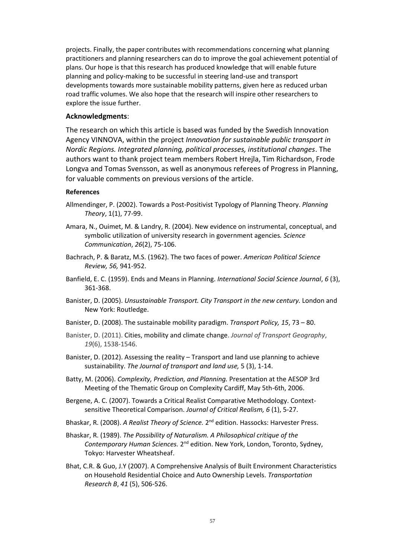projects. Finally, the paper contributes with recommendations concerning what planning practitioners and planning researchers can do to improve the goal achievement potential of plans. Our hope is that this research has produced knowledge that will enable future planning and policy-making to be successful in steering land-use and transport developments towards more sustainable mobility patterns, given here as reduced urban road traffic volumes. We also hope that the research will inspire other researchers to explore the issue further.

### **Acknowledgments**:

The research on which this article is based was funded by the Swedish Innovation Agency VINNOVA, within the project *Innovation for sustainable public transport in Nordic Regions. Integrated planning, political processes, institutional changes*. The authors want to thank project team members Robert Hrejla, Tim Richardson, Frode Longva and Tomas Svensson, as well as anonymous referees of Progress in Planning, for valuable comments on previous versions of the article.

### **References**

- Allmendinger, P. (2002). Towards a Post-Positivist Typology of Planning Theory. *Planning Theory*, 1(1), 77-99.
- Amara, N., Ouimet, M. & Landry, R. (2004). New evidence on instrumental, conceptual, and symbolic utilization of university research in government agencies*. Science Communication*, *26*(2), 75-106.
- Bachrach, P. & Baratz, M.S. (1962). The two faces of power. *American Political Science Review, 56,* 941-952.
- Banfield, E. C. (1959). Ends and Means in Planning. *International Social Science Journal*, *6* (3), 361-368.
- Banister, D. (2005). *Unsustainable Transport. City Transport in the new century.* London and New York: Routledge.
- Banister, D. (2008). The sustainable mobility paradigm. *Transport Policy, 15*, 73 80.
- Banister, D. (2011). [Cities, mobility and climate change.](http://dx.doi.org/10.1016/j.jtrangeo.2011.03.009) *Journal of Transport Geography*, *19*(6), 1538-1546.
- Banister, D. (2012). Assessing the reality Transport and land use planning to achieve sustainability. *The Journal of transport and land use,* 5 (3), 1-14.
- Batty, M. (2006). *Complexity, Prediction, and Planning.* Presentation at the AESOP 3rd Meeting of the Thematic Group on Complexity Cardiff, May 5th-6th, 2006.
- Bergene, A. C. (2007). Towards a Critical Realist Comparative Methodology. Contextsensitive Theoretical Comparison. *Journal of Critical Realism, 6* (1), 5-27.
- Bhaskar, R. (2008). A Realist Theory of Science. 2<sup>nd</sup> edition. Hassocks: Harvester Press.
- Bhaskar, R. (1989). *The Possibility of Naturalism. A Philosophical critique of the*  Contemporary Human Sciences. 2<sup>nd</sup> edition. New York, London, Toronto, Sydney, Tokyo: Harvester Wheatsheaf.
- Bhat, C.R. & Guo, J.Y (2007). A Comprehensive Analysis of Built Environment Characteristics on Household Residential Choice and Auto Ownership Levels. *Transportation Research B*, *41* (5), 506-526.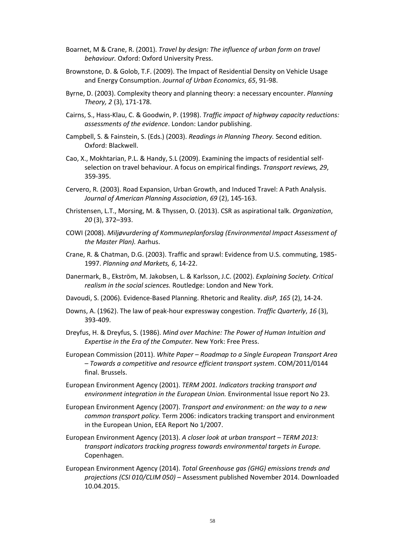- Boarnet, M & Crane, R. (2001). *Travel by design: The influence of urban form on travel behaviour.* Oxford: Oxford University Press.
- Brownstone, D. & Golob, T.F. (2009). The Impact of Residential Density on Vehicle Usage and Energy Consumption. *Journal of Urban Economics*, *65*, 91-98.
- Byrne, D. (2003). Complexity theory and planning theory: a necessary encounter. *Planning Theory, 2* (3), 171-178.
- Cairns, S., Hass-Klau, C. & Goodwin, P. (1998). *Traffic impact of highway capacity reductions: assessments of the evidence*. London: Landor publishing.
- Campbell, S. & Fainstein, S. (Eds.) (2003). *Readings in Planning Theory.* Second edition. Oxford: Blackwell.
- Cao, X., Mokhtarian, P.L. & Handy, S.L (2009). Examining the impacts of residential selfselection on travel behaviour. A focus on empirical findings. *Transport reviews, 29*, 359-395.
- Cervero, R. (2003). Road Expansion, Urban Growth, and Induced Travel: A Path Analysis. *Journal of American Planning Association*, *69* (2), 145-163.
- Christensen, L.T., Morsing, M. & Thyssen, O. (2013). CSR as aspirational talk. *Organization*, *20* (3), 372–393.
- COWI (2008). *Miljøvurdering af Kommuneplanforslag (Environmental Impact Assessment of the Master Plan).* Aarhus.
- Crane, R. & Chatman, D.G. (2003). Traffic and sprawl: Evidence from U.S. commuting, 1985- 1997. *Planning and Markets, 6*, 14-22.
- Danermark, B., Ekström, M. Jakobsen, L. & Karlsson, J.C. (2002). *Explaining Society. Critical realism in the social sciences.* Routledge: London and New York.
- Davoudi, S. (2006). Evidence-Based Planning. Rhetoric and Reality. *disP, 165* (2), 14-24.
- Downs, A. (1962). The law of peak-hour expressway congestion. *Traffic Quarterly*, *16* (3), 393-409.
- Dreyfus, H. & Dreyfus, S. (1986). *Mind over Machine: The Power of Human Intuition and Expertise in the Era of the Computer.* New York: Free Press.
- European Commission (2011). *White Paper – Roadmap to a Single European Transport Area – Towards a competitive and resource efficient transport system*. COM/2011/0144 final. Brussels.
- European Environment Agency (2001). *TERM 2001. Indicators tracking transport and environment integration in the European Union.* Environmental Issue report No 23.
- European Environment Agency (2007). *Transport and environment: on the way to a new common transport policy.* Term 2006: indicators tracking transport and environment in the European Union, EEA Report No 1/2007.
- European Environment Agency (2013). *A closer look at urban transport – TERM 2013: transport indicators tracking progress towards environmental targets in Europe.* Copenhagen.
- European Environment Agency (2014). *Total Greenhouse gas (GHG) emissions trends and projections (CSI 010/CLIM 050)* – Assessment published November 2014. Downloaded 10.04.2015.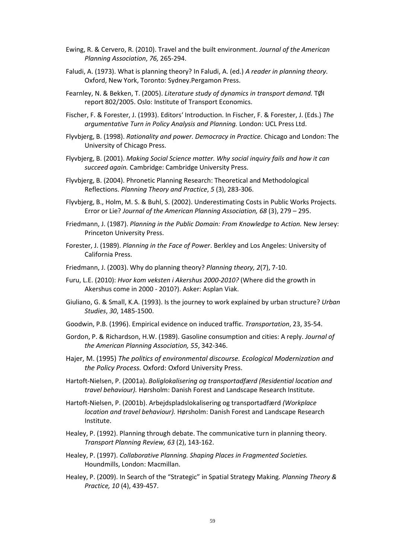- Ewing, R. & Cervero, R. (2010). Travel and the built environment. *Journal of the American Planning Association*, *76,* 265-294.
- Faludi, A. (1973). What is planning theory? In Faludi, A. (ed.) *A reader in planning theory.*  Oxford, New York, Toronto: Sydney.Pergamon Press.
- Fearnley, N. & Bekken, T. (2005). *Literature study of dynamics in transport demand.* TØI report 802/2005. Oslo: Institute of Transport Economics.
- Fischer, F. & Forester, J. (1993). Editors' Introduction. In Fischer, F. & Forester, J. (Eds.) *The argumentative Turn in Policy Analysis and Planning.* London: UCL Press Ltd.
- Flyvbjerg, B. (1998). *Rationality and power. Democracy in Practice.* Chicago and London: The University of Chicago Press.
- Flyvbjerg, B. (2001). *Making Social Science matter. Why social inquiry fails and how it can succeed again.* Cambridge: Cambridge University Press.
- Flyvbjerg, B. (2004). Phronetic Planning Research: Theoretical and Methodological Reflections. *Planning Theory and Practice*, *5* (3), 283-306.
- Flyvbjerg, B., Holm, M. S. & Buhl, S. (2002). Underestimating Costs in Public Works Projects. Error or Lie? *Journal of the American Planning Association, 68* (3), 279 – 295.
- Friedmann, J. (1987). *Planning in the Public Domain: From Knowledge to Action.* New Jersey: Princeton University Press.
- Forester, J. (1989). *Planning in the Face of Power*. Berkley and Los Angeles: University of California Press.
- Friedmann, J. (2003). Why do planning theory? *Planning theory, 2*(7), 7-10.
- Furu, L.E. (2010): *Hvor kom veksten i Akershus 2000-2010?* (Where did the growth in Akershus come in 2000 - 2010?). Asker: Asplan Viak.
- Giuliano, G. & Small, K.A. (1993). Is the journey to work explained by urban structure? *Urban Studies*, *30*, 1485-1500.
- Goodwin, P.B. (1996). Empirical evidence on induced traffic. *Transportation*, 23, 35-54.
- Gordon, P. & Richardson, H.W. (1989). Gasoline consumption and cities: A reply. *Journal of the American Planning Association, 55*, 342-346.
- Hajer, M. (1995) *The politics of environmental discourse. Ecological Modernization and the Policy Process.* Oxford: Oxford University Press.
- Hartoft-Nielsen, P. (2001a). *Boliglokalisering og transportadfærd (Residential location and travel behaviour).* Hørsholm: Danish Forest and Landscape Research Institute.
- Hartoft-Nielsen, P. (2001b). Arbejdspladslokalisering og transportadfærd *(Workplace location and travel behaviour).* Hørsholm: Danish Forest and Landscape Research Institute.
- Healey, P. (1992). Planning through debate. The communicative turn in planning theory. *Transport Planning Review, 63* (2), 143-162.
- Healey, P. (1997). *Collaborative Planning. Shaping Places in Fragmented Societies.* Houndmills, London: Macmillan.
- Healey, P. (2009). In Search of the "Strategic" in Spatial Strategy Making. *Planning Theory & Practice, 10* (4), 439-457.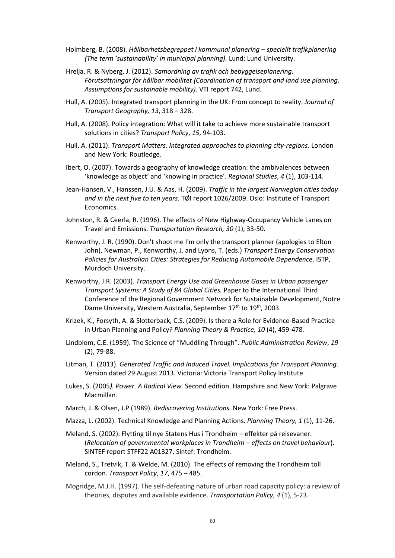- Holmberg, B. (2008). *Hållbarhetsbegreppet i kommunal planering – speciellt trafikplanering (The term 'sustainability' in municipal planning).* Lund: Lund University.
- Hrelja, R. & Nyberg, J. (2012). *Samordning av trafik och bebyggelseplanering. Förutsättningar för hållbar mobilitet (Coordination of transport and land use planning. Assumptions for sustainable mobility).* VTI report 742, Lund.
- Hull, A. (2005). Integrated transport planning in the UK: From concept to reality. *Journal of Transport Geography, 13*, 318 – 328.
- Hull, A. (2008). Policy integration: What will it take to achieve more sustainable transport solutions in cities? *Transport Policy*, *15*, 94-103.
- Hull, A. (2011). *Transport Matters. Integrated approaches to planning city-regions.* London and New York: Routledge.
- Ibert, O. (2007). Towards a geography of knowledge creation: the ambivalences between 'knowledge as object' and 'knowing in practice'. *Regional Studies*, *4* (1), 103-114.
- Jean-Hansen, V., Hanssen, J.U. & Aas, H. (2009). *Traffic in the largest Norwegian cities today and in the next five to ten years*. TØI report 1026/2009. Oslo: Institute of Transport Economics.
- Johnston, R. & Ceerla, R. (1996). The effects of New Highway-Occupancy Vehicle Lanes on Travel and Emissions. *Transportation Research, 30* (1), 33-50.
- Kenworthy, J. R. (1990). Don't shoot me I'm only the transport planner (apologies to Elton John), Newman, P., Kenworthy, J. and Lyons, T. (eds.) *Transport Energy Conservation Policies for Australian Cities: Strategies for Reducing Automobile Dependence.* ISTP, Murdoch University.
- Kenworthy, J.R. (2003). *Transport Energy Use and Greenhouse Gases in Urban passenger Transport Systems: A Study of 84 Global Cities.* Paper to the International Third Conference of the Regional Government Network for Sustainable Development, Notre Dame University, Western Australia, September 17<sup>th</sup> to 19<sup>th</sup>, 2003.
- Krizek, K., Forsyth, A. & Slotterback, C.S. (2009). Is there a Role for Evidence-Based Practice in Urban Planning and Policy? *Planning Theory & Practice, 10* (4), 459-478*.*
- Lindblom, C.E. (1959). The Science of "Muddling Through". *Public Administration Review*, *19* (2), 79-88.
- Litman, T. (2013). *Generated Traffic and Induced Travel. Implications for Transport Planning.* Version dated 29 August 2013. Victoria: Victoria Transport Policy Institute.
- Lukes, S. (2005*). Power. A Radical View.* Second edition. Hampshire and New York: Palgrave Macmillan.
- March, J. & Olsen, J.P (1989). *Rediscovering Institutions.* New York: Free Press.
- Mazza, L. (2002). Technical Knowledge and Planning Actions. *Planning Theory, 1* (1), 11-26.
- Meland, S. (2002). Flytting til nye Statens Hus i Trondheim effekter på reisevaner. (*Relocation of governmental workplaces in Trondheim – effects on travel behaviour*). SINTEF report STFF22 A01327. Sintef: Trondheim.
- Meland, S., Tretvik, T. & Welde, M. (2010). The effects of removing the Trondheim toll cordon. *Transport Policy*, *17*, 475 – 485.
- Mogridge, M.J.H. (1997). The self-defeating nature of urban road capacity policy: a review of theories, disputes and available evidence. *Transportation Policy*, *4* (1), 5-23.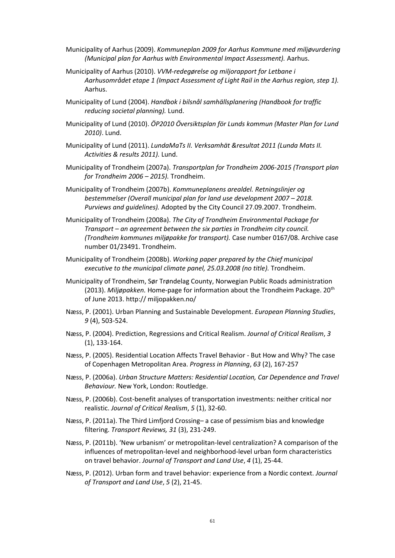- Municipality of Aarhus (2009). *Kommuneplan 2009 for Aarhus Kommune med miljøvurdering (Municipal plan for Aarhus with Environmental Impact Assessment).* Aarhus.
- Municipality of Aarhus (2010). *VVM-redegørelse og miljorapport for Letbane i Aarhusområdet etape 1 (Impact Assessment of Light Rail in the Aarhus region, step 1).* Aarhus.
- Municipality of Lund (2004). *Handbok i bilsnål samhällsplanering (Handbook for traffic reducing societal planning).* Lund.
- Municipality of Lund (2010). *ÖP2010 Översiktsplan för Lunds kommun (Master Plan for Lund 2010)*. Lund.
- Municipality of Lund (2011). *LundaMaTs II. Verksamhät &resultat 2011 (Lunda Mats II. Activities & results 2011).* Lund.
- Municipality of Trondheim (2007a). *Transportplan for Trondheim 2006-2015 (Transport plan for Trondheim 2006 – 2015).* Trondheim.
- Municipality of Trondheim (2007b). *Kommuneplanens arealdel. Retningslinjer og bestemmelser (Overall municipal plan for land use development 2007 – 2018. Purviews and guidelines).* Adopted by the City Council 27.09.2007. Trondheim.
- Municipality of Trondheim (2008a). *The City of Trondheim Environmental Package for Transport – an agreement between the six parties in Trondheim city council. (Trondheim kommunes miljøpakke for transport).* Case number 0167/08. Archive case number 01/23491. Trondheim.
- Municipality of Trondheim (2008b). *Working paper prepared by the Chief municipal executive to the municipal climate panel, 25.03.2008 (no title).* Trondheim.
- Municipality of Trondheim, Sør Trøndelag County, Norwegian Public Roads administration (2013). *Miljøpakken.* Home-page for information about the Trondheim Package. 20th of June 2013. http:// miljopakken.no/
- Næss, P. (2001). Urban Planning and Sustainable Development. *European Planning Studies*, *9* (4), 503-524.
- Næss, P. (2004). Prediction, Regressions and Critical Realism. *Journal of Critical Realism*, *3*  (1), 133-164.
- Næss, P. (2005). Residential Location Affects Travel Behavior But How and Why? The case of Copenhagen Metropolitan Area. *Progress in Planning*, *63* (2), 167-257
- Næss, P. (2006a). *Urban Structure Matters: Residential Location, Car Dependence and Travel Behaviour.* New York, London: Routledge.
- Næss, P. (2006b). Cost-benefit analyses of transportation investments: neither critical nor realistic. *Journal of Critical Realism*, *5* (1), 32-60.
- Næss, P. (2011a). The Third Limfjord Crossing– a case of pessimism bias and knowledge filtering. *Transport Reviews, 31* (3), 231-249.
- Næss, P. (2011b). 'New urbanism' or metropolitan-level centralization? A comparison of the influences of metropolitan-level and neighborhood-level urban form characteristics on travel behavior. *Journal of Transport and Land Use*, *4* (1), 25-44.
- Næss, P. (2012). Urban form and travel behavior: experience from a Nordic context. *Journal of Transport and Land Use*, *5* (2), 21-45.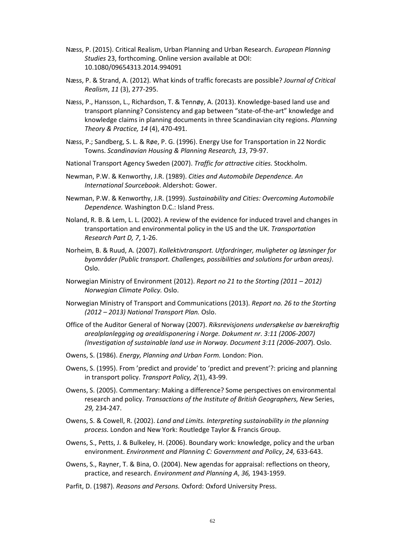- Næss, P. (2015). Critical Realism, Urban Planning and Urban Research. *European Planning Studies* 23, forthcoming. Online version available at DOI: 10.1080/09654313.2014.994091
- Næss, P. & Strand, A. (2012). What kinds of traffic forecasts are possible? *Journal of Critical Realism*, *11* (3), 277-295.
- Næss, P., Hansson, L., Richardson, T. & Tennøy, A. (2013). Knowledge-based land use and transport planning? Consistency and gap between "state-of-the-art" knowledge and knowledge claims in planning documents in three Scandinavian city regions. *Planning Theory & Practice, 14* (4), 470-491.
- Næss, P.; Sandberg, S. L. & Røe, P. G. (1996). Energy Use for Transportation in 22 Nordic Towns. *Scandinavian Housing & Planning Research, 13*, 79-97.
- National Transport Agency Sweden (2007). *Traffic for attractive cities.* Stockholm.
- Newman, P.W. & Kenworthy, J.R. (1989). *Cities and Automobile Dependence. An International Sourcebook*. Aldershot: Gower.
- Newman, P.W. & Kenworthy, J.R. (1999). *Sustainability and Cities: Overcoming Automobile Dependence.* Washington D.C.: Island Press.
- Noland, R. B. & Lem, L. L. (2002). A review of the evidence for induced travel and changes in transportation and environmental policy in the US and the UK. *Transportation Research Part D, 7*, 1-26.
- Norheim, B. & Ruud, A. (2007). *Kollektivtransport. Utfordringer, muligheter og løsninger for byområder (Public transport. Challenges, possibilities and solutions for urban areas)*. Oslo.
- Norwegian Ministry of Environment (2012). *Report no 21 to the Storting (2011 – 2012) Norwegian Climate Policy.* Oslo.
- Norwegian Ministry of Transport and Communications (2013). *Report no. 26 to the Storting (2012 – 2013) National Transport Plan.* Oslo.
- Office of the Auditor General of Norway (2007). *Riksrevisjonens undersøkelse av bærekraftig arealplanlegging og arealdisponering i Norge. Dokument nr. 3:11 (2006-2007) (Investigation of sustainable land use in Norway. Document 3:11 (2006-2007*). Oslo.
- Owens, S. (1986). *Energy, Planning and Urban Form.* London: Pion.
- Owens, S. (1995). From 'predict and provide' to 'predict and prevent'?: pricing and planning in transport policy. *Transport Policy, 2*(1), 43-99.
- Owens, S. (2005). Commentary: Making a difference? Some perspectives on environmental research and policy. *Transactions of the Institute of British Geographers, New* Series, *29,* 234-247.
- Owens, S. & Cowell, R. (2002). *Land and Limits. Interpreting sustainability in the planning process.* London and New York: Routledge Taylor & Francis Group.
- Owens, S., Petts, J. & Bulkeley, H. (2006). Boundary work: knowledge, policy and the urban environment. *Environment and Planning C: Government and Policy*, *24,* 633-643.
- Owens, S., Rayner, T. & Bina, O. (2004). New agendas for appraisal: reflections on theory, practice, and research. *Environment and Planning A*, *36,* 1943-1959.
- Parfit, D. (1987). *Reasons and Persons.* Oxford: Oxford University Press.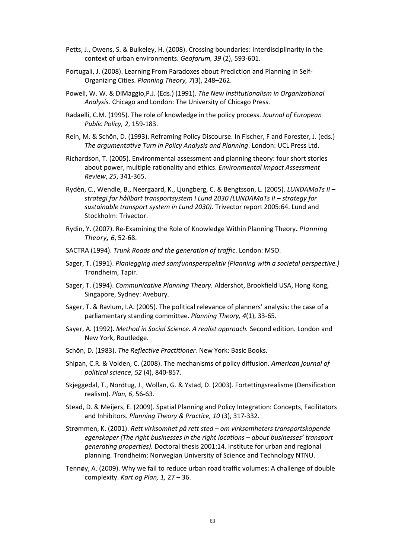- Petts, J., Owens, S. & Bulkeley, H. (2008). Crossing boundaries: Interdisciplinarity in the context of urban environments. *Geoforum, 39* (2), 593-601*.*
- Portugali, J. (2008). Learning From Paradoxes about Prediction and Planning in Self-Organizing Cities. *Planning Theory, 7*(3), 248–262.
- Powell, W. W. & DiMaggio,P.J. (Eds.) (1991). *The New Institutionalism in Organizational Analysis.* Chicago and London: The University of Chicago Press.
- Radaelli, C.M. (1995). The role of knowledge in the policy process. *Journal of European Public Policy, 2*, 159-183.
- Rein, M. & Schön, D. (1993). Reframing Policy Discourse. In Fischer, F and Forester, J. (eds.) *The argumentative Turn in Policy Analysis and Planning*. London: UCL Press Ltd.
- Richardson, T. (2005). Environmental assessment and planning theory: four short stories about power, multiple rationality and ethics. *Environmental Impact Assessment Review*, *25*, 341-365.
- Rydèn, C., Wendle, B., Neergaard, K., Ljungberg, C. & Bengtsson, L. (2005). *LUNDAMaTs II – strategi for hållbart transportsystem I Lund 2030 (LUNDAMaTs II – strategy for sustainable transport system in Lund 2030)*. Trivector report 2005:64. Lund and Stockholm: Trivector.
- Rydin, Y. (2007). Re-Examining the Role of Knowledge Within Planning Theory**.** *Planning Theory, 6*, 52-68.
- SACTRA (1994). *Trunk Roads and the generation of traffic*. London: MSO.
- Sager, T. (1991). *Planlegging med samfunnsperspektiv (Planning with a societal perspective.)*  Trondheim, Tapir.
- Sager, T. (1994). *Communicative Planning Theory.* Aldershot, Brookfield USA, Hong Kong, Singapore, Sydney: Avebury.
- Sager, T. & Ravlum, I.A. (2005). The political relevance of planners' analysis: the case of a parliamentary standing committee. *Planning Theory, 4*(1), 33-65.
- Sayer, A. (1992). *Method in Social Science. A realist approach.* Second edition. London and New York, Routledge.
- Schön, D. (1983). *The Reflective Practitioner.* New York: Basic Books.
- Shipan, C.R. & Volden, C. (2008). The mechanisms of policy diffusion. *American journal of political science*, *52* (4), 840-857.
- Skjeggedal, T., Nordtug, J., Wollan, G. & Ystad, D. (2003). Fortettingsrealisme (Densification realism). *Plan, 6*, 56-63.
- Stead, D. & Meijers, E. (2009). Spatial Planning and Policy Integration: Concepts, Facilitators and Inhibitors. *Planning Theory & Practice, 10* (3), 317-332.
- Strømmen, K. (2001). *Rett virksomhet på rett sted – om virksomheters transportskapende egenskaper (The right businesses in the right locations – about businesses' transport generating properties).* Doctoral thesis 2001:14. Institute for urban and regional planning. Trondheim: Norwegian University of Science and Technology NTNU.
- Tennøy, A. (2009). Why we fail to reduce urban road traffic volumes: A challenge of double complexity. *Kart og Plan, 1,* 27 – 36.